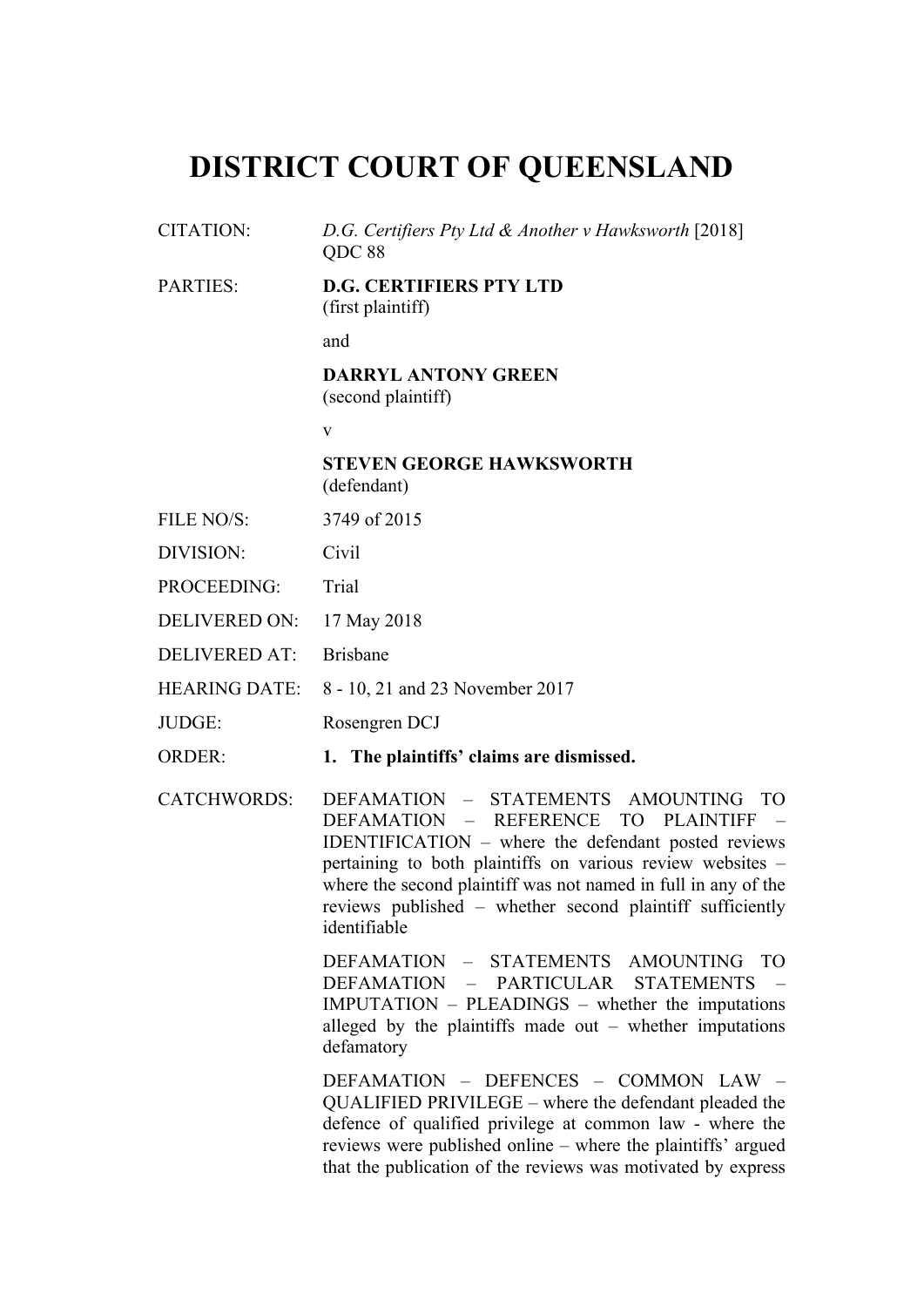# **DISTRICT COURT OF QUEENSLAND**

- CITATION: *D.G. Certifiers Pty Ltd & Another v Hawksworth* [2018] QDC 88
- PARTIES: **D.G. CERTIFIERS PTY LTD** (first plaintiff)

and

#### **DARRYL ANTONY GREEN** (second plaintiff)

v

**STEVEN GEORGE HAWKSWORTH** (defendant)

- FILE NO/S: 3749 of 2015
- DIVISION: Civil
- PROCEEDING: Trial
- DELIVERED ON: 17 May 2018
- DELIVERED AT: Brisbane
- HEARING DATE: 8 10, 21 and 23 November 2017
- JUDGE: Rosengren DCJ
- ORDER: **1. The plaintiffs' claims are dismissed.**
- CATCHWORDS: DEFAMATION STATEMENTS AMOUNTING TO DEFAMATION – REFERENCE TO PLAINTIFF – IDENTIFICATION – where the defendant posted reviews pertaining to both plaintiffs on various review websites – where the second plaintiff was not named in full in any of the reviews published – whether second plaintiff sufficiently identifiable

DEFAMATION – STATEMENTS AMOUNTING TO DEFAMATION – PARTICULAR STATEMENTS – IMPUTATION – PLEADINGS – whether the imputations alleged by the plaintiffs made out  $-$  whether imputations defamatory

DEFAMATION – DEFENCES – COMMON LAW – QUALIFIED PRIVILEGE – where the defendant pleaded the defence of qualified privilege at common law - where the reviews were published online – where the plaintiffs' argued that the publication of the reviews was motivated by express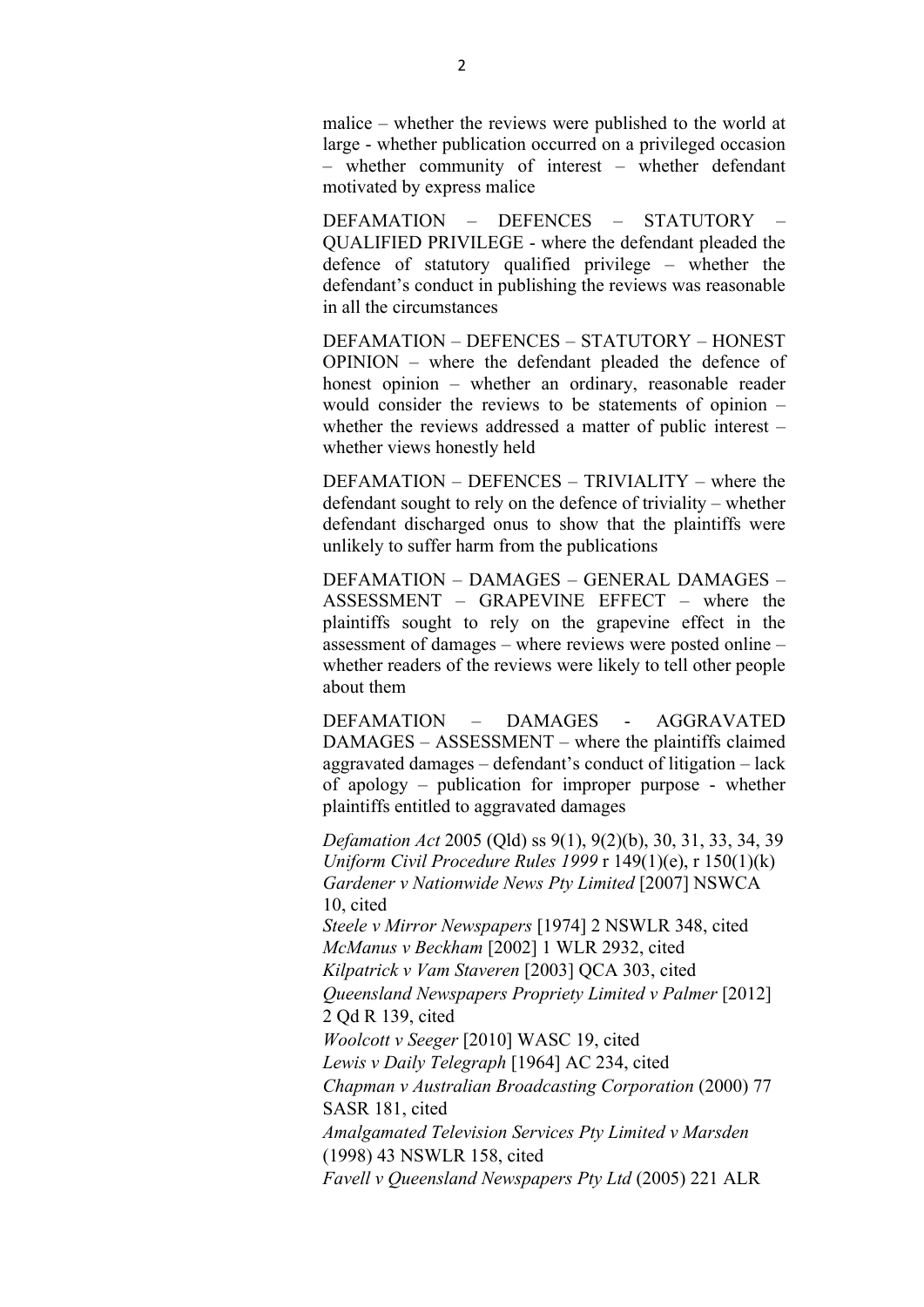malice – whether the reviews were published to the world at large - whether publication occurred on a privileged occasion – whether community of interest – whether defendant motivated by express malice

DEFAMATION – DEFENCES – STATUTORY – QUALIFIED PRIVILEGE - where the defendant pleaded the defence of statutory qualified privilege – whether the defendant's conduct in publishing the reviews was reasonable in all the circumstances

DEFAMATION – DEFENCES – STATUTORY – HONEST OPINION – where the defendant pleaded the defence of honest opinion – whether an ordinary, reasonable reader would consider the reviews to be statements of opinion – whether the reviews addressed a matter of public interest – whether views honestly held

DEFAMATION – DEFENCES – TRIVIALITY – where the defendant sought to rely on the defence of triviality – whether defendant discharged onus to show that the plaintiffs were unlikely to suffer harm from the publications

DEFAMATION – DAMAGES – GENERAL DAMAGES – ASSESSMENT – GRAPEVINE EFFECT – where the plaintiffs sought to rely on the grapevine effect in the assessment of damages – where reviews were posted online – whether readers of the reviews were likely to tell other people about them

DEFAMATION – DAMAGES - AGGRAVATED DAMAGES – ASSESSMENT – where the plaintiffs claimed aggravated damages – defendant's conduct of litigation – lack of apology – publication for improper purpose - whether plaintiffs entitled to aggravated damages

*Defamation Act* 2005 (Qld) ss 9(1), 9(2)(b), 30, 31, 33, 34, 39 *Uniform Civil Procedure Rules 1999* r 149(1)(e), r 150(1)(k) *Gardener v Nationwide News Pty Limited* [2007] NSWCA 10, cited *Steele v Mirror Newspapers* [1974] 2 NSWLR 348, cited *McManus v Beckham* [2002] 1 WLR 2932, cited *Kilpatrick v Vam Staveren* [2003] QCA 303, cited *Queensland Newspapers Propriety Limited v Palmer* [2012] 2 Qd R 139, cited *Woolcott v Seeger* [2010] WASC 19, cited *Lewis v Daily Telegraph* [1964] AC 234, cited *Chapman v Australian Broadcasting Corporation* (2000) 77 SASR 181, cited *Amalgamated Television Services Pty Limited v Marsden* (1998) 43 NSWLR 158, cited *Favell v Queensland Newspapers Pty Ltd* (2005) 221 ALR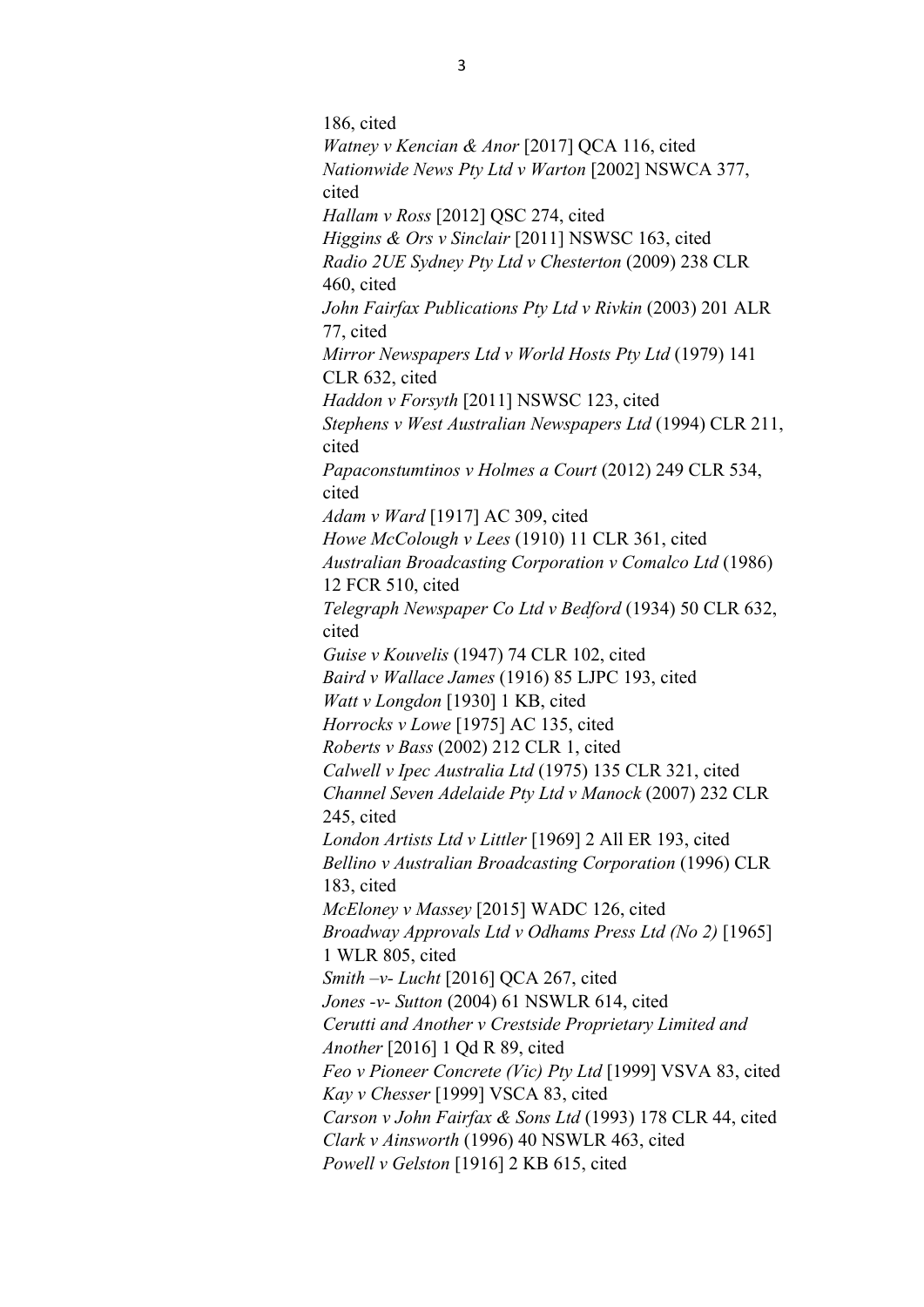186, cited *Watney v Kencian & Anor* [2017] QCA 116, cited *Nationwide News Pty Ltd v Warton* [2002] NSWCA 377, cited *Hallam v Ross* [2012] QSC 274, cited *Higgins & Ors v Sinclair* [2011] NSWSC 163, cited *Radio 2UE Sydney Pty Ltd v Chesterton* (2009) 238 CLR 460, cited *John Fairfax Publications Pty Ltd v Rivkin* (2003) 201 ALR 77, cited *Mirror Newspapers Ltd v World Hosts Pty Ltd* (1979) 141 CLR 632, cited *Haddon v Forsyth* [2011] NSWSC 123, cited *Stephens v West Australian Newspapers Ltd* (1994) CLR 211, cited *Papaconstumtinos v Holmes a Court* (2012) 249 CLR 534, cited *Adam v Ward* [1917] AC 309, cited *Howe McColough v Lees* (1910) 11 CLR 361, cited *Australian Broadcasting Corporation v Comalco Ltd* (1986) 12 FCR 510, cited *Telegraph Newspaper Co Ltd v Bedford* (1934) 50 CLR 632, cited *Guise v Kouvelis* (1947) 74 CLR 102, cited *Baird v Wallace James* (1916) 85 LJPC 193, cited *Watt v Longdon* [1930] 1 KB, cited *Horrocks v Lowe* [1975] AC 135, cited *Roberts v Bass* (2002) 212 CLR 1, cited *Calwell v Ipec Australia Ltd* (1975) 135 CLR 321, cited *Channel Seven Adelaide Pty Ltd v Manock* (2007) 232 CLR 245, cited *London Artists Ltd v Littler* [1969] 2 All ER 193, cited *Bellino v Australian Broadcasting Corporation* (1996) CLR 183, cited *McEloney v Massey* [2015] WADC 126, cited *Broadway Approvals Ltd v Odhams Press Ltd (No 2)* [1965] 1 WLR 805, cited *Smith –v- Lucht* [2016] QCA 267, cited *Jones -v- Sutton* (2004) 61 NSWLR 614, cited *Cerutti and Another v Crestside Proprietary Limited and Another* [2016] 1 Qd R 89, cited *Feo v Pioneer Concrete (Vic) Pty Ltd* [1999] VSVA 83, cited *Kay v Chesser* [1999] VSCA 83, cited *Carson v John Fairfax & Sons Ltd* (1993) 178 CLR 44, cited *Clark v Ainsworth* (1996) 40 NSWLR 463, cited *Powell v Gelston* [1916] 2 KB 615, cited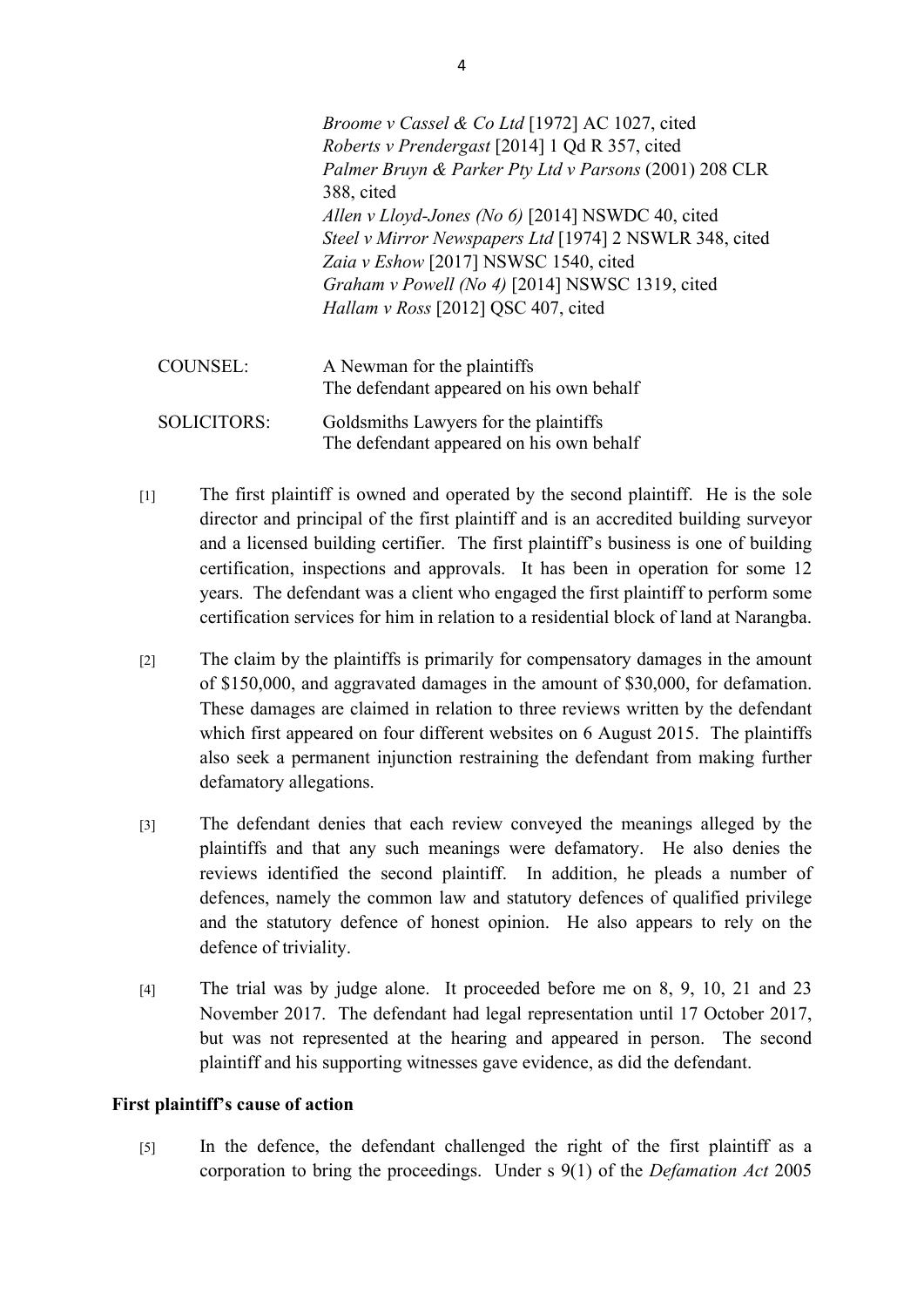|                    | <i>Broome v Cassel &amp; Co Ltd</i> [1972] AC 1027, cited<br><i>Roberts v Prendergast</i> [2014] 1 Qd R 357, cited<br>Palmer Bruyn & Parker Pty Ltd v Parsons (2001) 208 CLR<br>388, cited<br>Allen v Lloyd-Jones (No 6) [2014] NSWDC 40, cited<br>Steel v Mirror Newspapers Ltd [1974] 2 NSWLR 348, cited<br>Zaia v Eshow [2017] NSWSC 1540, cited<br>Graham v Powell (No 4) [2014] NSWSC 1319, cited<br>Hallam v Ross [2012] QSC 407, cited |
|--------------------|-----------------------------------------------------------------------------------------------------------------------------------------------------------------------------------------------------------------------------------------------------------------------------------------------------------------------------------------------------------------------------------------------------------------------------------------------|
| <b>COUNSEL:</b>    | A Newman for the plaintiffs<br>The defendant appeared on his own behalf                                                                                                                                                                                                                                                                                                                                                                       |
| <b>SOLICITORS:</b> | Goldsmiths Lawyers for the plaintiffs<br>The defendant appeared on his own behalf                                                                                                                                                                                                                                                                                                                                                             |

- [1] The first plaintiff is owned and operated by the second plaintiff. He is the sole director and principal of the first plaintiff and is an accredited building surveyor and a licensed building certifier. The first plaintiff's business is one of building certification, inspections and approvals. It has been in operation for some 12 years. The defendant was a client who engaged the first plaintiff to perform some certification services for him in relation to a residential block of land at Narangba.
- [2] The claim by the plaintiffs is primarily for compensatory damages in the amount of \$150,000, and aggravated damages in the amount of \$30,000, for defamation. These damages are claimed in relation to three reviews written by the defendant which first appeared on four different websites on 6 August 2015. The plaintiffs also seek a permanent injunction restraining the defendant from making further defamatory allegations.
- [3] The defendant denies that each review conveyed the meanings alleged by the plaintiffs and that any such meanings were defamatory. He also denies the reviews identified the second plaintiff. In addition, he pleads a number of defences, namely the common law and statutory defences of qualified privilege and the statutory defence of honest opinion. He also appears to rely on the defence of triviality.
- [4] The trial was by judge alone. It proceeded before me on 8, 9, 10, 21 and 23 November 2017. The defendant had legal representation until 17 October 2017, but was not represented at the hearing and appeared in person. The second plaintiff and his supporting witnesses gave evidence, as did the defendant.

#### **First plaintiff's cause of action**

[5] In the defence, the defendant challenged the right of the first plaintiff as a corporation to bring the proceedings. Under s 9(1) of the *Defamation Act* 2005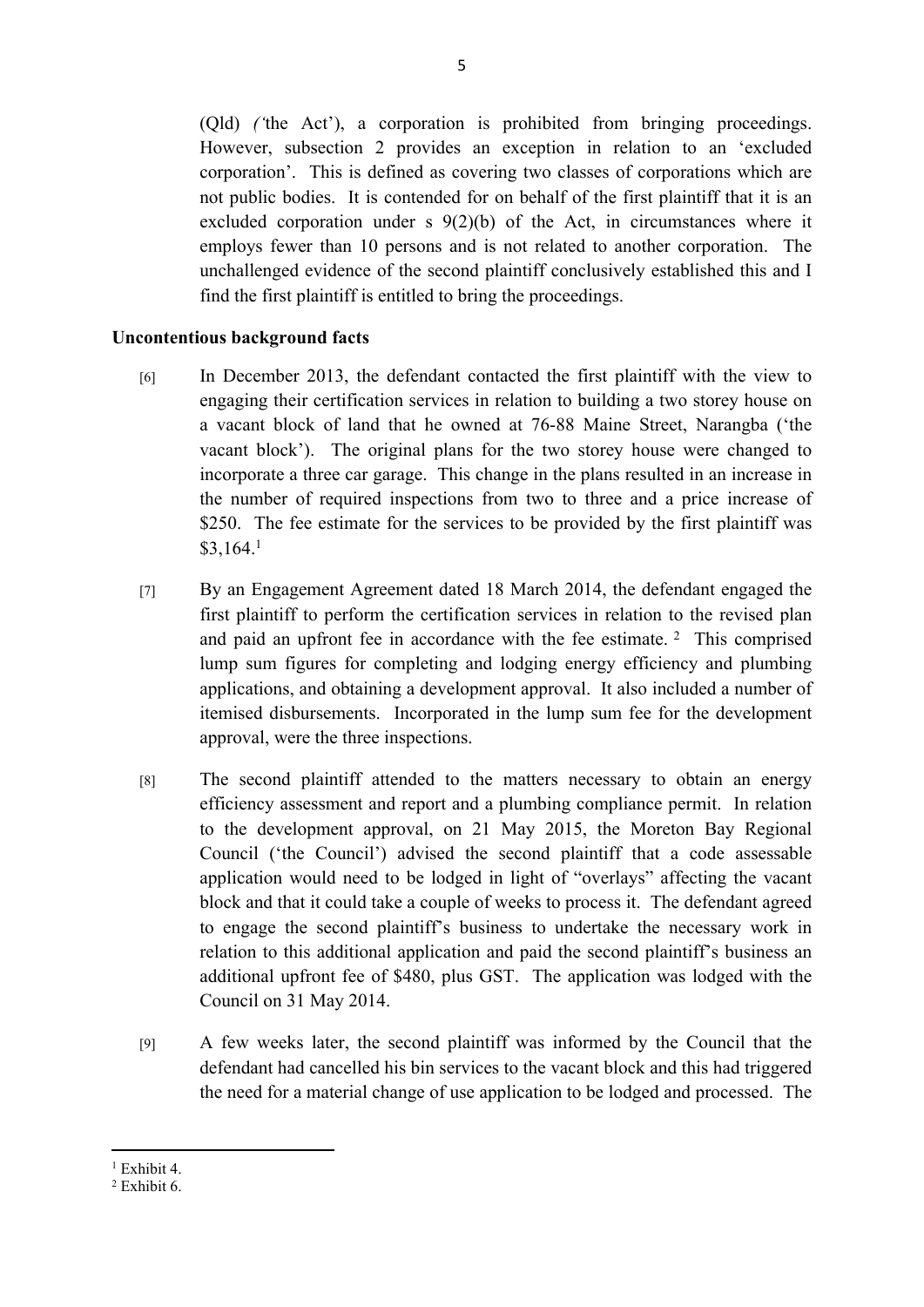(Qld) *('*the Act'), a corporation is prohibited from bringing proceedings. However, subsection 2 provides an exception in relation to an 'excluded corporation'. This is defined as covering two classes of corporations which are not public bodies. It is contended for on behalf of the first plaintiff that it is an excluded corporation under s 9(2)(b) of the Act, in circumstances where it employs fewer than 10 persons and is not related to another corporation. The unchallenged evidence of the second plaintiff conclusively established this and I find the first plaintiff is entitled to bring the proceedings.

## **Uncontentious background facts**

- [6] In December 2013, the defendant contacted the first plaintiff with the view to engaging their certification services in relation to building a two storey house on a vacant block of land that he owned at 76-88 Maine Street, Narangba ('the vacant block'). The original plans for the two storey house were changed to incorporate a three car garage. This change in the plans resulted in an increase in the number of required inspections from two to three and a price increase of \$250. The fee estimate for the services to be provided by the first plaintiff was \$3,164.<sup>1</sup>
- [7] By an Engagement Agreement dated 18 March 2014, the defendant engaged the first plaintiff to perform the certification services in relation to the revised plan and paid an upfront fee in accordance with the fee estimate.  $2$  This comprised lump sum figures for completing and lodging energy efficiency and plumbing applications, and obtaining a development approval. It also included a number of itemised disbursements. Incorporated in the lump sum fee for the development approval, were the three inspections.
- [8] The second plaintiff attended to the matters necessary to obtain an energy efficiency assessment and report and a plumbing compliance permit. In relation to the development approval, on 21 May 2015, the Moreton Bay Regional Council ('the Council') advised the second plaintiff that a code assessable application would need to be lodged in light of "overlays" affecting the vacant block and that it could take a couple of weeks to process it. The defendant agreed to engage the second plaintiff's business to undertake the necessary work in relation to this additional application and paid the second plaintiff's business an additional upfront fee of \$480, plus GST. The application was lodged with the Council on 31 May 2014.
- [9] A few weeks later, the second plaintiff was informed by the Council that the defendant had cancelled his bin services to the vacant block and this had triggered the need for a material change of use application to be lodged and processed. The

<sup>1</sup> Exhibit 4.

<sup>2</sup> Exhibit 6.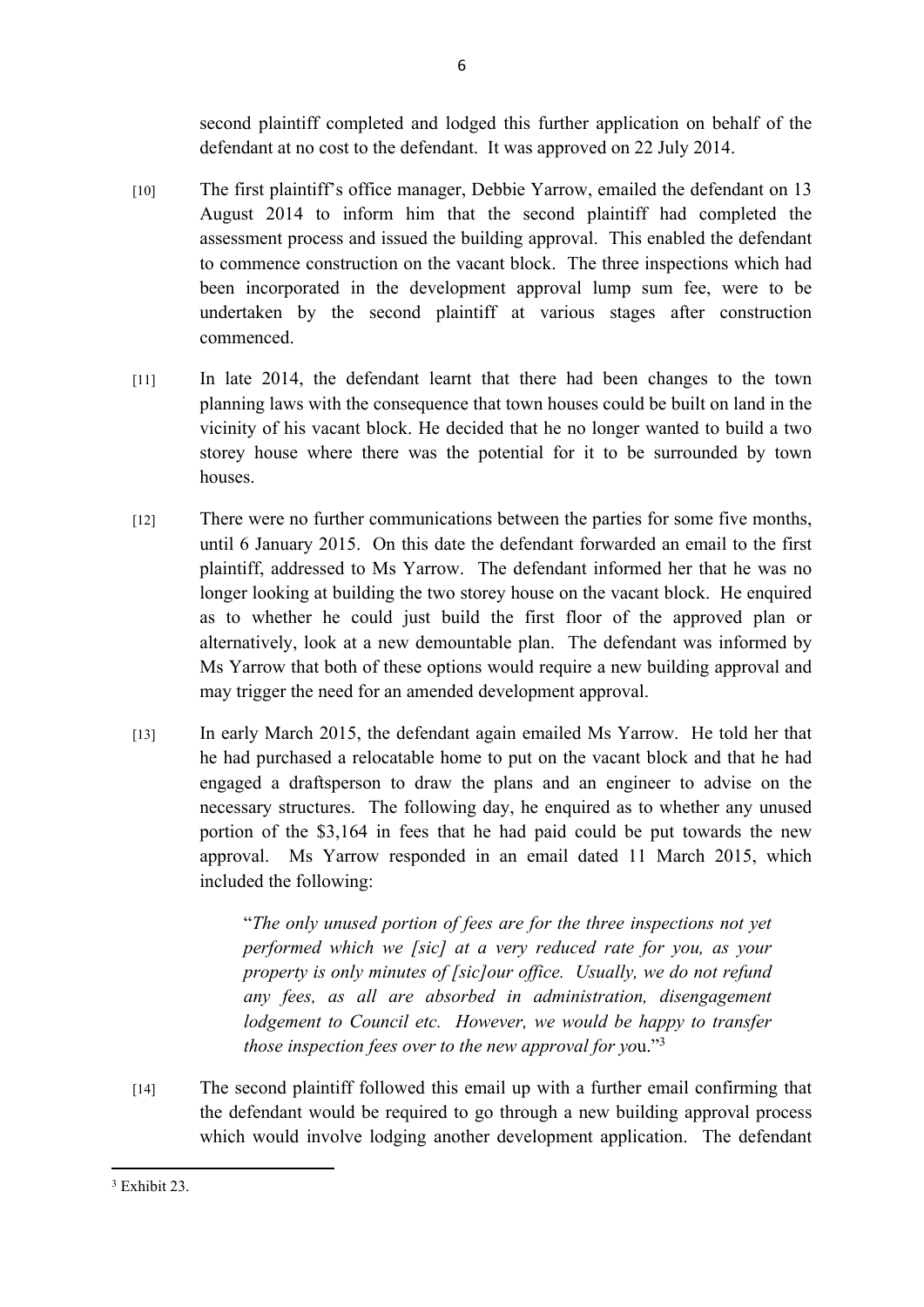second plaintiff completed and lodged this further application on behalf of the defendant at no cost to the defendant. It was approved on 22 July 2014.

- [10] The first plaintiff's office manager, Debbie Yarrow, emailed the defendant on 13 August 2014 to inform him that the second plaintiff had completed the assessment process and issued the building approval. This enabled the defendant to commence construction on the vacant block. The three inspections which had been incorporated in the development approval lump sum fee, were to be undertaken by the second plaintiff at various stages after construction commenced.
- [11] In late 2014, the defendant learnt that there had been changes to the town planning laws with the consequence that town houses could be built on land in the vicinity of his vacant block. He decided that he no longer wanted to build a two storey house where there was the potential for it to be surrounded by town houses.
- [12] There were no further communications between the parties for some five months, until 6 January 2015. On this date the defendant forwarded an email to the first plaintiff, addressed to Ms Yarrow. The defendant informed her that he was no longer looking at building the two storey house on the vacant block. He enquired as to whether he could just build the first floor of the approved plan or alternatively, look at a new demountable plan. The defendant was informed by Ms Yarrow that both of these options would require a new building approval and may trigger the need for an amended development approval.
- [13] In early March 2015, the defendant again emailed Ms Yarrow. He told her that he had purchased a relocatable home to put on the vacant block and that he had engaged a draftsperson to draw the plans and an engineer to advise on the necessary structures. The following day, he enquired as to whether any unused portion of the \$3,164 in fees that he had paid could be put towards the new approval. Ms Yarrow responded in an email dated 11 March 2015, which included the following:

"*The only unused portion of fees are for the three inspections not yet performed which we [sic] at a very reduced rate for you, as your property is only minutes of [sic]our office. Usually, we do not refund any fees, as all are absorbed in administration, disengagement lodgement to Council etc. However, we would be happy to transfer those inspection fees over to the new approval for yo*u."<sup>3</sup>

[14] The second plaintiff followed this email up with a further email confirming that the defendant would be required to go through a new building approval process which would involve lodging another development application. The defendant

<sup>3</sup> Exhibit 23.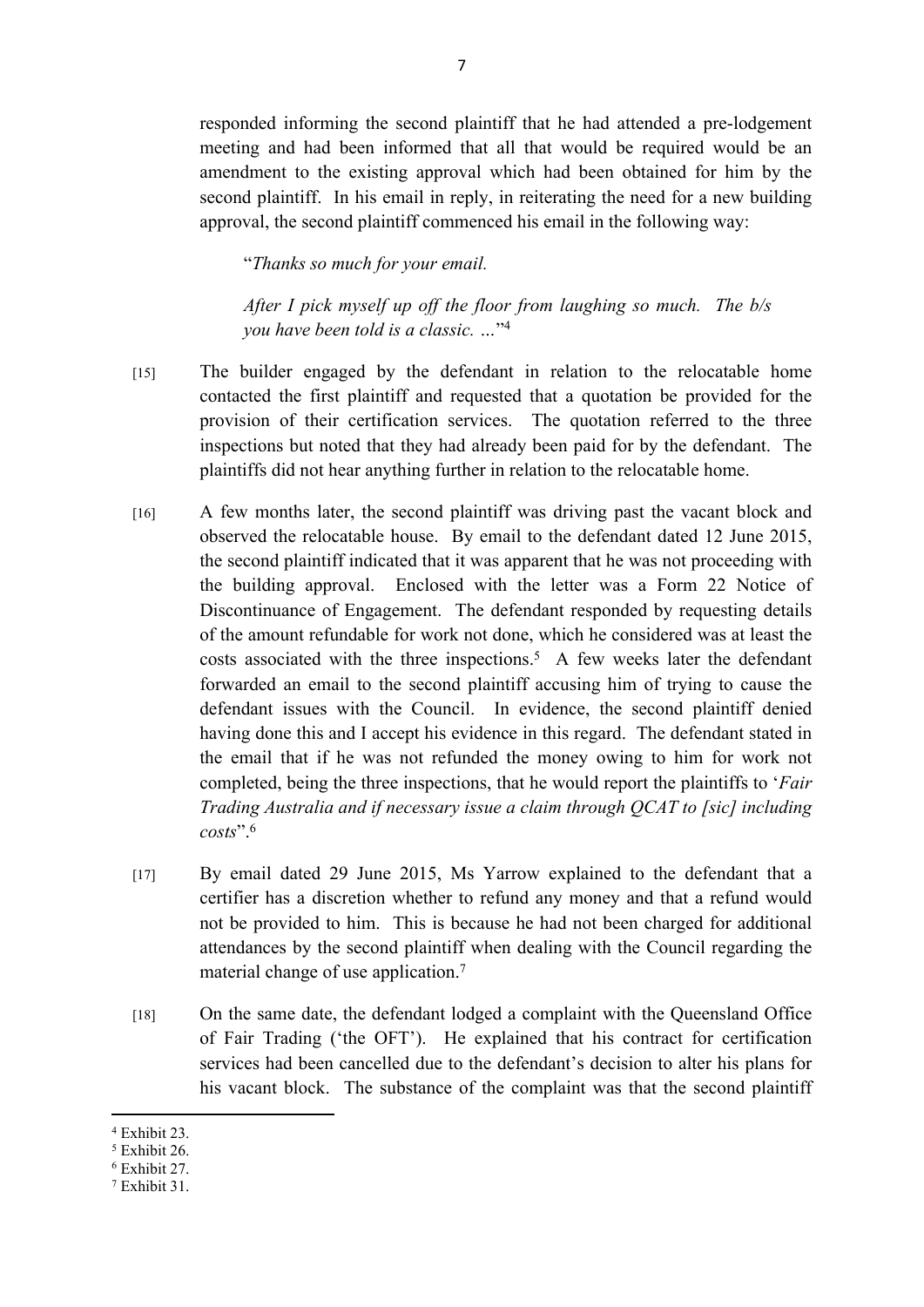responded informing the second plaintiff that he had attended a pre-lodgement meeting and had been informed that all that would be required would be an amendment to the existing approval which had been obtained for him by the second plaintiff. In his email in reply, in reiterating the need for a new building approval, the second plaintiff commenced his email in the following way:

"*Thanks so much for your email.*

*After I pick myself up off the floor from laughing so much. The b/s you have been told is a classic. …*" 4

- [15] The builder engaged by the defendant in relation to the relocatable home contacted the first plaintiff and requested that a quotation be provided for the provision of their certification services. The quotation referred to the three inspections but noted that they had already been paid for by the defendant. The plaintiffs did not hear anything further in relation to the relocatable home.
- [16] A few months later, the second plaintiff was driving past the vacant block and observed the relocatable house. By email to the defendant dated 12 June 2015, the second plaintiff indicated that it was apparent that he was not proceeding with the building approval. Enclosed with the letter was a Form 22 Notice of Discontinuance of Engagement. The defendant responded by requesting details of the amount refundable for work not done, which he considered was at least the costs associated with the three inspections.<sup>5</sup> A few weeks later the defendant forwarded an email to the second plaintiff accusing him of trying to cause the defendant issues with the Council. In evidence, the second plaintiff denied having done this and I accept his evidence in this regard. The defendant stated in the email that if he was not refunded the money owing to him for work not completed, being the three inspections, that he would report the plaintiffs to '*Fair Trading Australia and if necessary issue a claim through QCAT to [sic] including costs*".<sup>6</sup>
- [17] By email dated 29 June 2015, Ms Yarrow explained to the defendant that a certifier has a discretion whether to refund any money and that a refund would not be provided to him. This is because he had not been charged for additional attendances by the second plaintiff when dealing with the Council regarding the material change of use application.<sup>7</sup>
- [18] On the same date, the defendant lodged a complaint with the Queensland Office of Fair Trading ('the OFT'). He explained that his contract for certification services had been cancelled due to the defendant's decision to alter his plans for his vacant block. The substance of the complaint was that the second plaintiff

<sup>4</sup> Exhibit 23.

<sup>5</sup> Exhibit 26.

<sup>6</sup> Exhibit 27.

<sup>7</sup> Exhibit 31.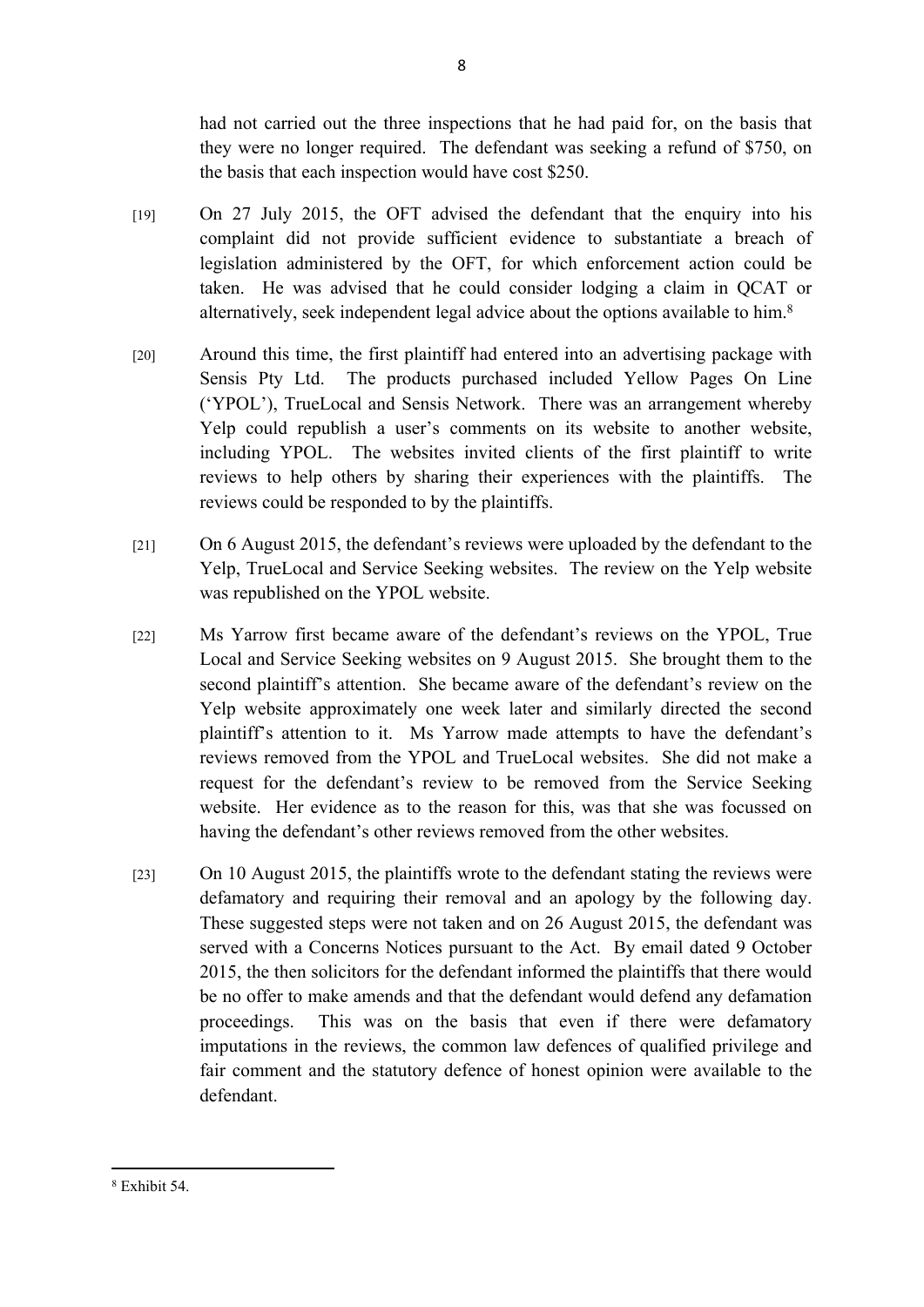had not carried out the three inspections that he had paid for, on the basis that they were no longer required. The defendant was seeking a refund of \$750, on the basis that each inspection would have cost \$250.

- [19] On 27 July 2015, the OFT advised the defendant that the enquiry into his complaint did not provide sufficient evidence to substantiate a breach of legislation administered by the OFT, for which enforcement action could be taken. He was advised that he could consider lodging a claim in QCAT or alternatively, seek independent legal advice about the options available to him.<sup>8</sup>
- [20] Around this time, the first plaintiff had entered into an advertising package with Sensis Pty Ltd. The products purchased included Yellow Pages On Line ('YPOL'), TrueLocal and Sensis Network. There was an arrangement whereby Yelp could republish a user's comments on its website to another website, including YPOL. The websites invited clients of the first plaintiff to write reviews to help others by sharing their experiences with the plaintiffs. The reviews could be responded to by the plaintiffs.
- [21] On 6 August 2015, the defendant's reviews were uploaded by the defendant to the Yelp, TrueLocal and Service Seeking websites. The review on the Yelp website was republished on the YPOL website.
- [22] Ms Yarrow first became aware of the defendant's reviews on the YPOL, True Local and Service Seeking websites on 9 August 2015. She brought them to the second plaintiff's attention. She became aware of the defendant's review on the Yelp website approximately one week later and similarly directed the second plaintiff's attention to it. Ms Yarrow made attempts to have the defendant's reviews removed from the YPOL and TrueLocal websites. She did not make a request for the defendant's review to be removed from the Service Seeking website. Her evidence as to the reason for this, was that she was focussed on having the defendant's other reviews removed from the other websites.
- [23] On 10 August 2015, the plaintiffs wrote to the defendant stating the reviews were defamatory and requiring their removal and an apology by the following day. These suggested steps were not taken and on 26 August 2015, the defendant was served with a Concerns Notices pursuant to the Act. By email dated 9 October 2015, the then solicitors for the defendant informed the plaintiffs that there would be no offer to make amends and that the defendant would defend any defamation proceedings. This was on the basis that even if there were defamatory imputations in the reviews, the common law defences of qualified privilege and fair comment and the statutory defence of honest opinion were available to the defendant.

<sup>8</sup> Exhibit 54.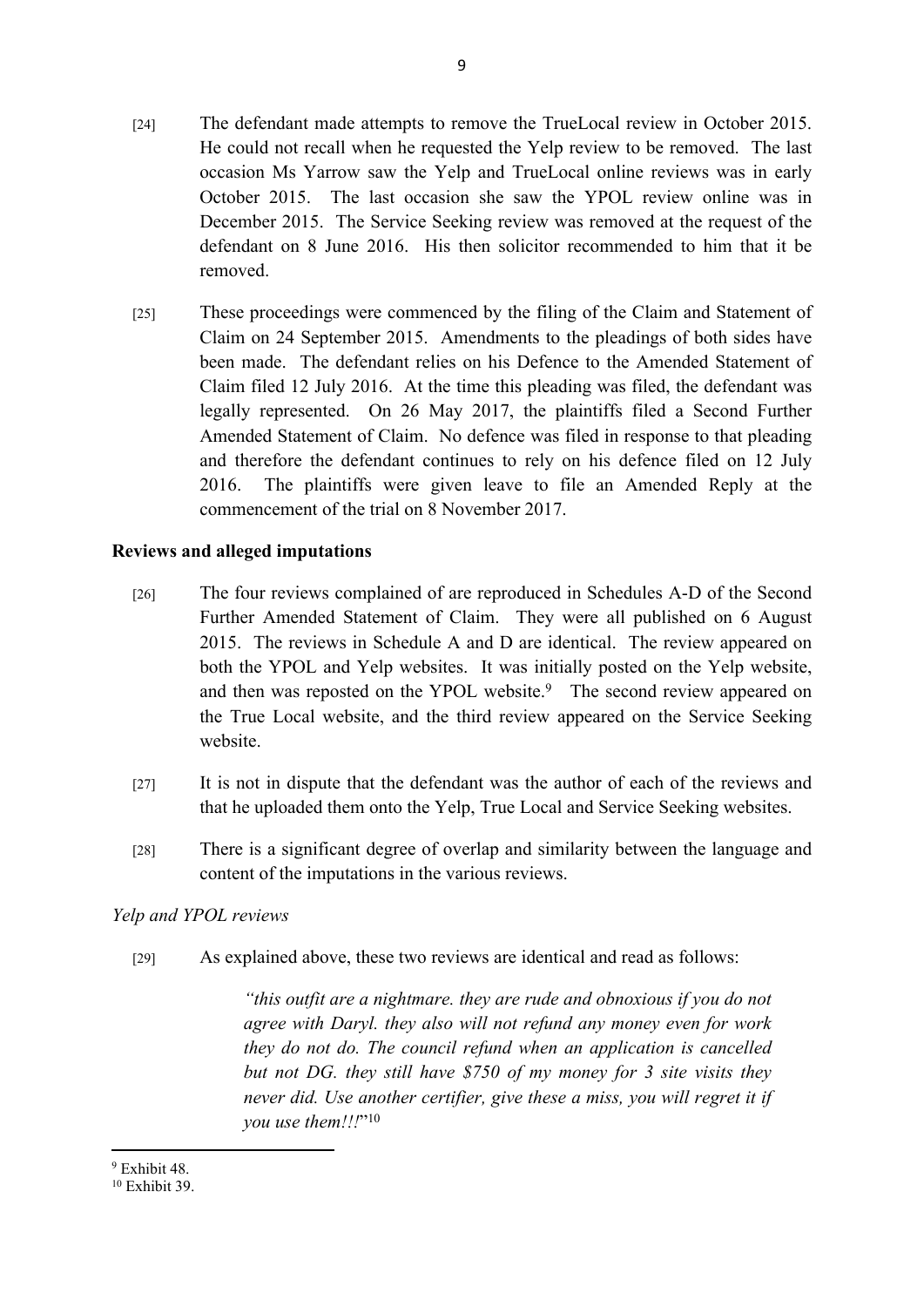- [24] The defendant made attempts to remove the TrueLocal review in October 2015. He could not recall when he requested the Yelp review to be removed. The last occasion Ms Yarrow saw the Yelp and TrueLocal online reviews was in early October 2015. The last occasion she saw the YPOL review online was in December 2015. The Service Seeking review was removed at the request of the defendant on 8 June 2016. His then solicitor recommended to him that it be removed.
- [25] These proceedings were commenced by the filing of the Claim and Statement of Claim on 24 September 2015. Amendments to the pleadings of both sides have been made. The defendant relies on his Defence to the Amended Statement of Claim filed 12 July 2016. At the time this pleading was filed, the defendant was legally represented. On 26 May 2017, the plaintiffs filed a Second Further Amended Statement of Claim. No defence was filed in response to that pleading and therefore the defendant continues to rely on his defence filed on 12 July 2016. The plaintiffs were given leave to file an Amended Reply at the commencement of the trial on 8 November 2017.

## **Reviews and alleged imputations**

- [26] The four reviews complained of are reproduced in Schedules A-D of the Second Further Amended Statement of Claim. They were all published on 6 August 2015. The reviews in Schedule A and D are identical. The review appeared on both the YPOL and Yelp websites. It was initially posted on the Yelp website, and then was reposted on the YPOL website.<sup>9</sup> The second review appeared on the True Local website, and the third review appeared on the Service Seeking website.
- [27] It is not in dispute that the defendant was the author of each of the reviews and that he uploaded them onto the Yelp, True Local and Service Seeking websites.
- [28] There is a significant degree of overlap and similarity between the language and content of the imputations in the various reviews.

## *Yelp and YPOL reviews*

[29] As explained above, these two reviews are identical and read as follows:

*"this outfit are a nightmare. they are rude and obnoxious if you do not agree with Daryl. they also will not refund any money even for work they do not do. The council refund when an application is cancelled but not DG. they still have \$750 of my money for 3 site visits they never did. Use another certifier, give these a miss, you will regret it if you use them!!!*" 10

<sup>9</sup> Exhibit 48.

<sup>10</sup> Exhibit 39.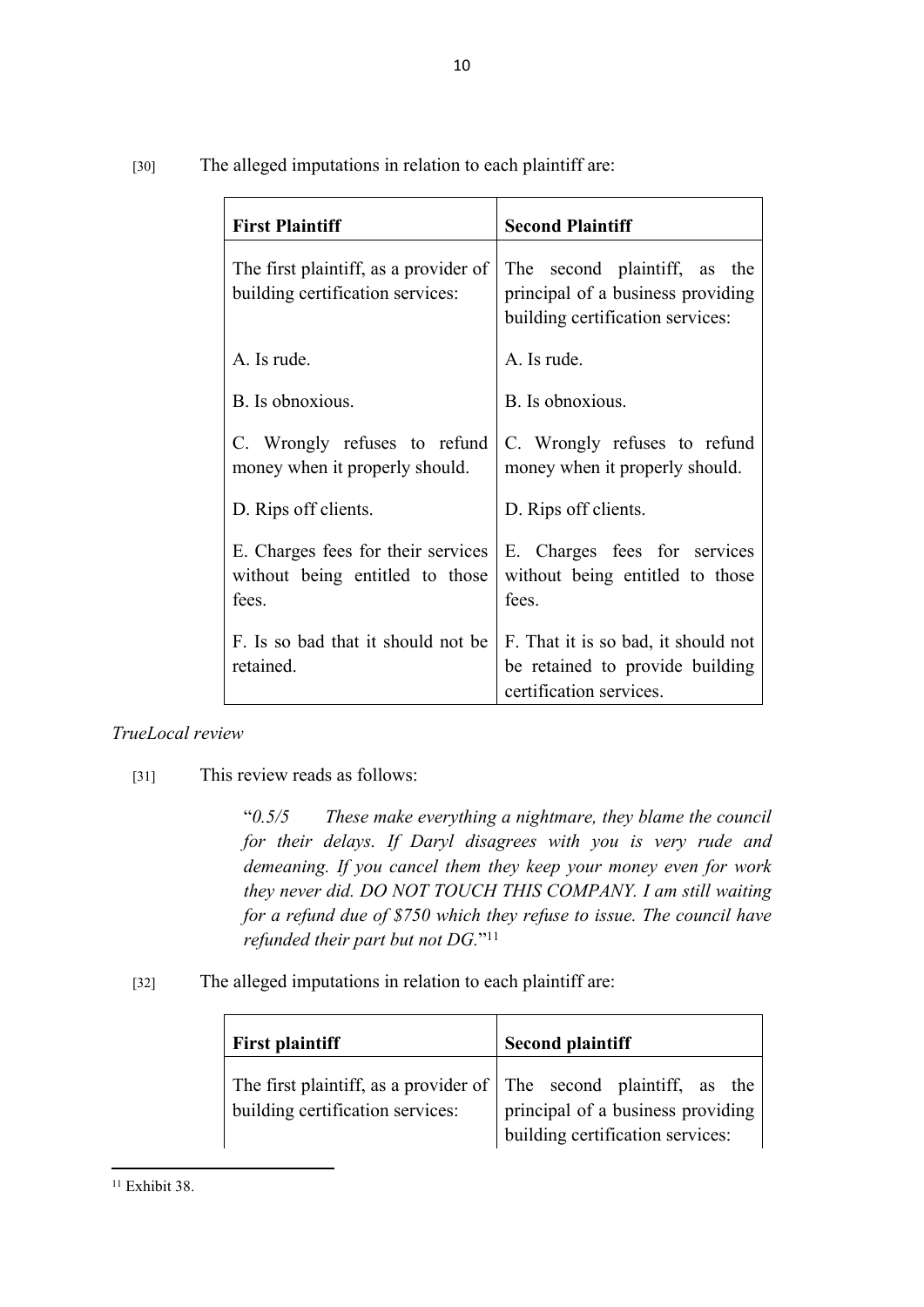|        | The alleged imputations in relation to each plaintiff are: |  |  |
|--------|------------------------------------------------------------|--|--|
| $[30]$ |                                                            |  |  |
|        |                                                            |  |  |

| <b>First Plaintiff</b>                                                         | <b>Second Plaintiff</b>                                                                               |  |
|--------------------------------------------------------------------------------|-------------------------------------------------------------------------------------------------------|--|
| The first plaintiff, as a provider of<br>building certification services:      | The second plaintiff, as the<br>principal of a business providing<br>building certification services: |  |
| A. Is rude.                                                                    | A. Is rude.                                                                                           |  |
| B. Is obnoxious.                                                               | B. Is obnoxious.                                                                                      |  |
| C. Wrongly refuses to refund<br>money when it properly should.                 | C. Wrongly refuses to refund<br>money when it properly should.                                        |  |
| D. Rips off clients.                                                           | D. Rips off clients.                                                                                  |  |
| E. Charges fees for their services<br>without being entitled to those<br>fees. | E. Charges fees for services<br>without being entitled to those<br>fees.                              |  |
| F. Is so bad that it should not be<br>retained                                 | F. That it is so bad, it should not<br>be retained to provide building<br>certification services.     |  |

# *TrueLocal review*

[31] This review reads as follows:

"*0.5/5 These make everything a nightmare, they blame the council for their delays. If Daryl disagrees with you is very rude and demeaning. If you cancel them they keep your money even for work they never did. DO NOT TOUCH THIS COMPANY. I am still waiting for a refund due of \$750 which they refuse to issue. The council have refunded their part but not DG.*" 11

[32] The alleged imputations in relation to each plaintiff are:

| <b>First plaintiff</b>                                                     | <b>Second plaintiff</b>           |
|----------------------------------------------------------------------------|-----------------------------------|
| The first plaintiff, as a provider of $\vert$ The second plaintiff, as the | principal of a business providing |
| building certification services:                                           | building certification services:  |

 $11$  Exhibit 38.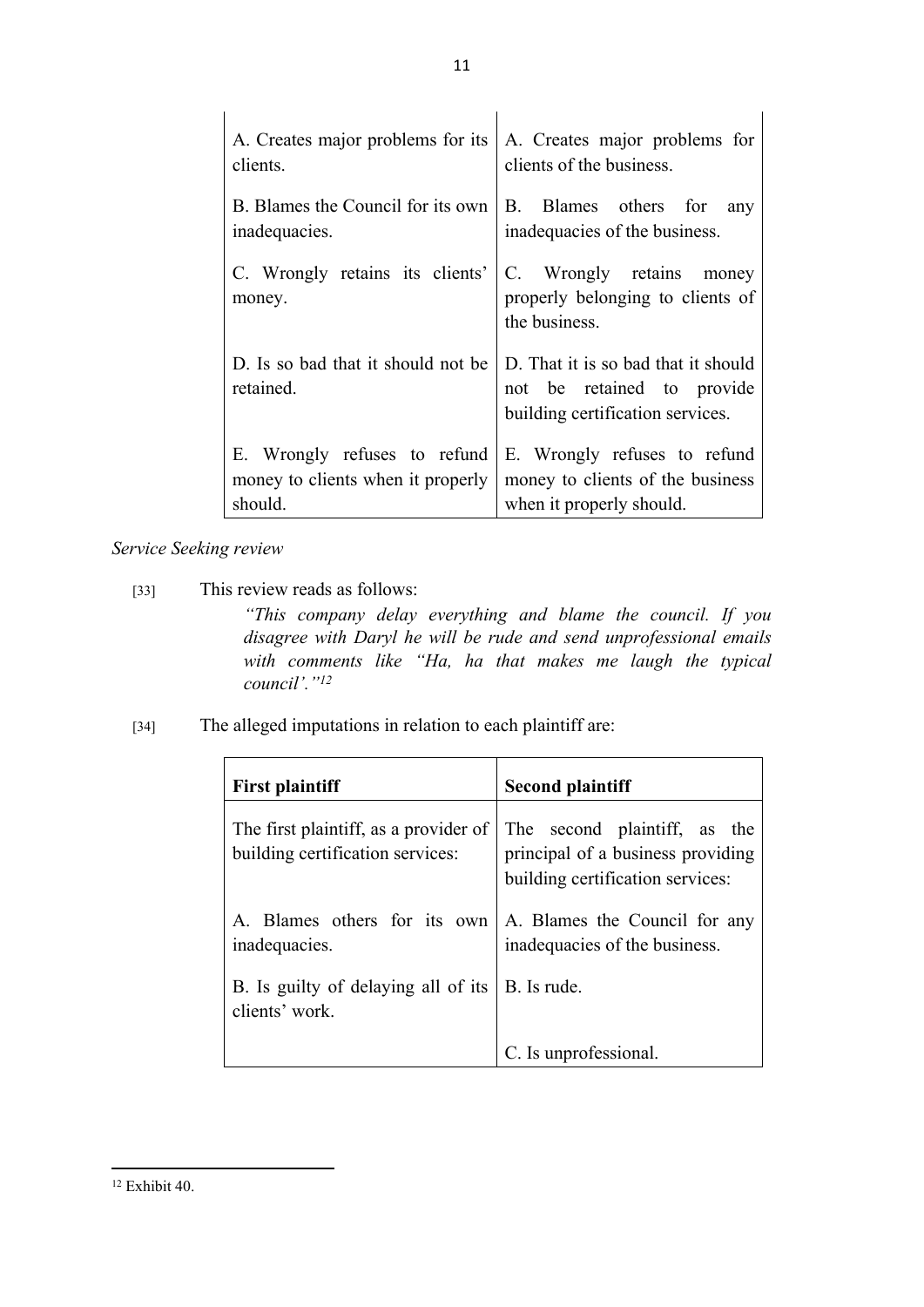| A. Creates major problems for its $\vert$ A. Creates major problems for<br>clients. | clients of the business.                                                                              |
|-------------------------------------------------------------------------------------|-------------------------------------------------------------------------------------------------------|
| B. Blames the Council for its own<br>inadequacies.                                  | <b>B</b> .<br>Blames others for<br>any<br>inadequacies of the business.                               |
| C. Wrongly retains its clients'<br>money.                                           | C. Wrongly retains<br>money<br>properly belonging to clients of<br>the business.                      |
| D. Is so bad that it should not be<br>retained.                                     | D. That it is so bad that it should<br>not be retained to provide<br>building certification services. |
| E. Wrongly refuses to refund<br>money to clients when it properly<br>should.        | E. Wrongly refuses to refund<br>money to clients of the business<br>when it properly should.          |

*Service Seeking review*

- [33] This review reads as follows: *"This company delay everything and blame the council. If you disagree with Daryl he will be rude and send unprofessional emails with comments like "Ha, ha that makes me laugh the typical council'."<sup>12</sup>*
- [34] The alleged imputations in relation to each plaintiff are:

| <b>First plaintiff</b>                                                    | <b>Second plaintiff</b>                                                                               |  |
|---------------------------------------------------------------------------|-------------------------------------------------------------------------------------------------------|--|
| The first plaintiff, as a provider of<br>building certification services: | The second plaintiff, as the<br>principal of a business providing<br>building certification services: |  |
| A. Blames others for its own<br>inadequacies.                             | A. Blames the Council for any<br>inadequacies of the business.                                        |  |
| B. Is guilty of delaying all of its<br>clients' work.                     | B. Is rude.                                                                                           |  |
|                                                                           | C. Is unprofessional.                                                                                 |  |

<sup>12</sup> Exhibit 40.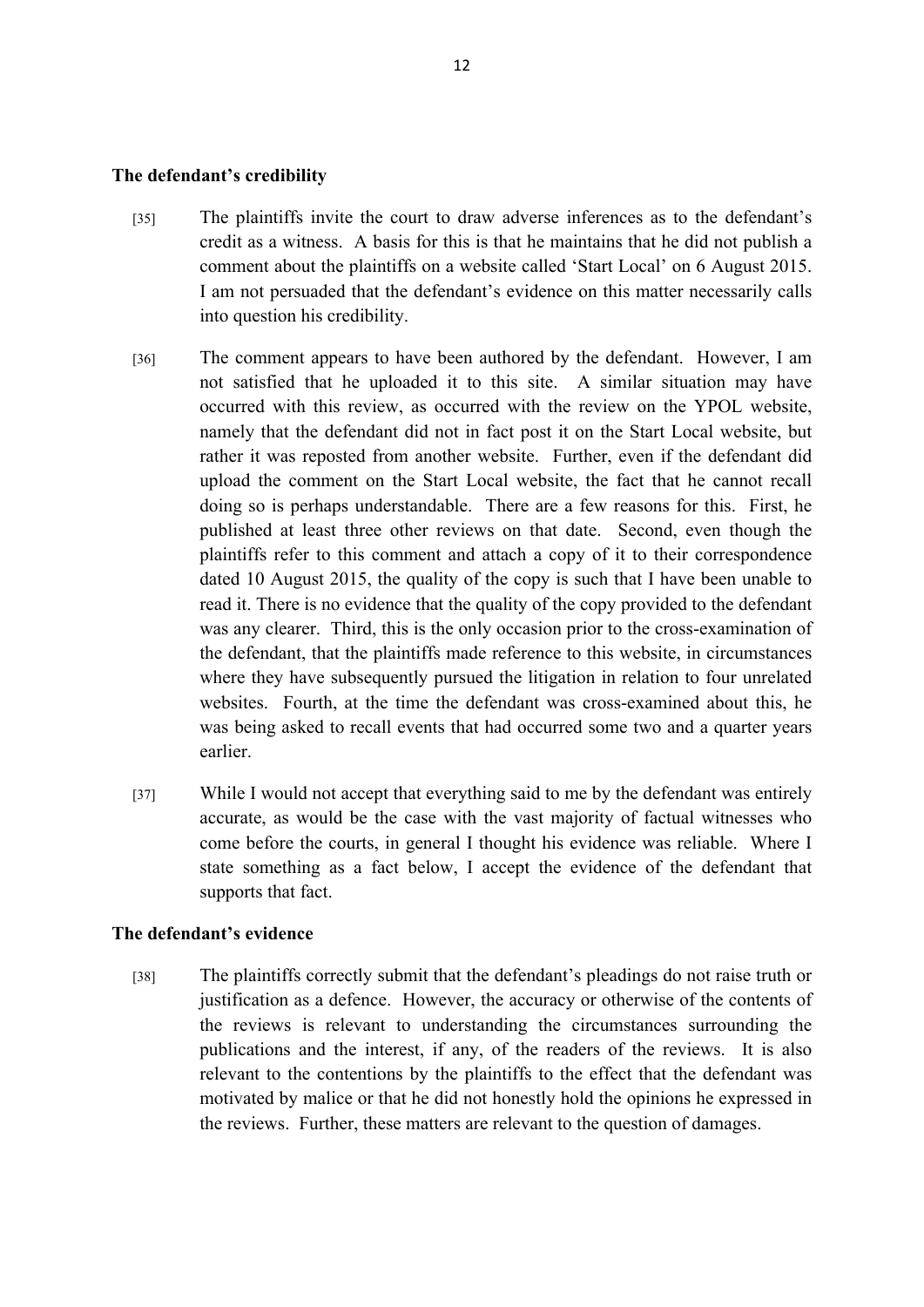#### **The defendant's credibility**

- [35] The plaintiffs invite the court to draw adverse inferences as to the defendant's credit as a witness. A basis for this is that he maintains that he did not publish a comment about the plaintiffs on a website called 'Start Local' on 6 August 2015. I am not persuaded that the defendant's evidence on this matter necessarily calls into question his credibility.
- [36] The comment appears to have been authored by the defendant. However, I am not satisfied that he uploaded it to this site. A similar situation may have occurred with this review, as occurred with the review on the YPOL website, namely that the defendant did not in fact post it on the Start Local website, but rather it was reposted from another website. Further, even if the defendant did upload the comment on the Start Local website, the fact that he cannot recall doing so is perhaps understandable. There are a few reasons for this. First, he published at least three other reviews on that date. Second, even though the plaintiffs refer to this comment and attach a copy of it to their correspondence dated 10 August 2015, the quality of the copy is such that I have been unable to read it. There is no evidence that the quality of the copy provided to the defendant was any clearer. Third, this is the only occasion prior to the cross-examination of the defendant, that the plaintiffs made reference to this website, in circumstances where they have subsequently pursued the litigation in relation to four unrelated websites. Fourth, at the time the defendant was cross-examined about this, he was being asked to recall events that had occurred some two and a quarter years earlier.
- [37] While I would not accept that everything said to me by the defendant was entirely accurate, as would be the case with the vast majority of factual witnesses who come before the courts, in general I thought his evidence was reliable. Where I state something as a fact below, I accept the evidence of the defendant that supports that fact.

#### **The defendant's evidence**

[38] The plaintiffs correctly submit that the defendant's pleadings do not raise truth or justification as a defence. However, the accuracy or otherwise of the contents of the reviews is relevant to understanding the circumstances surrounding the publications and the interest, if any, of the readers of the reviews. It is also relevant to the contentions by the plaintiffs to the effect that the defendant was motivated by malice or that he did not honestly hold the opinions he expressed in the reviews. Further, these matters are relevant to the question of damages.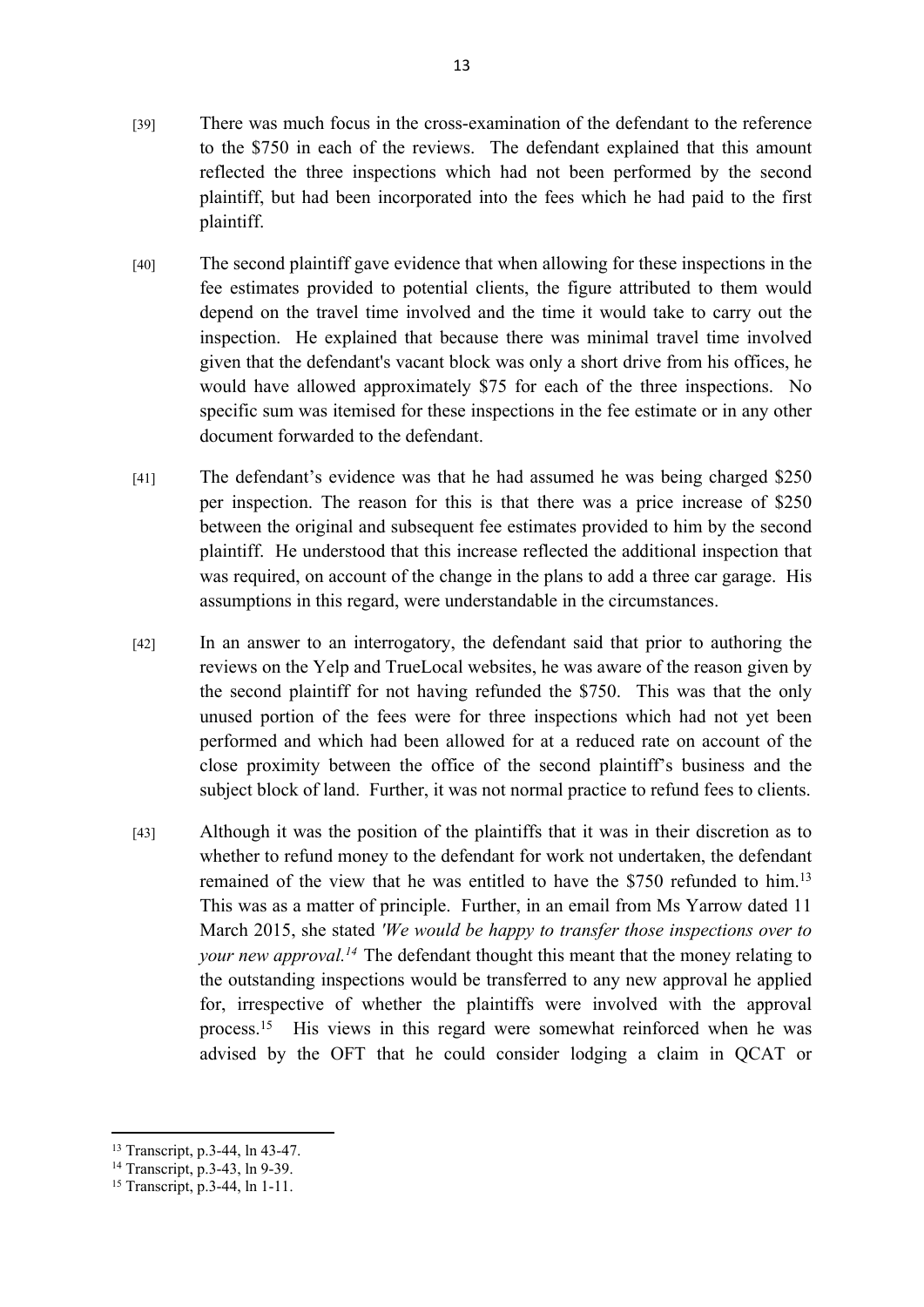- [39] There was much focus in the cross-examination of the defendant to the reference to the \$750 in each of the reviews. The defendant explained that this amount reflected the three inspections which had not been performed by the second plaintiff, but had been incorporated into the fees which he had paid to the first plaintiff.
- [40] The second plaintiff gave evidence that when allowing for these inspections in the fee estimates provided to potential clients, the figure attributed to them would depend on the travel time involved and the time it would take to carry out the inspection. He explained that because there was minimal travel time involved given that the defendant's vacant block was only a short drive from his offices, he would have allowed approximately \$75 for each of the three inspections. No specific sum was itemised for these inspections in the fee estimate or in any other document forwarded to the defendant.
- [41] The defendant's evidence was that he had assumed he was being charged \$250 per inspection. The reason for this is that there was a price increase of \$250 between the original and subsequent fee estimates provided to him by the second plaintiff. He understood that this increase reflected the additional inspection that was required, on account of the change in the plans to add a three car garage. His assumptions in this regard, were understandable in the circumstances.
- [42] In an answer to an interrogatory, the defendant said that prior to authoring the reviews on the Yelp and TrueLocal websites, he was aware of the reason given by the second plaintiff for not having refunded the \$750. This was that the only unused portion of the fees were for three inspections which had not yet been performed and which had been allowed for at a reduced rate on account of the close proximity between the office of the second plaintiff's business and the subject block of land. Further, it was not normal practice to refund fees to clients.
- [43] Although it was the position of the plaintiffs that it was in their discretion as to whether to refund money to the defendant for work not undertaken, the defendant remained of the view that he was entitled to have the \$750 refunded to him.<sup>13</sup> This was as a matter of principle. Further, in an email from Ms Yarrow dated 11 March 2015, she stated *'We would be happy to transfer those inspections over to your new approval.<sup>14</sup>* The defendant thought this meant that the money relating to the outstanding inspections would be transferred to any new approval he applied for, irrespective of whether the plaintiffs were involved with the approval process.<sup>15</sup> His views in this regard were somewhat reinforced when he was advised by the OFT that he could consider lodging a claim in QCAT or

<sup>13</sup> Transcript, p.3-44, ln 43-47.

<sup>14</sup> Transcript, p.3-43, ln 9-39.

<sup>15</sup> Transcript, p.3-44, ln 1-11.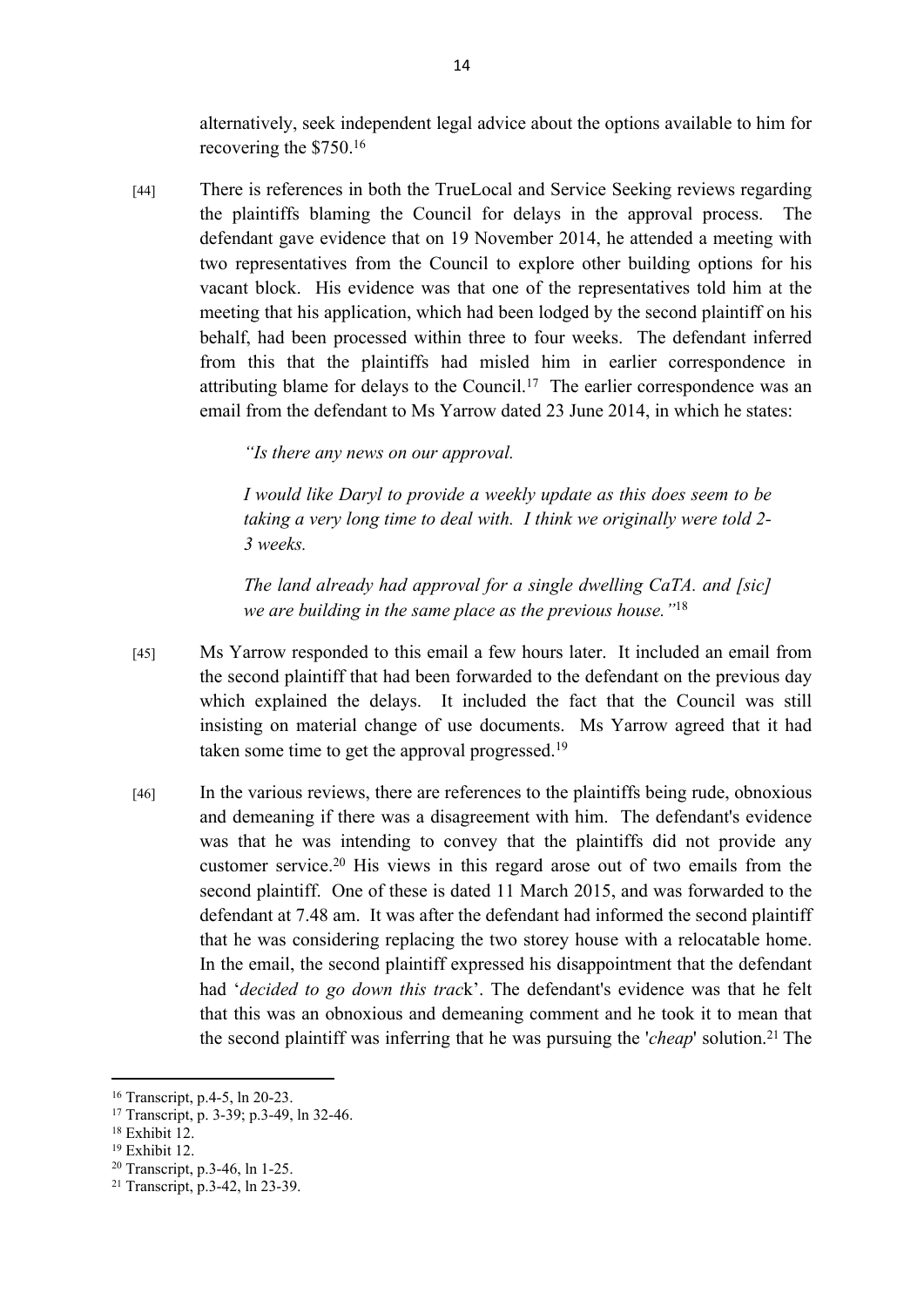alternatively, seek independent legal advice about the options available to him for recovering the \$750.<sup>16</sup>

[44] There is references in both the TrueLocal and Service Seeking reviews regarding the plaintiffs blaming the Council for delays in the approval process. The defendant gave evidence that on 19 November 2014, he attended a meeting with two representatives from the Council to explore other building options for his vacant block. His evidence was that one of the representatives told him at the meeting that his application, which had been lodged by the second plaintiff on his behalf, had been processed within three to four weeks. The defendant inferred from this that the plaintiffs had misled him in earlier correspondence in attributing blame for delays to the Council.<sup>17</sup> The earlier correspondence was an email from the defendant to Ms Yarrow dated 23 June 2014, in which he states:

*"Is there any news on our approval.*

*I would like Daryl to provide a weekly update as this does seem to be taking a very long time to deal with. I think we originally were told 2- 3 weeks.* 

*The land already had approval for a single dwelling CaTA. and [sic] we are building in the same place as the previous house."*<sup>18</sup>

- [45] Ms Yarrow responded to this email a few hours later. It included an email from the second plaintiff that had been forwarded to the defendant on the previous day which explained the delays. It included the fact that the Council was still insisting on material change of use documents. Ms Yarrow agreed that it had taken some time to get the approval progressed.<sup>19</sup>
- [46] In the various reviews, there are references to the plaintiffs being rude, obnoxious and demeaning if there was a disagreement with him. The defendant's evidence was that he was intending to convey that the plaintiffs did not provide any customer service.<sup>20</sup> His views in this regard arose out of two emails from the second plaintiff. One of these is dated 11 March 2015, and was forwarded to the defendant at 7.48 am. It was after the defendant had informed the second plaintiff that he was considering replacing the two storey house with a relocatable home. In the email, the second plaintiff expressed his disappointment that the defendant had '*decided to go down this trac*k'. The defendant's evidence was that he felt that this was an obnoxious and demeaning comment and he took it to mean that the second plaintiff was inferring that he was pursuing the '*cheap*' solution.<sup>21</sup> The

<sup>16</sup> Transcript, p.4-5, ln 20-23.

<sup>17</sup> Transcript, p. 3-39; p.3-49, ln 32-46.

<sup>18</sup> Exhibit 12.

<sup>19</sup> Exhibit 12.

<sup>20</sup> Transcript, p.3-46, ln 1-25.

<sup>21</sup> Transcript, p.3-42, ln 23-39.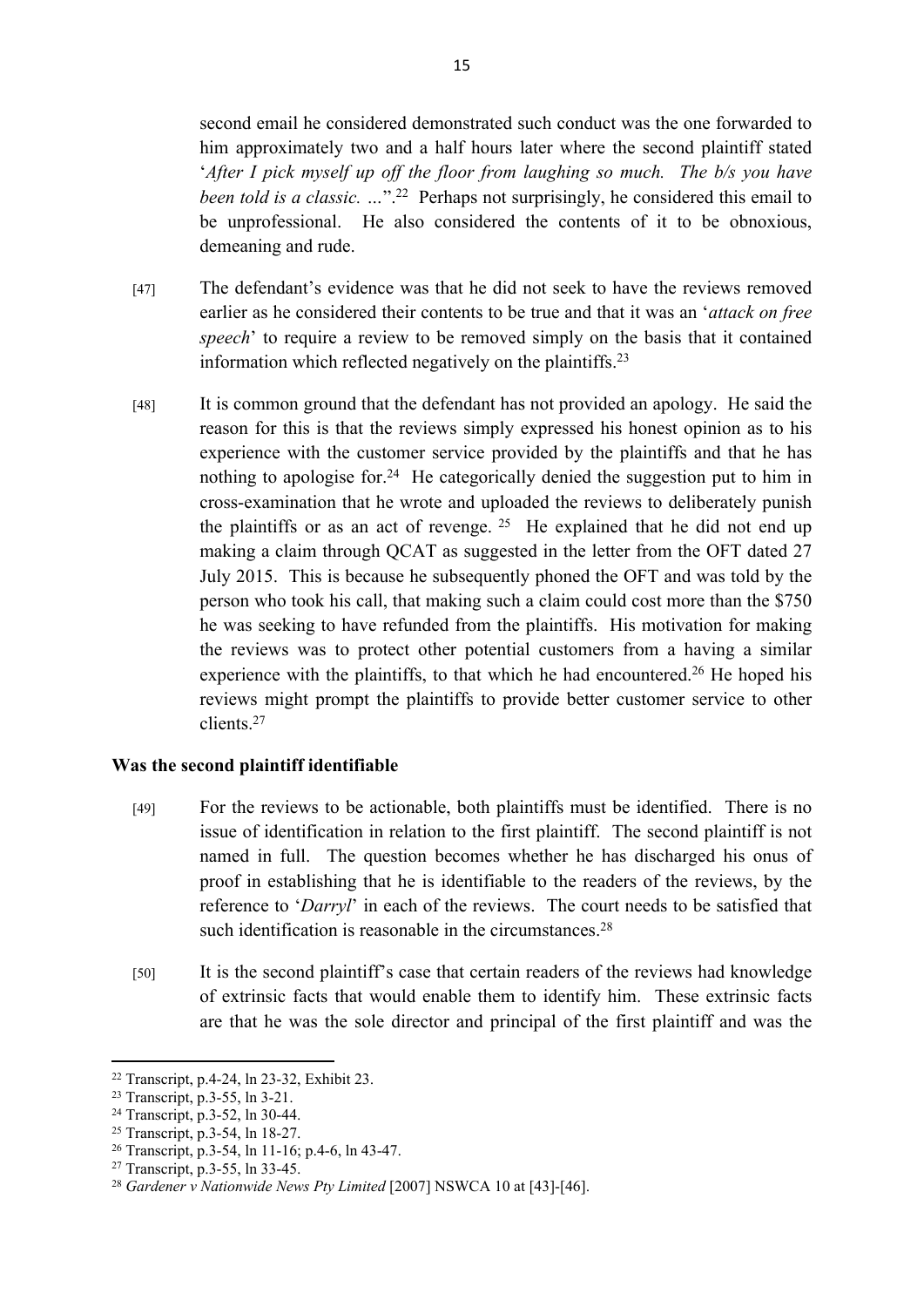second email he considered demonstrated such conduct was the one forwarded to him approximately two and a half hours later where the second plaintiff stated '*After I pick myself up off the floor from laughing so much. The b/s you have been told is a classic.* ..."<sup>22</sup> Perhaps not surprisingly, he considered this email to be unprofessional. He also considered the contents of it to be obnoxious, demeaning and rude.

- [47] The defendant's evidence was that he did not seek to have the reviews removed earlier as he considered their contents to be true and that it was an '*attack on free speech*' to require a review to be removed simply on the basis that it contained information which reflected negatively on the plaintiffs.<sup>23</sup>
- [48] It is common ground that the defendant has not provided an apology. He said the reason for this is that the reviews simply expressed his honest opinion as to his experience with the customer service provided by the plaintiffs and that he has nothing to apologise for.<sup>24</sup> He categorically denied the suggestion put to him in cross-examination that he wrote and uploaded the reviews to deliberately punish the plaintiffs or as an act of revenge.<sup>25</sup> He explained that he did not end up making a claim through QCAT as suggested in the letter from the OFT dated 27 July 2015. This is because he subsequently phoned the OFT and was told by the person who took his call, that making such a claim could cost more than the \$750 he was seeking to have refunded from the plaintiffs. His motivation for making the reviews was to protect other potential customers from a having a similar experience with the plaintiffs, to that which he had encountered.<sup>26</sup> He hoped his reviews might prompt the plaintiffs to provide better customer service to other clients.<sup>27</sup>

#### **Was the second plaintiff identifiable**

- [49] For the reviews to be actionable, both plaintiffs must be identified. There is no issue of identification in relation to the first plaintiff. The second plaintiff is not named in full. The question becomes whether he has discharged his onus of proof in establishing that he is identifiable to the readers of the reviews, by the reference to '*Darryl*' in each of the reviews. The court needs to be satisfied that such identification is reasonable in the circumstances.<sup>28</sup>
- [50] It is the second plaintiff's case that certain readers of the reviews had knowledge of extrinsic facts that would enable them to identify him. These extrinsic facts are that he was the sole director and principal of the first plaintiff and was the

<sup>22</sup> Transcript, p.4-24, ln 23-32, Exhibit 23.

<sup>23</sup> Transcript, p.3-55, ln 3-21.

<sup>24</sup> Transcript, p.3-52, ln 30-44.

<sup>25</sup> Transcript, p.3-54, ln 18-27.

<sup>26</sup> Transcript, p.3-54, ln 11-16; p.4-6, ln 43-47.

<sup>27</sup> Transcript, p.3-55, ln 33-45.

<sup>&</sup>lt;sup>28</sup> Gardener v Nationwide News Pty Limited [2007] NSWCA 10 at [43]-[46].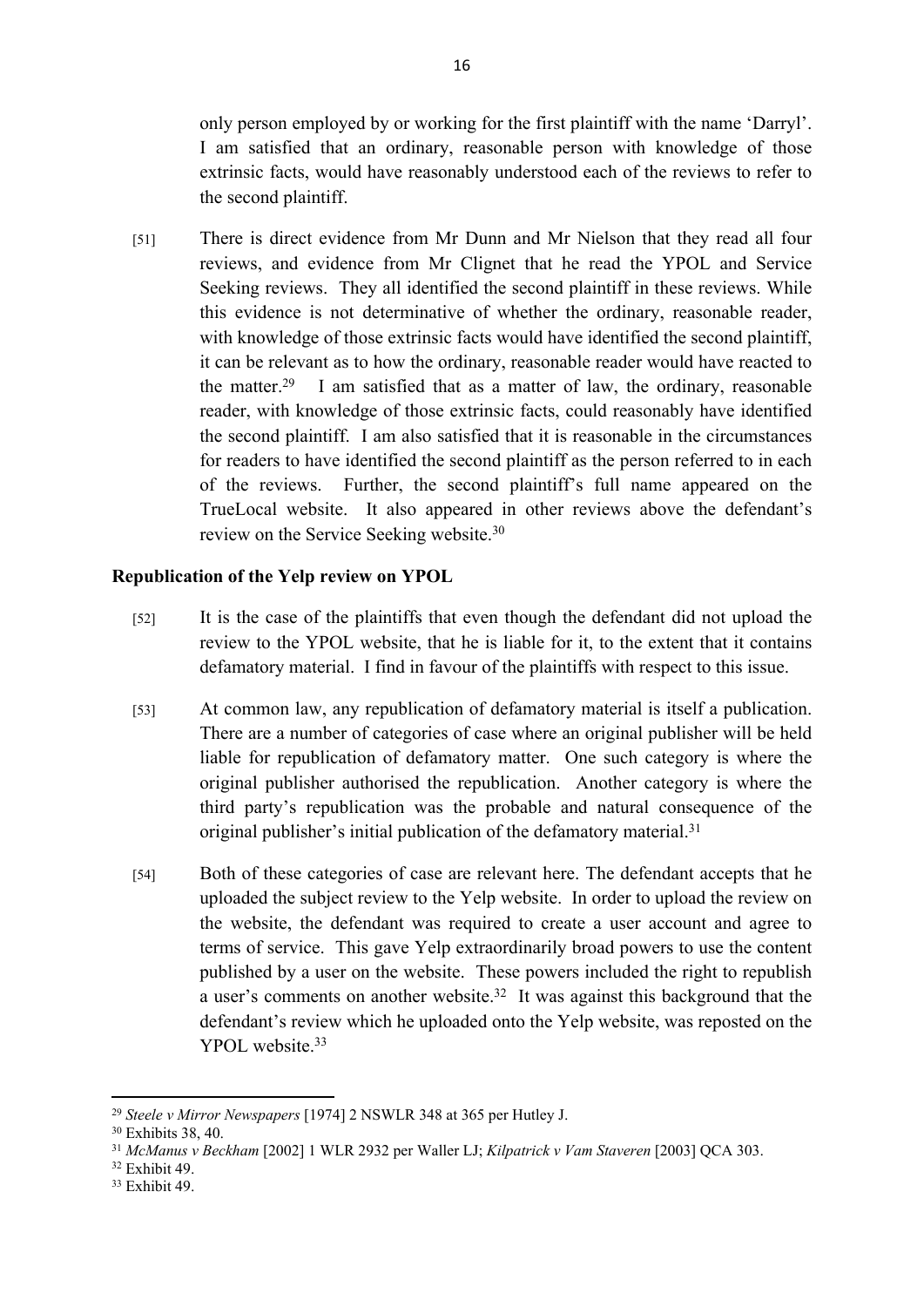only person employed by or working for the first plaintiff with the name 'Darryl'. I am satisfied that an ordinary, reasonable person with knowledge of those extrinsic facts, would have reasonably understood each of the reviews to refer to the second plaintiff.

[51] There is direct evidence from Mr Dunn and Mr Nielson that they read all four reviews, and evidence from Mr Clignet that he read the YPOL and Service Seeking reviews. They all identified the second plaintiff in these reviews. While this evidence is not determinative of whether the ordinary, reasonable reader, with knowledge of those extrinsic facts would have identified the second plaintiff, it can be relevant as to how the ordinary, reasonable reader would have reacted to the matter.<sup>29</sup> I am satisfied that as a matter of law, the ordinary, reasonable reader, with knowledge of those extrinsic facts, could reasonably have identified the second plaintiff. I am also satisfied that it is reasonable in the circumstances for readers to have identified the second plaintiff as the person referred to in each of the reviews. Further, the second plaintiff's full name appeared on the TrueLocal website. It also appeared in other reviews above the defendant's review on the Service Seeking website.<sup>30</sup>

## **Republication of the Yelp review on YPOL**

- [52] It is the case of the plaintiffs that even though the defendant did not upload the review to the YPOL website, that he is liable for it, to the extent that it contains defamatory material. I find in favour of the plaintiffs with respect to this issue.
- [53] At common law, any republication of defamatory material is itself a publication. There are a number of categories of case where an original publisher will be held liable for republication of defamatory matter. One such category is where the original publisher authorised the republication. Another category is where the third party's republication was the probable and natural consequence of the original publisher's initial publication of the defamatory material.<sup>31</sup>
- [54] Both of these categories of case are relevant here. The defendant accepts that he uploaded the subject review to the Yelp website. In order to upload the review on the website, the defendant was required to create a user account and agree to terms of service. This gave Yelp extraordinarily broad powers to use the content published by a user on the website. These powers included the right to republish a user's comments on another website.<sup>32</sup> It was against this background that the defendant's review which he uploaded onto the Yelp website, was reposted on the YPOL website.<sup>33</sup>

<sup>29</sup> *Steele v Mirror Newspapers* [1974] 2 NSWLR 348 at 365 per Hutley J.

<sup>30</sup> Exhibits 38, 40.

<sup>31</sup> *McManus v Beckham* [2002] 1 WLR 2932 per Waller LJ; *Kilpatrick v Vam Staveren* [2003] QCA 303.

<sup>32</sup> Exhibit 49.

<sup>33</sup> Exhibit 49.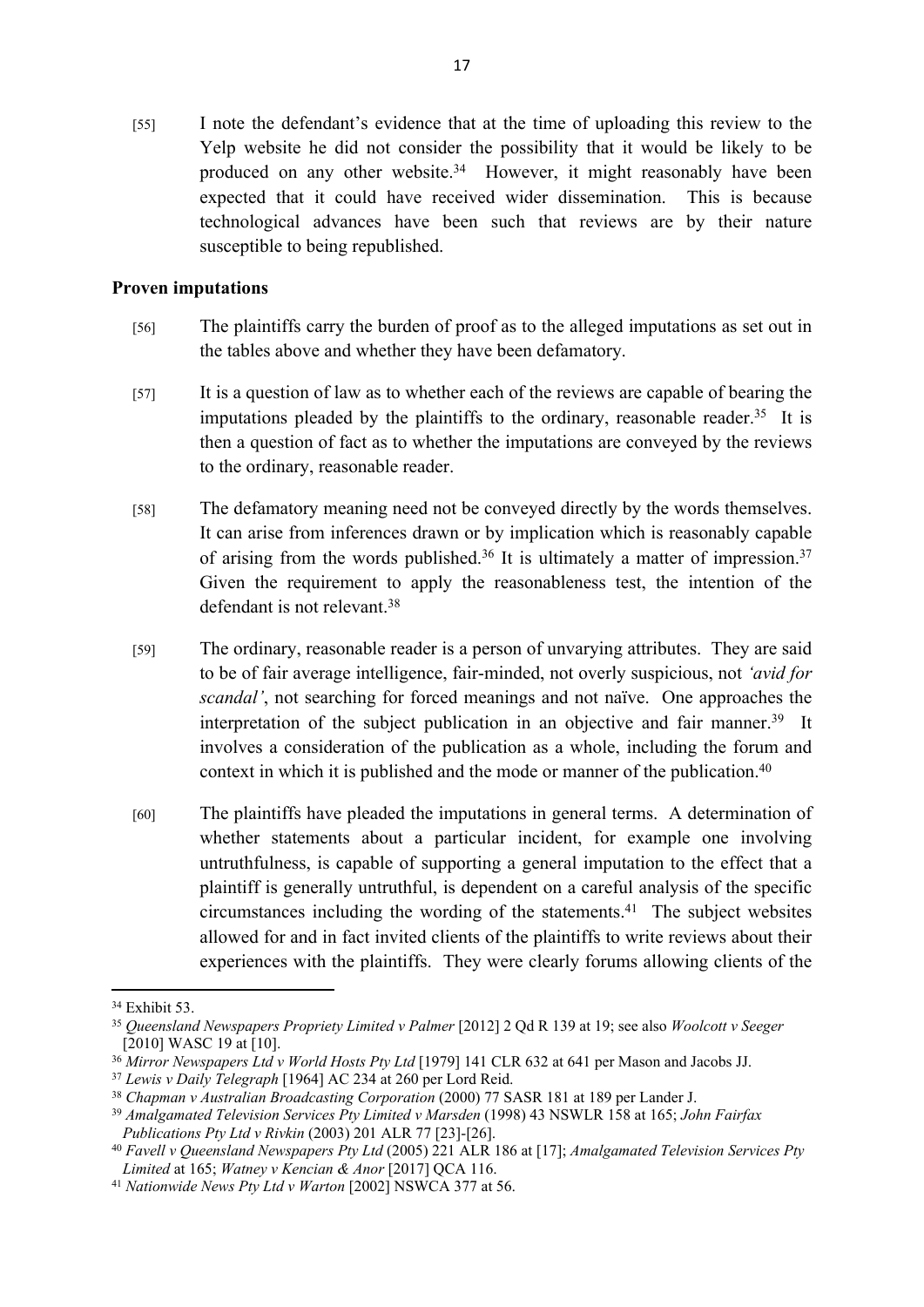[55] I note the defendant's evidence that at the time of uploading this review to the Yelp website he did not consider the possibility that it would be likely to be produced on any other website.<sup>34</sup> However, it might reasonably have been expected that it could have received wider dissemination. This is because technological advances have been such that reviews are by their nature susceptible to being republished.

#### **Proven imputations**

- [56] The plaintiffs carry the burden of proof as to the alleged imputations as set out in the tables above and whether they have been defamatory.
- [57] It is a question of law as to whether each of the reviews are capable of bearing the imputations pleaded by the plaintiffs to the ordinary, reasonable reader.<sup>35</sup> It is then a question of fact as to whether the imputations are conveyed by the reviews to the ordinary, reasonable reader.
- [58] The defamatory meaning need not be conveyed directly by the words themselves. It can arise from inferences drawn or by implication which is reasonably capable of arising from the words published.<sup>36</sup> It is ultimately a matter of impression.<sup>37</sup> Given the requirement to apply the reasonableness test, the intention of the defendant is not relevant.<sup>38</sup>
- [59] The ordinary, reasonable reader is a person of unvarying attributes. They are said to be of fair average intelligence, fair-minded, not overly suspicious, not *'avid for scandal'*, not searching for forced meanings and not naïve. One approaches the interpretation of the subject publication in an objective and fair manner.<sup>39</sup> It involves a consideration of the publication as a whole, including the forum and context in which it is published and the mode or manner of the publication.<sup>40</sup>
- [60] The plaintiffs have pleaded the imputations in general terms. A determination of whether statements about a particular incident, for example one involving untruthfulness, is capable of supporting a general imputation to the effect that a plaintiff is generally untruthful, is dependent on a careful analysis of the specific circumstances including the wording of the statements.<sup>41</sup> The subject websites allowed for and in fact invited clients of the plaintiffs to write reviews about their experiences with the plaintiffs. They were clearly forums allowing clients of the

<sup>&</sup>lt;sup>34</sup> Exhibit 53.

<sup>35</sup> *Queensland Newspapers Propriety Limited v Palmer* [2012] 2 Qd R 139 at 19; see also *Woolcott v Seeger*  $[2010]$  WASC 19 at  $[10]$ .

<sup>36</sup> *Mirror Newspapers Ltd v World Hosts Pty Ltd* [1979] 141 CLR 632 at 641 per Mason and Jacobs JJ.

<sup>37</sup> *Lewis v Daily Telegraph* [1964] AC 234 at 260 per Lord Reid.

<sup>38</sup> *Chapman v Australian Broadcasting Corporation* (2000) 77 SASR 181 at 189 per Lander J.

<sup>39</sup> *Amalgamated Television Services Pty Limited v Marsden* (1998) 43 NSWLR 158 at 165; *John Fairfax Publications Pty Ltd v Rivkin* (2003) 201 ALR 77 [23]-[26].

<sup>40</sup> *Favell v Queensland Newspapers Pty Ltd* (2005) 221 ALR 186 at [17]; *Amalgamated Television Services Pty Limited* at 165; *Watney v Kencian & Anor* [2017] QCA 116.

<sup>41</sup> *Nationwide News Pty Ltd v Warton* [2002] NSWCA 377 at 56.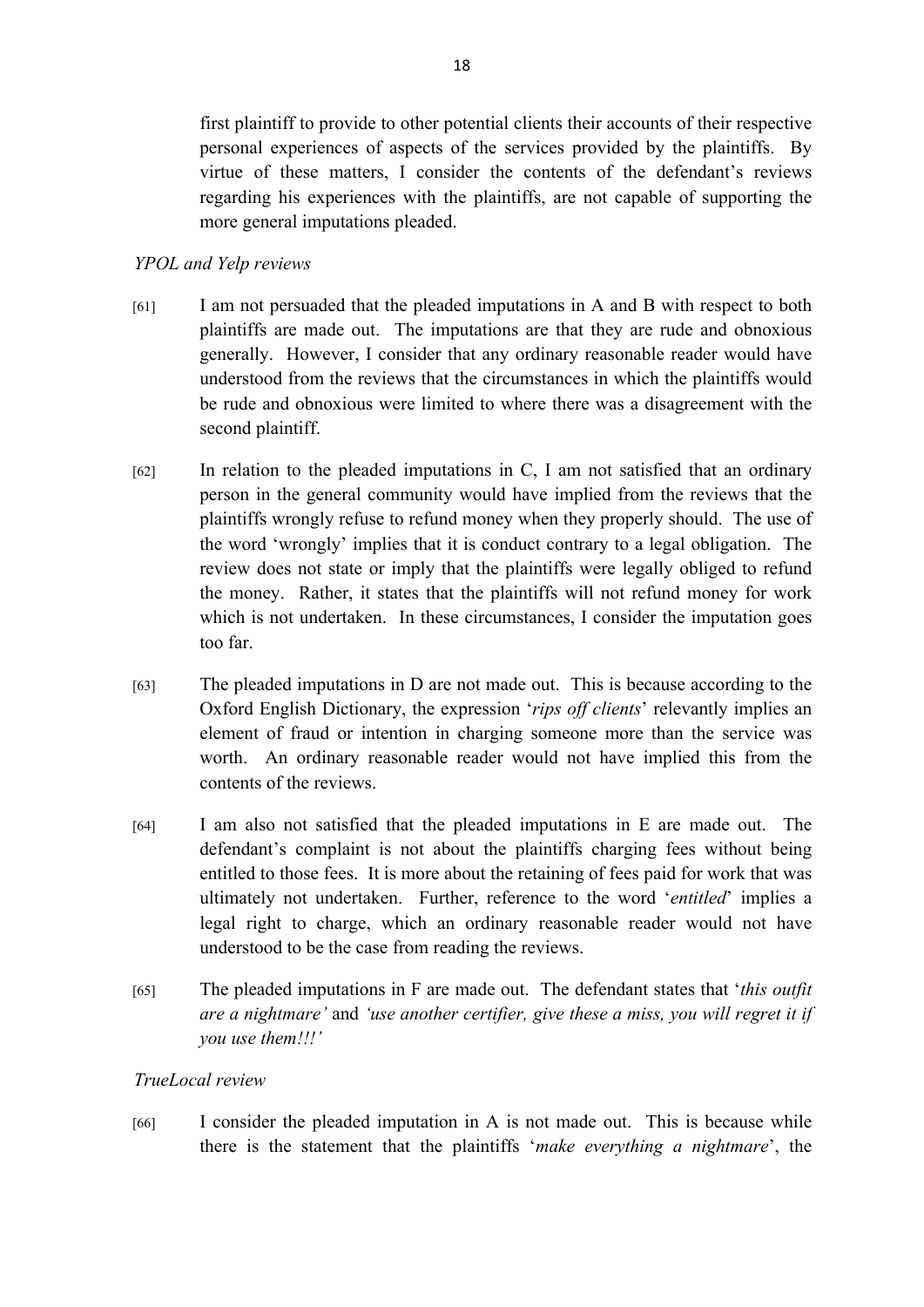first plaintiff to provide to other potential clients their accounts of their respective personal experiences of aspects of the services provided by the plaintiffs. By virtue of these matters, I consider the contents of the defendant's reviews regarding his experiences with the plaintiffs, are not capable of supporting the more general imputations pleaded.

## *YPOL and Yelp reviews*

- [61] I am not persuaded that the pleaded imputations in A and B with respect to both plaintiffs are made out. The imputations are that they are rude and obnoxious generally. However, I consider that any ordinary reasonable reader would have understood from the reviews that the circumstances in which the plaintiffs would be rude and obnoxious were limited to where there was a disagreement with the second plaintiff.
- [62] In relation to the pleaded imputations in C, I am not satisfied that an ordinary person in the general community would have implied from the reviews that the plaintiffs wrongly refuse to refund money when they properly should. The use of the word 'wrongly' implies that it is conduct contrary to a legal obligation. The review does not state or imply that the plaintiffs were legally obliged to refund the money. Rather, it states that the plaintiffs will not refund money for work which is not undertaken. In these circumstances, I consider the imputation goes too far.
- [63] The pleaded imputations in D are not made out. This is because according to the Oxford English Dictionary, the expression '*rips off clients*' relevantly implies an element of fraud or intention in charging someone more than the service was worth. An ordinary reasonable reader would not have implied this from the contents of the reviews.
- [64] I am also not satisfied that the pleaded imputations in E are made out. The defendant's complaint is not about the plaintiffs charging fees without being entitled to those fees. It is more about the retaining of fees paid for work that was ultimately not undertaken. Further, reference to the word '*entitled*' implies a legal right to charge, which an ordinary reasonable reader would not have understood to be the case from reading the reviews.
- [65] The pleaded imputations in F are made out. The defendant states that '*this outfit are a nightmare'* and *'use another certifier, give these a miss, you will regret it if you use them!!!'*

# *TrueLocal review*

[66] I consider the pleaded imputation in A is not made out. This is because while there is the statement that the plaintiffs '*make everything a nightmare*', the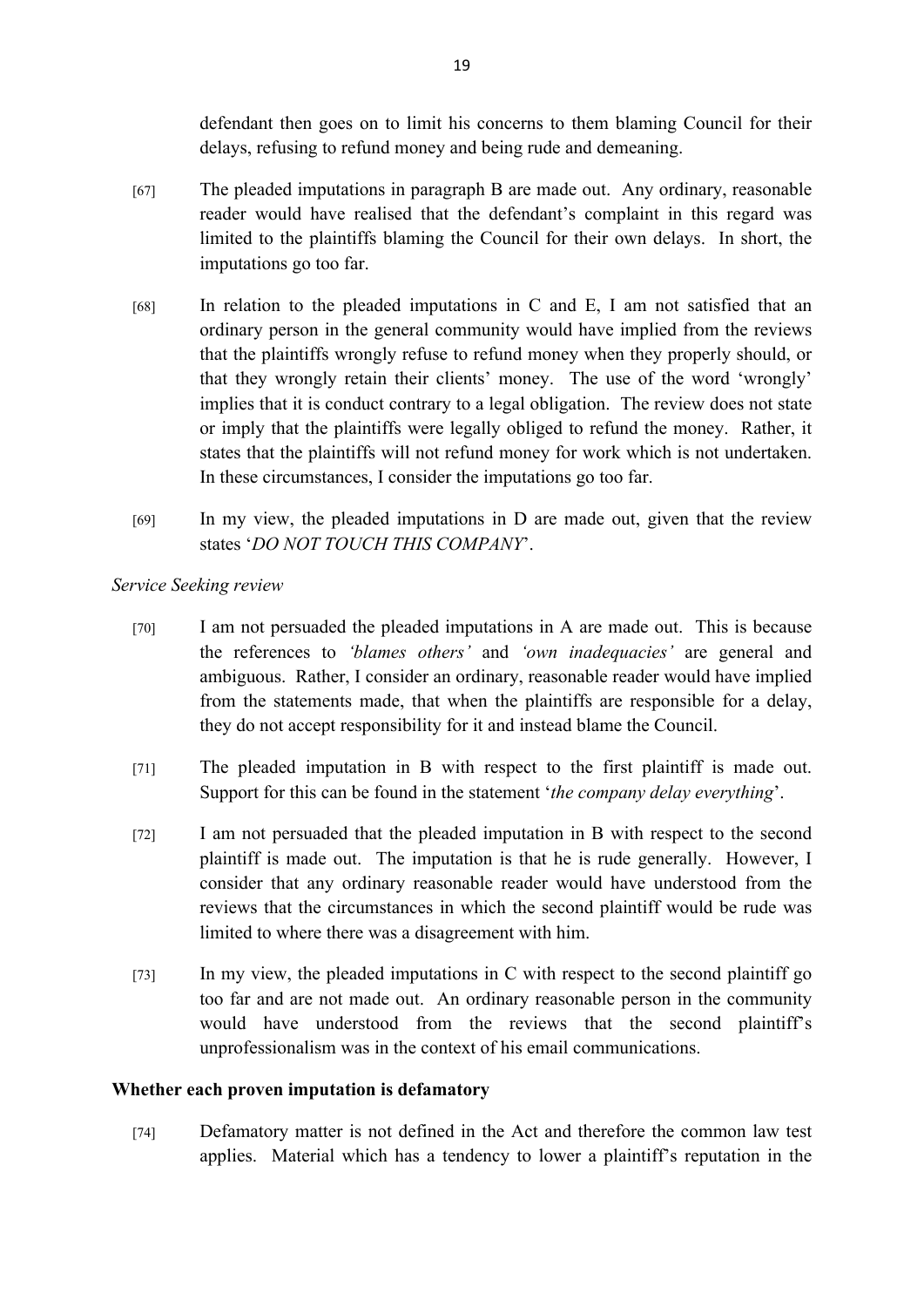defendant then goes on to limit his concerns to them blaming Council for their delays, refusing to refund money and being rude and demeaning.

- [67] The pleaded imputations in paragraph B are made out. Any ordinary, reasonable reader would have realised that the defendant's complaint in this regard was limited to the plaintiffs blaming the Council for their own delays. In short, the imputations go too far.
- [68] In relation to the pleaded imputations in C and E, I am not satisfied that an ordinary person in the general community would have implied from the reviews that the plaintiffs wrongly refuse to refund money when they properly should, or that they wrongly retain their clients' money. The use of the word 'wrongly' implies that it is conduct contrary to a legal obligation. The review does not state or imply that the plaintiffs were legally obliged to refund the money. Rather, it states that the plaintiffs will not refund money for work which is not undertaken. In these circumstances, I consider the imputations go too far.
- $\mu$  In my view, the pleaded imputations in D are made out, given that the review states '*DO NOT TOUCH THIS COMPANY*'.

*Service Seeking review*

- [70] I am not persuaded the pleaded imputations in A are made out. This is because the references to *'blames others'* and *'own inadequacies'* are general and ambiguous. Rather, I consider an ordinary, reasonable reader would have implied from the statements made, that when the plaintiffs are responsible for a delay, they do not accept responsibility for it and instead blame the Council.
- [71] The pleaded imputation in B with respect to the first plaintiff is made out. Support for this can be found in the statement '*the company delay everything*'.
- [72] I am not persuaded that the pleaded imputation in B with respect to the second plaintiff is made out. The imputation is that he is rude generally. However, I consider that any ordinary reasonable reader would have understood from the reviews that the circumstances in which the second plaintiff would be rude was limited to where there was a disagreement with him.
- [73] In my view, the pleaded imputations in C with respect to the second plaintiff go too far and are not made out. An ordinary reasonable person in the community would have understood from the reviews that the second plaintiff's unprofessionalism was in the context of his email communications.

#### **Whether each proven imputation is defamatory**

[74] Defamatory matter is not defined in the Act and therefore the common law test applies. Material which has a tendency to lower a plaintiff's reputation in the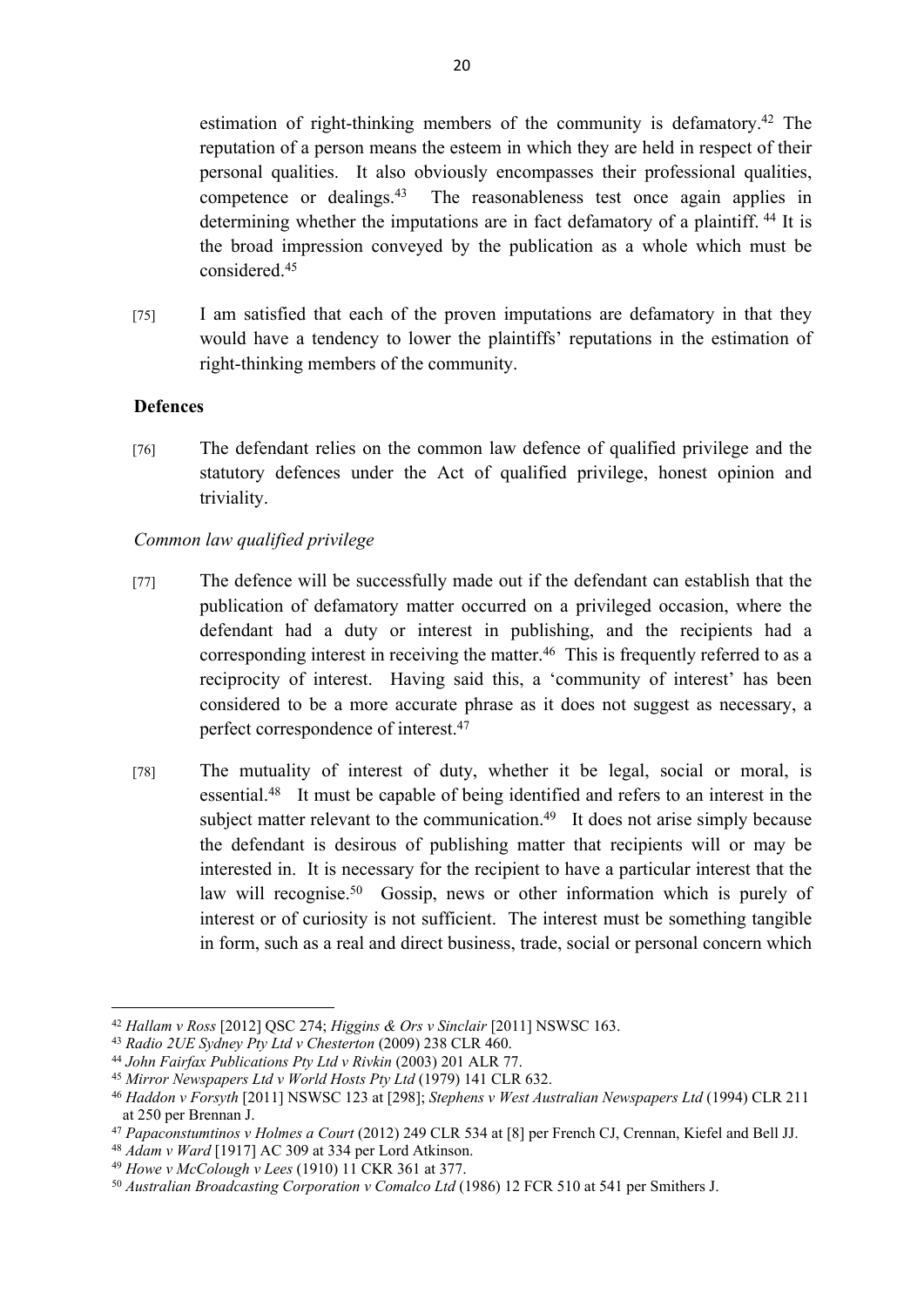estimation of right-thinking members of the community is defamatory.<sup>42</sup> The reputation of a person means the esteem in which they are held in respect of their personal qualities. It also obviously encompasses their professional qualities, competence or dealings.<sup>43</sup> The reasonableness test once again applies in determining whether the imputations are in fact defamatory of a plaintiff.<sup>44</sup> It is the broad impression conveyed by the publication as a whole which must be considered<sup>45</sup>

[75] I am satisfied that each of the proven imputations are defamatory in that they would have a tendency to lower the plaintiffs' reputations in the estimation of right-thinking members of the community.

## **Defences**

[76] The defendant relies on the common law defence of qualified privilege and the statutory defences under the Act of qualified privilege, honest opinion and triviality.

## *Common law qualified privilege*

- [77] The defence will be successfully made out if the defendant can establish that the publication of defamatory matter occurred on a privileged occasion, where the defendant had a duty or interest in publishing, and the recipients had a corresponding interest in receiving the matter.<sup>46</sup> This is frequently referred to as a reciprocity of interest. Having said this, a 'community of interest' has been considered to be a more accurate phrase as it does not suggest as necessary, a perfect correspondence of interest.<sup>47</sup>
- [78] The mutuality of interest of duty, whether it be legal, social or moral, is essential.<sup>48</sup> It must be capable of being identified and refers to an interest in the subject matter relevant to the communication.<sup>49</sup> It does not arise simply because the defendant is desirous of publishing matter that recipients will or may be interested in. It is necessary for the recipient to have a particular interest that the law will recognise.<sup>50</sup> Gossip, news or other information which is purely of interest or of curiosity is not sufficient. The interest must be something tangible in form, such as a real and direct business, trade, social or personal concern which

<sup>42</sup> *Hallam v Ross* [2012] QSC 274; *Higgins & Ors v Sinclair* [2011] NSWSC 163.

<sup>43</sup> *Radio 2UE Sydney Pty Ltd v Chesterton* (2009) 238 CLR 460.

<sup>44</sup> *John Fairfax Publications Pty Ltd v Rivkin* (2003) 201 ALR 77.

<sup>45</sup> *Mirror Newspapers Ltd v World Hosts Pty Ltd* (1979) 141 CLR 632.

<sup>46</sup> *Haddon v Forsyth* [2011] NSWSC 123 at [298]; *Stephens v West Australian Newspapers Ltd* (1994) CLR 211 at 250 per Brennan J.

<sup>47</sup> *Papaconstumtinos v Holmes a Court* (2012) 249 CLR 534 at [8] per French CJ, Crennan, Kiefel and Bell JJ.

<sup>48</sup> *Adam v Ward* [1917] AC 309 at 334 per Lord Atkinson.

<sup>49</sup> *Howe v McColough v Lees* (1910) 11 CKR 361 at 377.

<sup>50</sup> *Australian Broadcasting Corporation v Comalco Ltd* (1986) 12 FCR 510 at 541 per Smithers J.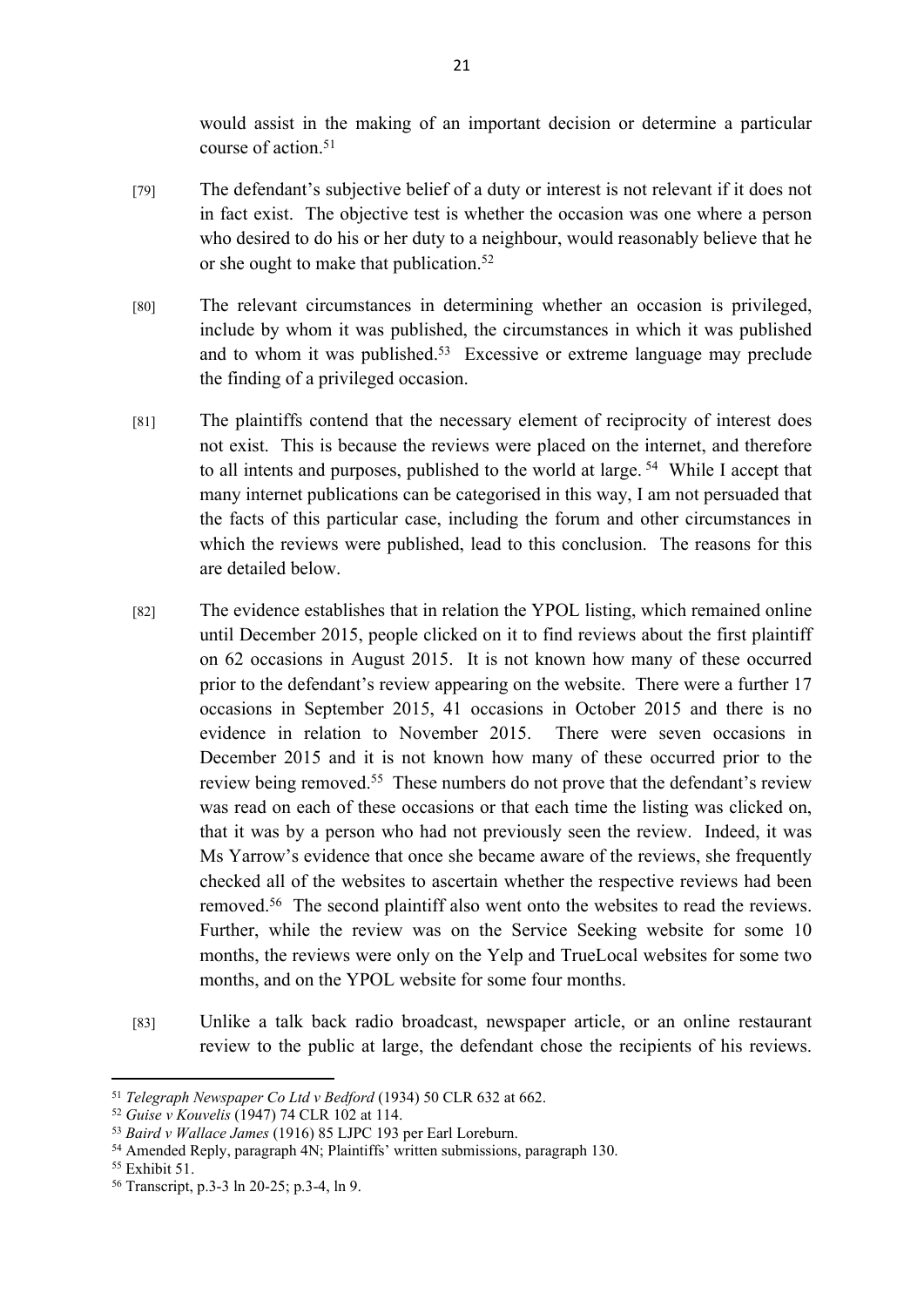would assist in the making of an important decision or determine a particular course of action <sup>51</sup>

- [79] The defendant's subjective belief of a duty or interest is not relevant if it does not in fact exist. The objective test is whether the occasion was one where a person who desired to do his or her duty to a neighbour, would reasonably believe that he or she ought to make that publication.<sup>52</sup>
- [80] The relevant circumstances in determining whether an occasion is privileged, include by whom it was published, the circumstances in which it was published and to whom it was published.<sup>53</sup> Excessive or extreme language may preclude the finding of a privileged occasion.
- [81] The plaintiffs contend that the necessary element of reciprocity of interest does not exist. This is because the reviews were placed on the internet, and therefore to all intents and purposes, published to the world at large.<sup>54</sup> While I accept that many internet publications can be categorised in this way, I am not persuaded that the facts of this particular case, including the forum and other circumstances in which the reviews were published, lead to this conclusion. The reasons for this are detailed below.
- [82] The evidence establishes that in relation the YPOL listing, which remained online until December 2015, people clicked on it to find reviews about the first plaintiff on 62 occasions in August 2015. It is not known how many of these occurred prior to the defendant's review appearing on the website. There were a further 17 occasions in September 2015, 41 occasions in October 2015 and there is no evidence in relation to November 2015. There were seven occasions in December 2015 and it is not known how many of these occurred prior to the review being removed.<sup>55</sup> These numbers do not prove that the defendant's review was read on each of these occasions or that each time the listing was clicked on, that it was by a person who had not previously seen the review. Indeed, it was Ms Yarrow's evidence that once she became aware of the reviews, she frequently checked all of the websites to ascertain whether the respective reviews had been removed.<sup>56</sup> The second plaintiff also went onto the websites to read the reviews. Further, while the review was on the Service Seeking website for some 10 months, the reviews were only on the Yelp and TrueLocal websites for some two months, and on the YPOL website for some four months.
- [83] Unlike a talk back radio broadcast, newspaper article, or an online restaurant review to the public at large, the defendant chose the recipients of his reviews.

<sup>51</sup> *Telegraph Newspaper Co Ltd v Bedford* (1934) 50 CLR 632 at 662.

<sup>52</sup> *Guise v Kouvelis* (1947) 74 CLR 102 at 114.

<sup>53</sup> *Baird v Wallace James* (1916) 85 LJPC 193 per Earl Loreburn.

<sup>54</sup> Amended Reply, paragraph 4N; Plaintiffs' written submissions, paragraph 130.

<sup>55</sup> Exhibit 51.

<sup>56</sup> Transcript, p.3-3 ln 20-25; p.3-4, ln 9.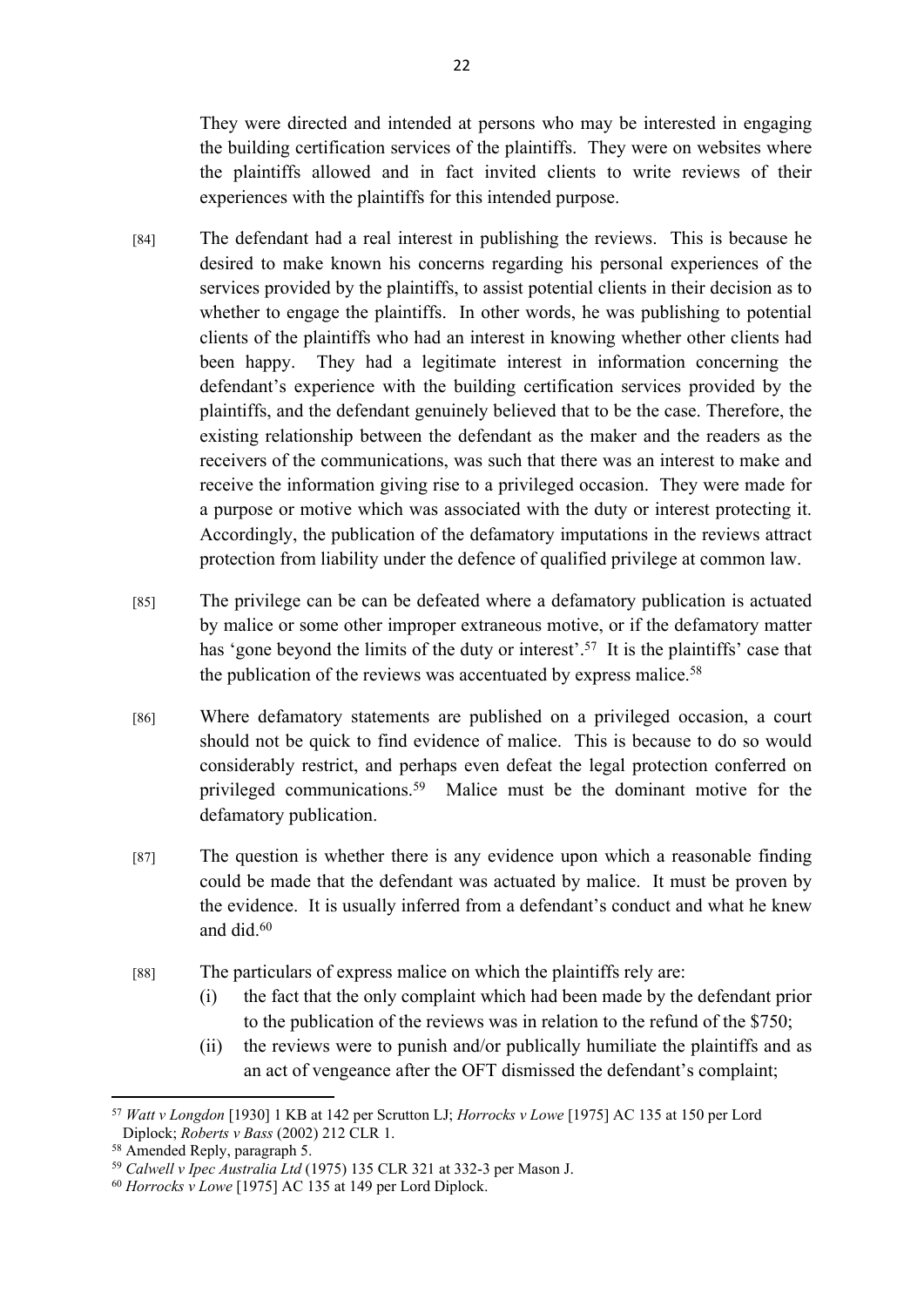They were directed and intended at persons who may be interested in engaging the building certification services of the plaintiffs. They were on websites where the plaintiffs allowed and in fact invited clients to write reviews of their experiences with the plaintiffs for this intended purpose.

- [84] The defendant had a real interest in publishing the reviews. This is because he desired to make known his concerns regarding his personal experiences of the services provided by the plaintiffs, to assist potential clients in their decision as to whether to engage the plaintiffs. In other words, he was publishing to potential clients of the plaintiffs who had an interest in knowing whether other clients had been happy. They had a legitimate interest in information concerning the defendant's experience with the building certification services provided by the plaintiffs, and the defendant genuinely believed that to be the case. Therefore, the existing relationship between the defendant as the maker and the readers as the receivers of the communications, was such that there was an interest to make and receive the information giving rise to a privileged occasion. They were made for a purpose or motive which was associated with the duty or interest protecting it. Accordingly, the publication of the defamatory imputations in the reviews attract protection from liability under the defence of qualified privilege at common law.
- [85] The privilege can be can be defeated where a defamatory publication is actuated by malice or some other improper extraneous motive, or if the defamatory matter has 'gone beyond the limits of the duty or interest'.<sup>57</sup> It is the plaintiffs' case that the publication of the reviews was accentuated by express malice.<sup>58</sup>
- [86] Where defamatory statements are published on a privileged occasion, a court should not be quick to find evidence of malice. This is because to do so would considerably restrict, and perhaps even defeat the legal protection conferred on privileged communications.<sup>59</sup> Malice must be the dominant motive for the defamatory publication.
- [87] The question is whether there is any evidence upon which a reasonable finding could be made that the defendant was actuated by malice. It must be proven by the evidence. It is usually inferred from a defendant's conduct and what he knew and did.<sup>60</sup>
- [88] The particulars of express malice on which the plaintiffs rely are:
	- (i) the fact that the only complaint which had been made by the defendant prior to the publication of the reviews was in relation to the refund of the \$750;
	- (ii) the reviews were to punish and/or publically humiliate the plaintiffs and as an act of vengeance after the OFT dismissed the defendant's complaint;

<sup>57</sup> *Watt v Longdon* [1930] 1 KB at 142 per Scrutton LJ; *Horrocks v Lowe* [1975] AC 135 at 150 per Lord Diplock; *Roberts v Bass* (2002) 212 CLR 1.

<sup>58</sup> Amended Reply, paragraph 5.

<sup>59</sup> *Calwell v Ipec Australia Ltd* (1975) 135 CLR 321 at 332-3 per Mason J.

<sup>60</sup> *Horrocks v Lowe* [1975] AC 135 at 149 per Lord Diplock.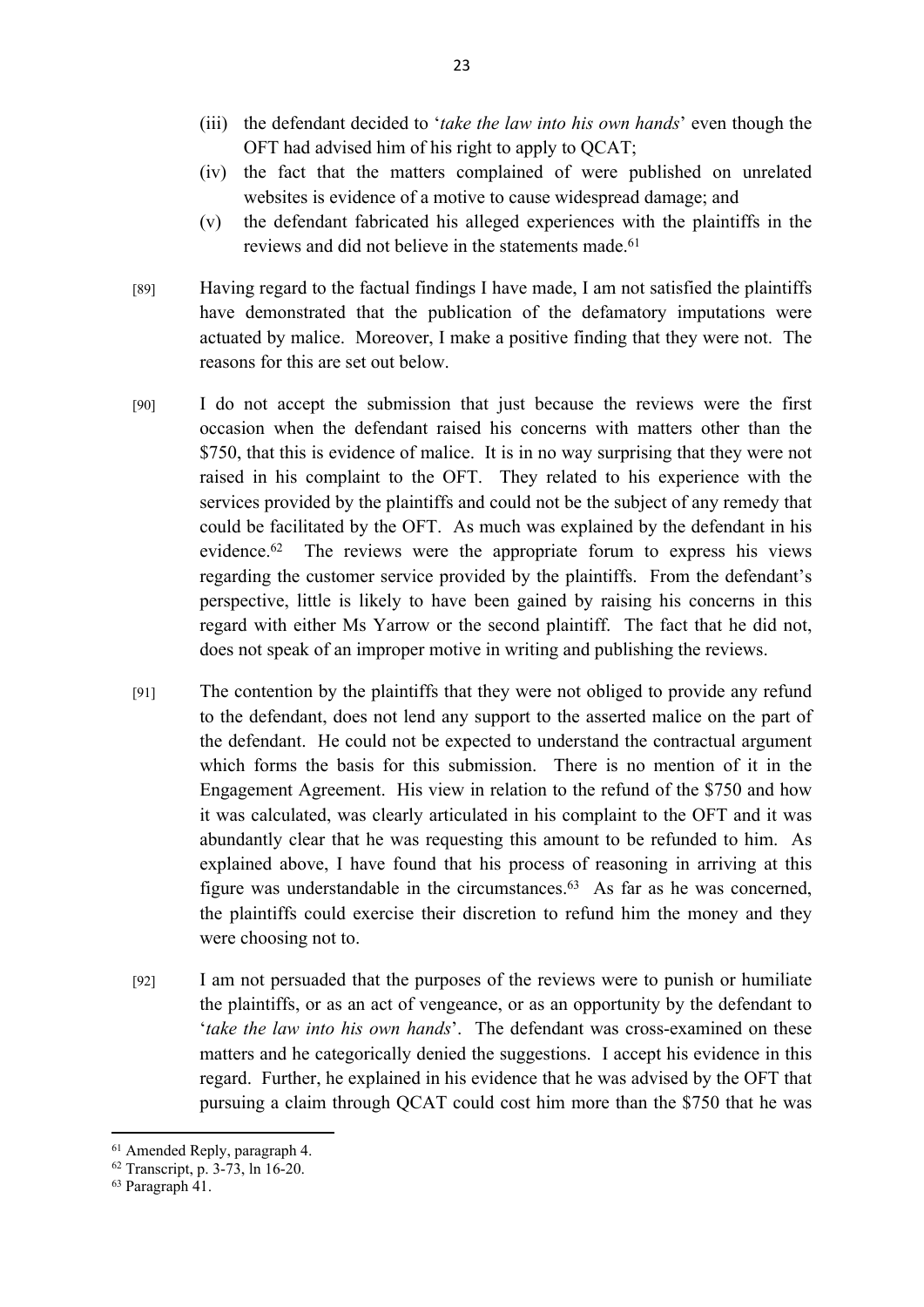- (iii) the defendant decided to '*take the law into his own hands*' even though the OFT had advised him of his right to apply to QCAT;
- (iv) the fact that the matters complained of were published on unrelated websites is evidence of a motive to cause widespread damage; and
- (v) the defendant fabricated his alleged experiences with the plaintiffs in the reviews and did not believe in the statements made.<sup>61</sup>
- [89] Having regard to the factual findings I have made, I am not satisfied the plaintiffs have demonstrated that the publication of the defamatory imputations were actuated by malice. Moreover, I make a positive finding that they were not. The reasons for this are set out below.
- [90] I do not accept the submission that just because the reviews were the first occasion when the defendant raised his concerns with matters other than the \$750, that this is evidence of malice. It is in no way surprising that they were not raised in his complaint to the OFT. They related to his experience with the services provided by the plaintiffs and could not be the subject of any remedy that could be facilitated by the OFT. As much was explained by the defendant in his evidence.<sup>62</sup> The reviews were the appropriate forum to express his views regarding the customer service provided by the plaintiffs. From the defendant's perspective, little is likely to have been gained by raising his concerns in this regard with either Ms Yarrow or the second plaintiff. The fact that he did not, does not speak of an improper motive in writing and publishing the reviews.
- [91] The contention by the plaintiffs that they were not obliged to provide any refund to the defendant, does not lend any support to the asserted malice on the part of the defendant. He could not be expected to understand the contractual argument which forms the basis for this submission. There is no mention of it in the Engagement Agreement. His view in relation to the refund of the \$750 and how it was calculated, was clearly articulated in his complaint to the OFT and it was abundantly clear that he was requesting this amount to be refunded to him. As explained above, I have found that his process of reasoning in arriving at this figure was understandable in the circumstances.<sup>63</sup> As far as he was concerned, the plaintiffs could exercise their discretion to refund him the money and they were choosing not to.
- [92] I am not persuaded that the purposes of the reviews were to punish or humiliate the plaintiffs, or as an act of vengeance, or as an opportunity by the defendant to '*take the law into his own hands*'. The defendant was cross-examined on these matters and he categorically denied the suggestions. I accept his evidence in this regard. Further, he explained in his evidence that he was advised by the OFT that pursuing a claim through QCAT could cost him more than the \$750 that he was

<sup>61</sup> Amended Reply, paragraph 4.

<sup>62</sup> Transcript, p. 3-73, ln 16-20.

<sup>63</sup> Paragraph 41.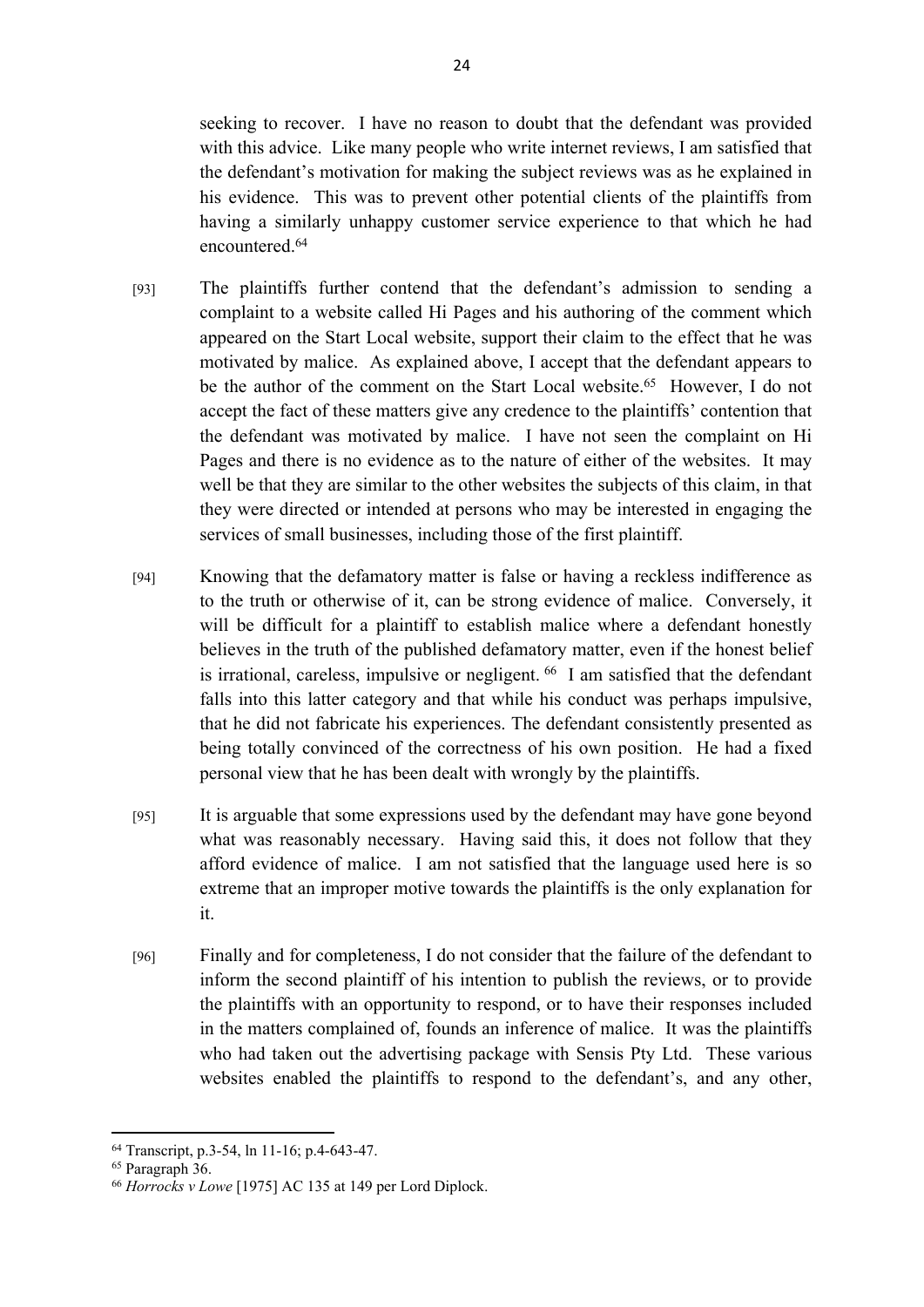seeking to recover. I have no reason to doubt that the defendant was provided with this advice. Like many people who write internet reviews, I am satisfied that the defendant's motivation for making the subject reviews was as he explained in his evidence. This was to prevent other potential clients of the plaintiffs from having a similarly unhappy customer service experience to that which he had encountered<sup>64</sup>

- [93] The plaintiffs further contend that the defendant's admission to sending a complaint to a website called Hi Pages and his authoring of the comment which appeared on the Start Local website, support their claim to the effect that he was motivated by malice. As explained above, I accept that the defendant appears to be the author of the comment on the Start Local website.<sup>65</sup> However, I do not accept the fact of these matters give any credence to the plaintiffs' contention that the defendant was motivated by malice. I have not seen the complaint on Hi Pages and there is no evidence as to the nature of either of the websites. It may well be that they are similar to the other websites the subjects of this claim, in that they were directed or intended at persons who may be interested in engaging the services of small businesses, including those of the first plaintiff.
- [94] Knowing that the defamatory matter is false or having a reckless indifference as to the truth or otherwise of it, can be strong evidence of malice. Conversely, it will be difficult for a plaintiff to establish malice where a defendant honestly believes in the truth of the published defamatory matter, even if the honest belief is irrational, careless, impulsive or negligent.  $66\,$  I am satisfied that the defendant falls into this latter category and that while his conduct was perhaps impulsive, that he did not fabricate his experiences. The defendant consistently presented as being totally convinced of the correctness of his own position. He had a fixed personal view that he has been dealt with wrongly by the plaintiffs.
- [95] It is arguable that some expressions used by the defendant may have gone beyond what was reasonably necessary. Having said this, it does not follow that they afford evidence of malice. I am not satisfied that the language used here is so extreme that an improper motive towards the plaintiffs is the only explanation for it.
- [96] Finally and for completeness, I do not consider that the failure of the defendant to inform the second plaintiff of his intention to publish the reviews, or to provide the plaintiffs with an opportunity to respond, or to have their responses included in the matters complained of, founds an inference of malice. It was the plaintiffs who had taken out the advertising package with Sensis Pty Ltd. These various websites enabled the plaintiffs to respond to the defendant's, and any other,

<sup>64</sup> Transcript, p.3-54, ln 11-16; p.4-643-47.

<sup>65</sup> Paragraph 36.

<sup>66</sup> *Horrocks v Lowe* [1975] AC 135 at 149 per Lord Diplock.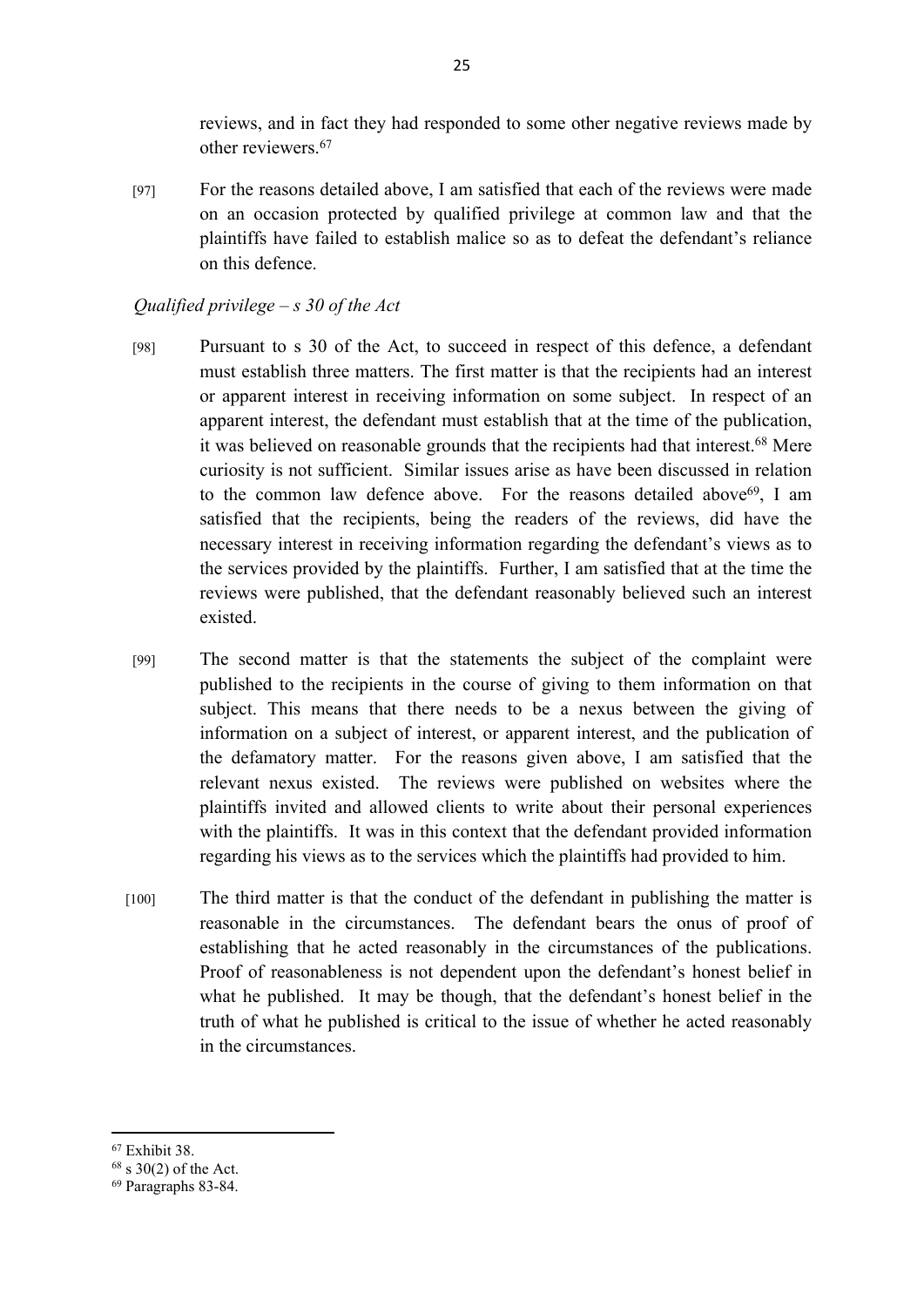reviews, and in fact they had responded to some other negative reviews made by other reviewers.<sup>67</sup>

[97] For the reasons detailed above, I am satisfied that each of the reviews were made on an occasion protected by qualified privilege at common law and that the plaintiffs have failed to establish malice so as to defeat the defendant's reliance on this defence.

## *Qualified privilege – s 30 of the Act*

- [98] Pursuant to s 30 of the Act, to succeed in respect of this defence, a defendant must establish three matters. The first matter is that the recipients had an interest or apparent interest in receiving information on some subject. In respect of an apparent interest, the defendant must establish that at the time of the publication, it was believed on reasonable grounds that the recipients had that interest.<sup>68</sup> Mere curiosity is not sufficient. Similar issues arise as have been discussed in relation to the common law defence above. For the reasons detailed above<sup>69</sup>, I am satisfied that the recipients, being the readers of the reviews, did have the necessary interest in receiving information regarding the defendant's views as to the services provided by the plaintiffs. Further, I am satisfied that at the time the reviews were published, that the defendant reasonably believed such an interest existed.
- [99] The second matter is that the statements the subject of the complaint were published to the recipients in the course of giving to them information on that subject. This means that there needs to be a nexus between the giving of information on a subject of interest, or apparent interest, and the publication of the defamatory matter. For the reasons given above, I am satisfied that the relevant nexus existed. The reviews were published on websites where the plaintiffs invited and allowed clients to write about their personal experiences with the plaintiffs. It was in this context that the defendant provided information regarding his views as to the services which the plaintiffs had provided to him.
- [100] The third matter is that the conduct of the defendant in publishing the matter is reasonable in the circumstances. The defendant bears the onus of proof of establishing that he acted reasonably in the circumstances of the publications. Proof of reasonableness is not dependent upon the defendant's honest belief in what he published. It may be though, that the defendant's honest belief in the truth of what he published is critical to the issue of whether he acted reasonably in the circumstances.

<sup>67</sup> Exhibit 38.

 $68$  s 30(2) of the Act.

<sup>69</sup> Paragraphs 83-84.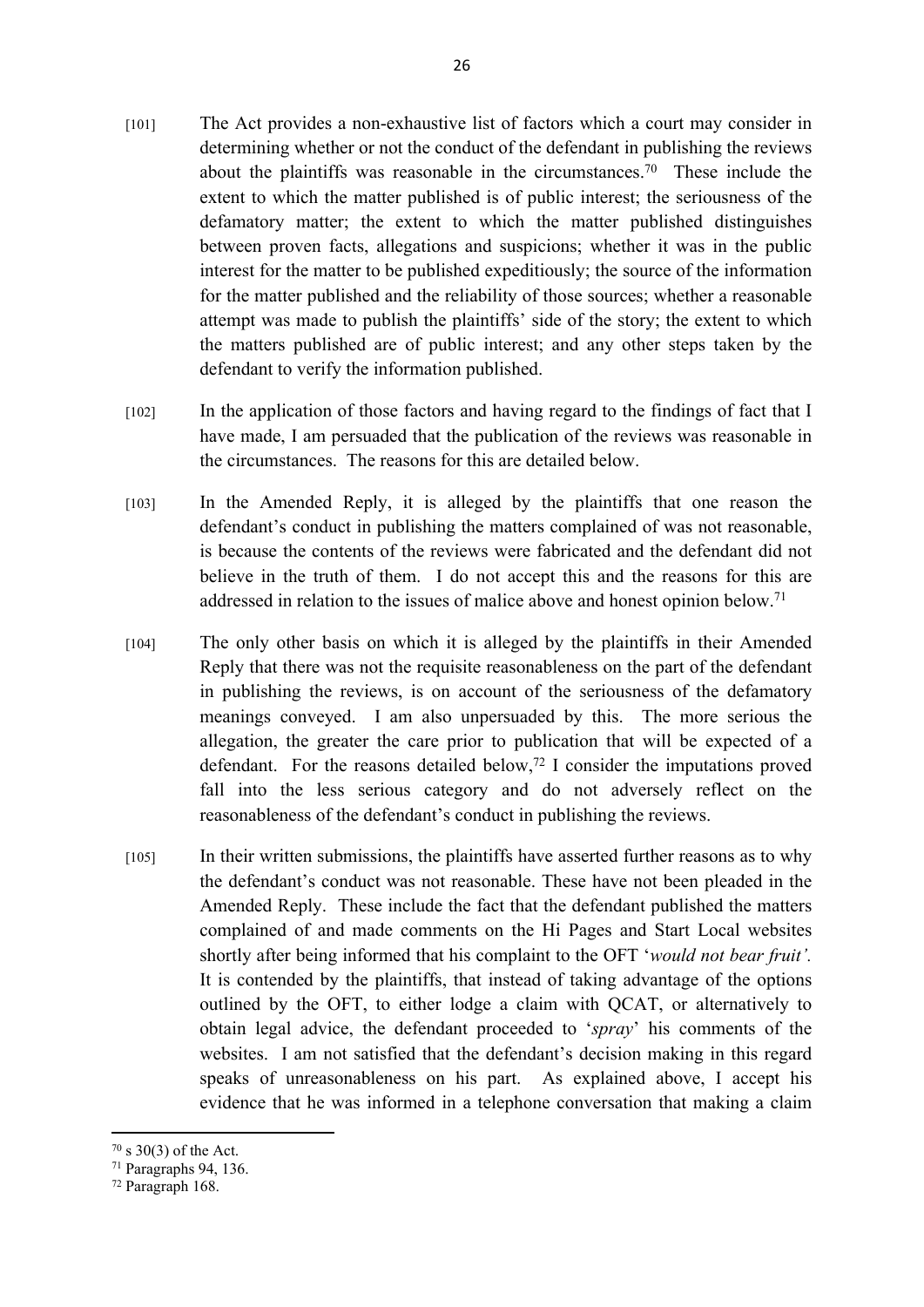- [101] The Act provides a non-exhaustive list of factors which a court may consider in determining whether or not the conduct of the defendant in publishing the reviews about the plaintiffs was reasonable in the circumstances.<sup>70</sup> These include the extent to which the matter published is of public interest; the seriousness of the defamatory matter; the extent to which the matter published distinguishes between proven facts, allegations and suspicions; whether it was in the public interest for the matter to be published expeditiously; the source of the information for the matter published and the reliability of those sources; whether a reasonable attempt was made to publish the plaintiffs' side of the story; the extent to which the matters published are of public interest; and any other steps taken by the defendant to verify the information published.
- [102] In the application of those factors and having regard to the findings of fact that I have made, I am persuaded that the publication of the reviews was reasonable in the circumstances. The reasons for this are detailed below.
- [103] In the Amended Reply, it is alleged by the plaintiffs that one reason the defendant's conduct in publishing the matters complained of was not reasonable, is because the contents of the reviews were fabricated and the defendant did not believe in the truth of them. I do not accept this and the reasons for this are addressed in relation to the issues of malice above and honest opinion below.<sup>71</sup>
- [104] The only other basis on which it is alleged by the plaintiffs in their Amended Reply that there was not the requisite reasonableness on the part of the defendant in publishing the reviews, is on account of the seriousness of the defamatory meanings conveyed. I am also unpersuaded by this. The more serious the allegation, the greater the care prior to publication that will be expected of a defendant. For the reasons detailed below,<sup>72</sup> I consider the imputations proved fall into the less serious category and do not adversely reflect on the reasonableness of the defendant's conduct in publishing the reviews.
- [105] In their written submissions, the plaintiffs have asserted further reasons as to why the defendant's conduct was not reasonable. These have not been pleaded in the Amended Reply. These include the fact that the defendant published the matters complained of and made comments on the Hi Pages and Start Local websites shortly after being informed that his complaint to the OFT '*would not bear fruit'.*  It is contended by the plaintiffs, that instead of taking advantage of the options outlined by the OFT, to either lodge a claim with QCAT, or alternatively to obtain legal advice, the defendant proceeded to '*spray*' his comments of the websites. I am not satisfied that the defendant's decision making in this regard speaks of unreasonableness on his part. As explained above, I accept his evidence that he was informed in a telephone conversation that making a claim

 $70 \text{ s } 30(3)$  of the Act.

<sup>71</sup> Paragraphs 94, 136.

<sup>72</sup> Paragraph 168.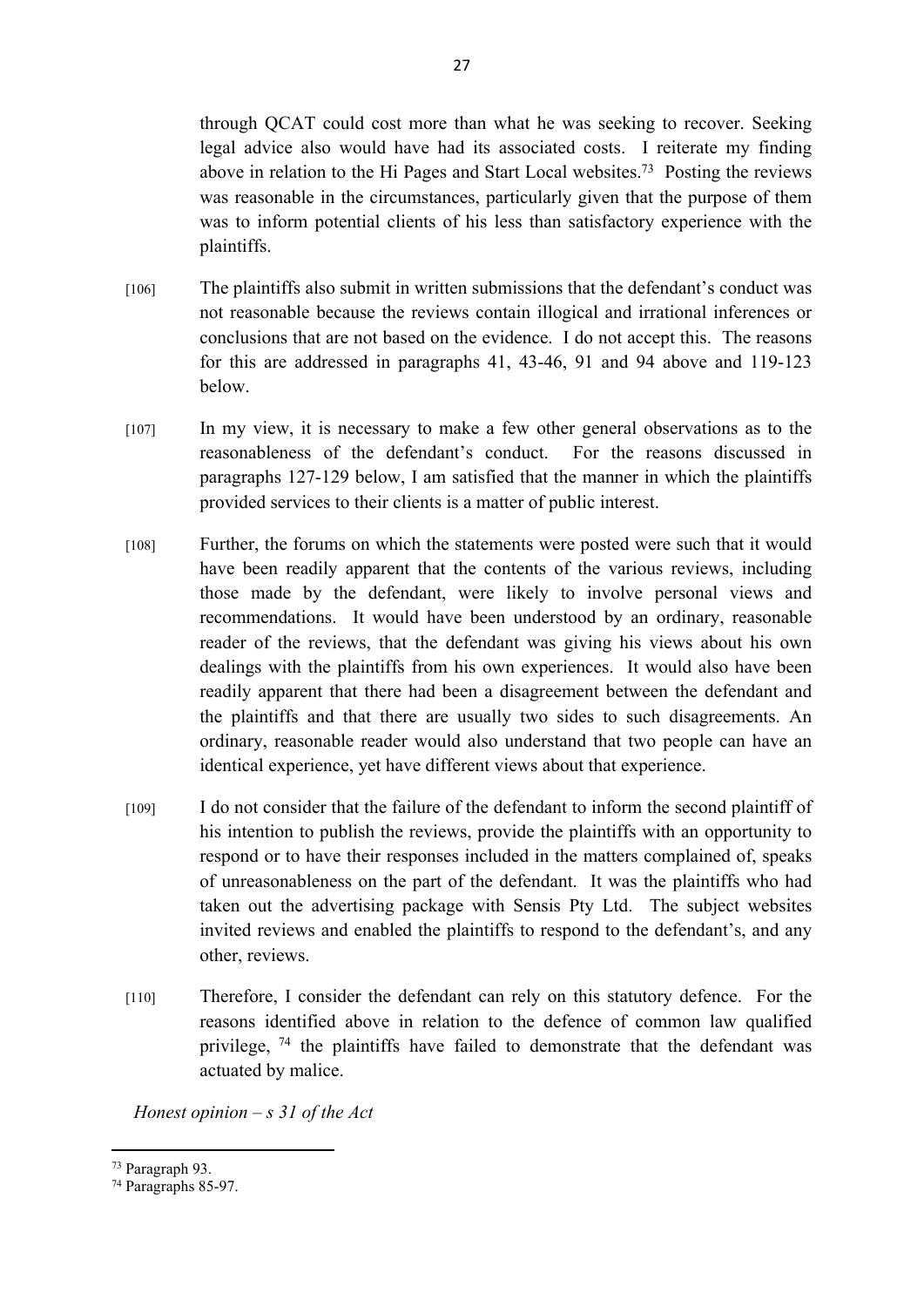through QCAT could cost more than what he was seeking to recover. Seeking legal advice also would have had its associated costs. I reiterate my finding above in relation to the Hi Pages and Start Local websites.<sup>73</sup> Posting the reviews was reasonable in the circumstances, particularly given that the purpose of them was to inform potential clients of his less than satisfactory experience with the plaintiffs.

- [106] The plaintiffs also submit in written submissions that the defendant's conduct was not reasonable because the reviews contain illogical and irrational inferences or conclusions that are not based on the evidence. I do not accept this. The reasons for this are addressed in paragraphs 41, 43-46, 91 and 94 above and 119-123 below.
- [107] In my view, it is necessary to make a few other general observations as to the reasonableness of the defendant's conduct. For the reasons discussed in paragraphs 127-129 below, I am satisfied that the manner in which the plaintiffs provided services to their clients is a matter of public interest.
- [108] Further, the forums on which the statements were posted were such that it would have been readily apparent that the contents of the various reviews, including those made by the defendant, were likely to involve personal views and recommendations. It would have been understood by an ordinary, reasonable reader of the reviews, that the defendant was giving his views about his own dealings with the plaintiffs from his own experiences. It would also have been readily apparent that there had been a disagreement between the defendant and the plaintiffs and that there are usually two sides to such disagreements. An ordinary, reasonable reader would also understand that two people can have an identical experience, yet have different views about that experience.
- [109] I do not consider that the failure of the defendant to inform the second plaintiff of his intention to publish the reviews, provide the plaintiffs with an opportunity to respond or to have their responses included in the matters complained of, speaks of unreasonableness on the part of the defendant. It was the plaintiffs who had taken out the advertising package with Sensis Pty Ltd. The subject websites invited reviews and enabled the plaintiffs to respond to the defendant's, and any other, reviews.
- [110] Therefore, I consider the defendant can rely on this statutory defence. For the reasons identified above in relation to the defence of common law qualified privilege,  $74$  the plaintiffs have failed to demonstrate that the defendant was actuated by malice.

*Honest opinion – s 31 of the Act*

<sup>73</sup> Paragraph 93.

<sup>74</sup> Paragraphs 85-97.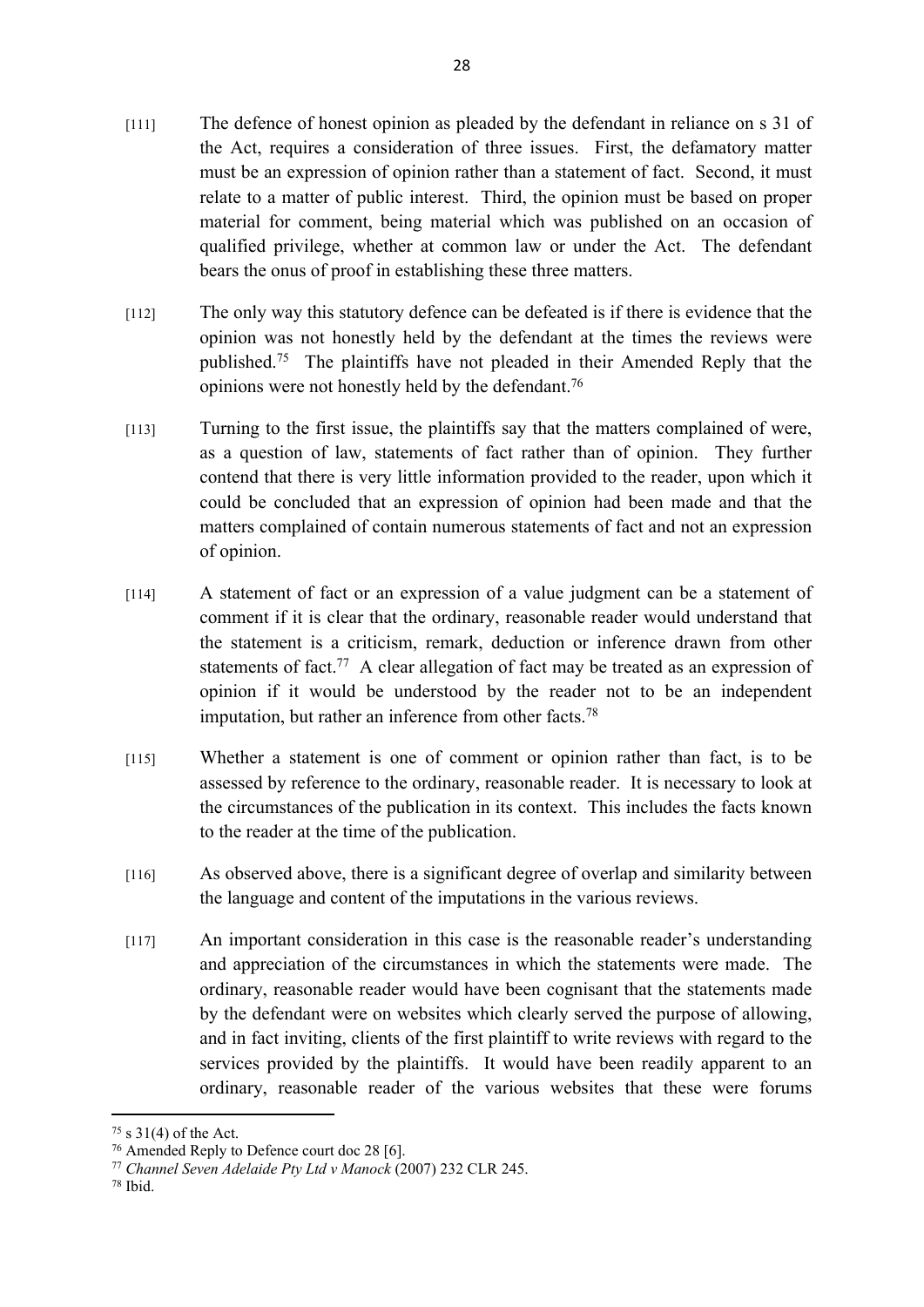- [111] The defence of honest opinion as pleaded by the defendant in reliance on s 31 of the Act, requires a consideration of three issues. First, the defamatory matter must be an expression of opinion rather than a statement of fact. Second, it must relate to a matter of public interest. Third, the opinion must be based on proper material for comment, being material which was published on an occasion of qualified privilege, whether at common law or under the Act. The defendant bears the onus of proof in establishing these three matters.
- [112] The only way this statutory defence can be defeated is if there is evidence that the opinion was not honestly held by the defendant at the times the reviews were published.<sup>75</sup> The plaintiffs have not pleaded in their Amended Reply that the opinions were not honestly held by the defendant.<sup>76</sup>
- [113] Turning to the first issue, the plaintiffs say that the matters complained of were, as a question of law, statements of fact rather than of opinion. They further contend that there is very little information provided to the reader, upon which it could be concluded that an expression of opinion had been made and that the matters complained of contain numerous statements of fact and not an expression of opinion.
- [114] A statement of fact or an expression of a value judgment can be a statement of comment if it is clear that the ordinary, reasonable reader would understand that the statement is a criticism, remark, deduction or inference drawn from other statements of fact.<sup>77</sup> A clear allegation of fact may be treated as an expression of opinion if it would be understood by the reader not to be an independent imputation, but rather an inference from other facts.<sup>78</sup>
- [115] Whether a statement is one of comment or opinion rather than fact, is to be assessed by reference to the ordinary, reasonable reader. It is necessary to look at the circumstances of the publication in its context. This includes the facts known to the reader at the time of the publication.
- [116] As observed above, there is a significant degree of overlap and similarity between the language and content of the imputations in the various reviews.
- [117] An important consideration in this case is the reasonable reader's understanding and appreciation of the circumstances in which the statements were made. The ordinary, reasonable reader would have been cognisant that the statements made by the defendant were on websites which clearly served the purpose of allowing, and in fact inviting, clients of the first plaintiff to write reviews with regard to the services provided by the plaintiffs. It would have been readily apparent to an ordinary, reasonable reader of the various websites that these were forums

 $75 \text{ s } 31(4)$  of the Act.

<sup>76</sup> Amended Reply to Defence court doc 28 [6].

<sup>77</sup> *Channel Seven Adelaide Pty Ltd v Manock* (2007) 232 CLR 245.

<sup>78</sup> Ibid.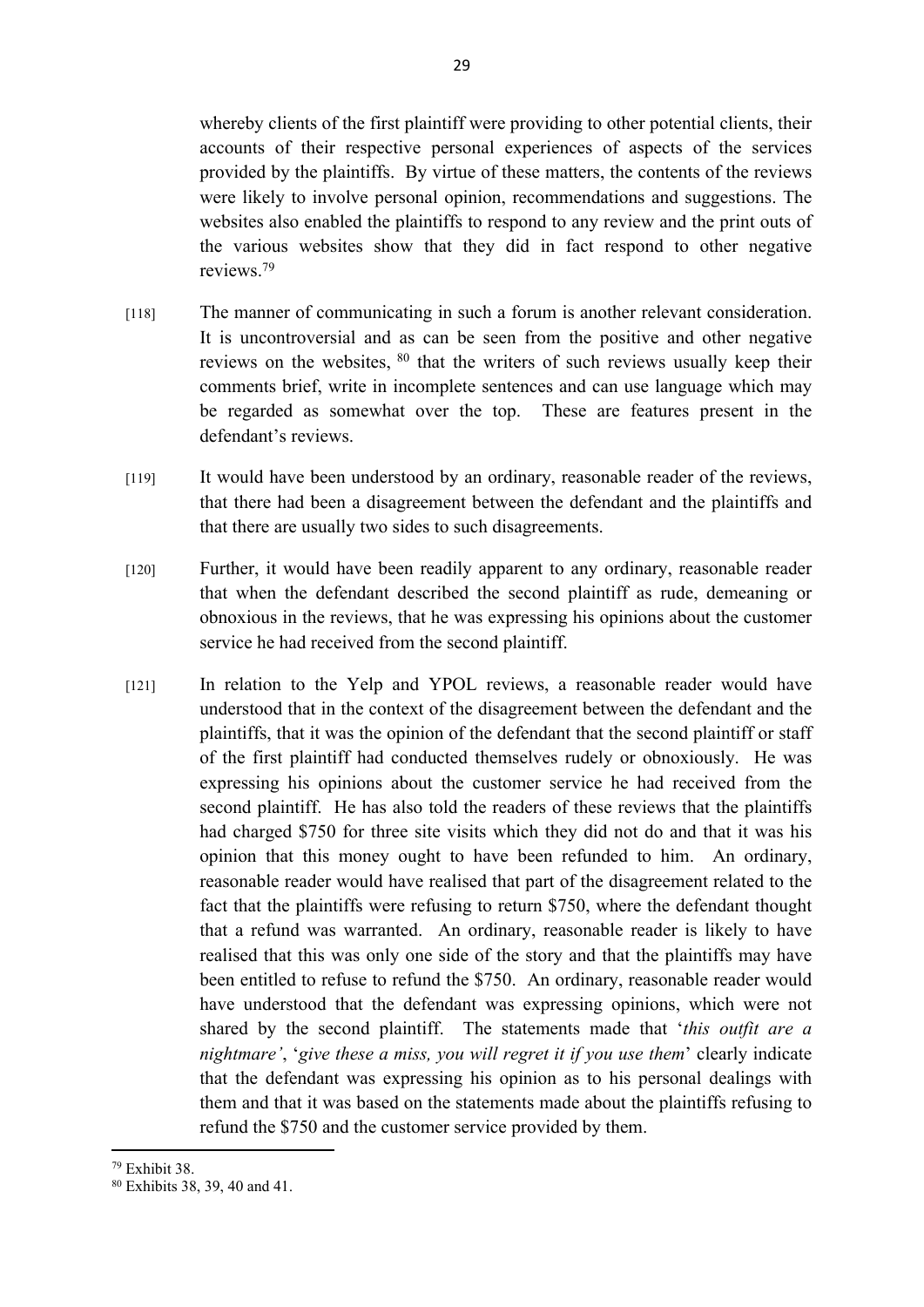whereby clients of the first plaintiff were providing to other potential clients, their accounts of their respective personal experiences of aspects of the services provided by the plaintiffs. By virtue of these matters, the contents of the reviews were likely to involve personal opinion, recommendations and suggestions. The websites also enabled the plaintiffs to respond to any review and the print outs of the various websites show that they did in fact respond to other negative reviews.<sup>79</sup>

- [118] The manner of communicating in such a forum is another relevant consideration. It is uncontroversial and as can be seen from the positive and other negative reviews on the websites, <sup>80</sup> that the writers of such reviews usually keep their comments brief, write in incomplete sentences and can use language which may be regarded as somewhat over the top. These are features present in the defendant's reviews.
- [119] It would have been understood by an ordinary, reasonable reader of the reviews, that there had been a disagreement between the defendant and the plaintiffs and that there are usually two sides to such disagreements.
- [120] Further, it would have been readily apparent to any ordinary, reasonable reader that when the defendant described the second plaintiff as rude, demeaning or obnoxious in the reviews, that he was expressing his opinions about the customer service he had received from the second plaintiff.
- [121] In relation to the Yelp and YPOL reviews, a reasonable reader would have understood that in the context of the disagreement between the defendant and the plaintiffs, that it was the opinion of the defendant that the second plaintiff or staff of the first plaintiff had conducted themselves rudely or obnoxiously. He was expressing his opinions about the customer service he had received from the second plaintiff. He has also told the readers of these reviews that the plaintiffs had charged \$750 for three site visits which they did not do and that it was his opinion that this money ought to have been refunded to him. An ordinary, reasonable reader would have realised that part of the disagreement related to the fact that the plaintiffs were refusing to return \$750, where the defendant thought that a refund was warranted. An ordinary, reasonable reader is likely to have realised that this was only one side of the story and that the plaintiffs may have been entitled to refuse to refund the \$750. An ordinary, reasonable reader would have understood that the defendant was expressing opinions, which were not shared by the second plaintiff. The statements made that '*this outfit are a nightmare'*, '*give these a miss, you will regret it if you use them*' clearly indicate that the defendant was expressing his opinion as to his personal dealings with them and that it was based on the statements made about the plaintiffs refusing to refund the \$750 and the customer service provided by them.

<sup>79</sup> Exhibit 38.

<sup>80</sup> Exhibits 38, 39, 40 and 41.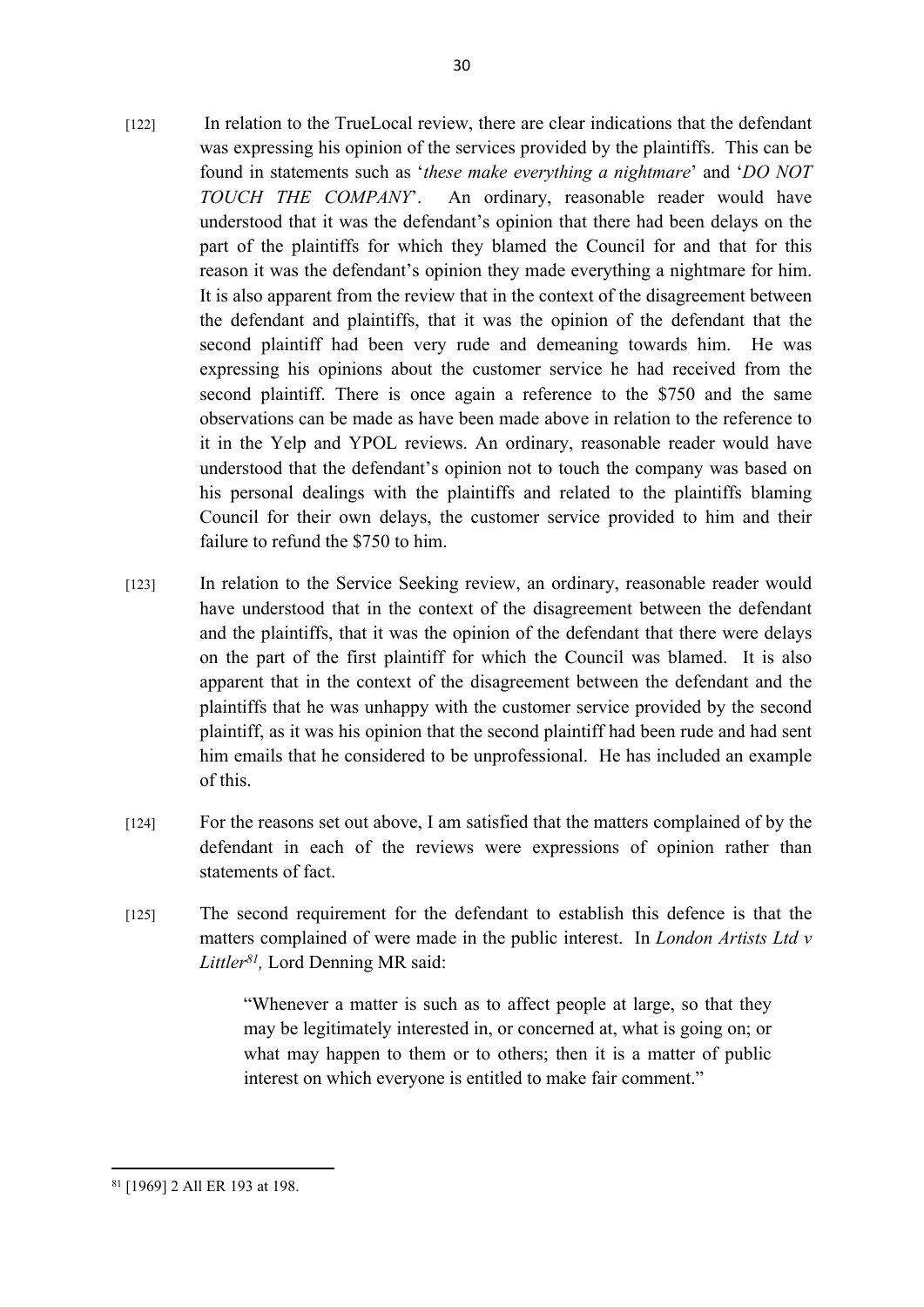- [122] In relation to the TrueLocal review, there are clear indications that the defendant was expressing his opinion of the services provided by the plaintiffs. This can be found in statements such as '*these make everything a nightmare*' and '*DO NOT TOUCH THE COMPANY*'. An ordinary, reasonable reader would have understood that it was the defendant's opinion that there had been delays on the part of the plaintiffs for which they blamed the Council for and that for this reason it was the defendant's opinion they made everything a nightmare for him. It is also apparent from the review that in the context of the disagreement between the defendant and plaintiffs, that it was the opinion of the defendant that the second plaintiff had been very rude and demeaning towards him. He was expressing his opinions about the customer service he had received from the second plaintiff. There is once again a reference to the \$750 and the same observations can be made as have been made above in relation to the reference to it in the Yelp and YPOL reviews. An ordinary, reasonable reader would have understood that the defendant's opinion not to touch the company was based on his personal dealings with the plaintiffs and related to the plaintiffs blaming Council for their own delays, the customer service provided to him and their failure to refund the \$750 to him.
- [123] In relation to the Service Seeking review, an ordinary, reasonable reader would have understood that in the context of the disagreement between the defendant and the plaintiffs, that it was the opinion of the defendant that there were delays on the part of the first plaintiff for which the Council was blamed. It is also apparent that in the context of the disagreement between the defendant and the plaintiffs that he was unhappy with the customer service provided by the second plaintiff, as it was his opinion that the second plaintiff had been rude and had sent him emails that he considered to be unprofessional. He has included an example of this.
- [124] For the reasons set out above, I am satisfied that the matters complained of by the defendant in each of the reviews were expressions of opinion rather than statements of fact.
- [125] The second requirement for the defendant to establish this defence is that the matters complained of were made in the public interest. In *London Artists Ltd v Littler<sup>81</sup> ,* Lord Denning MR said:

"Whenever a matter is such as to affect people at large, so that they may be legitimately interested in, or concerned at, what is going on; or what may happen to them or to others; then it is a matter of public interest on which everyone is entitled to make fair comment."

<sup>81</sup> [1969] 2 All ER 193 at 198.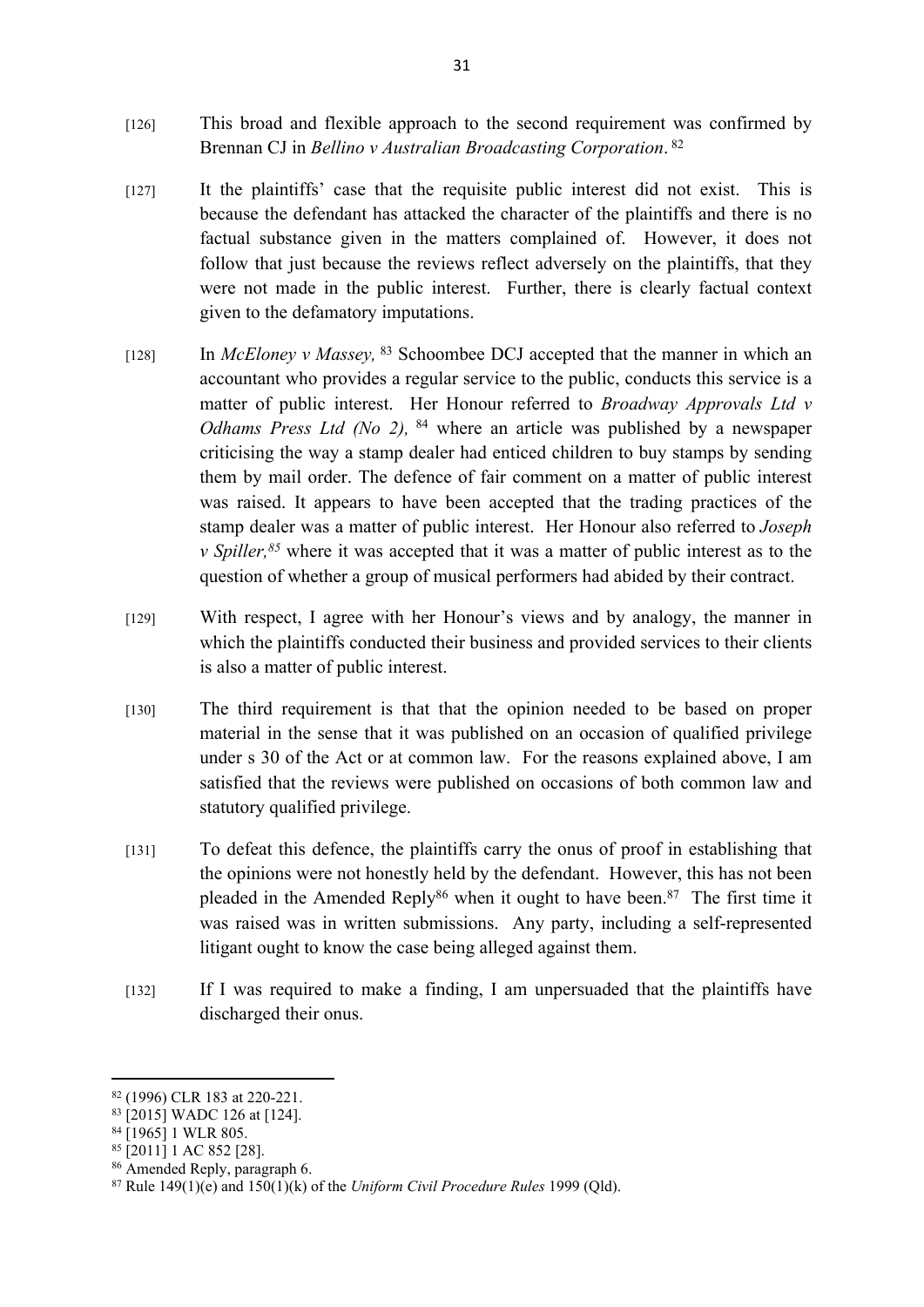- [126] This broad and flexible approach to the second requirement was confirmed by Brennan CJ in *Bellino v Australian Broadcasting Corporation*. 82
- [127] It the plaintiffs' case that the requisite public interest did not exist. This is because the defendant has attacked the character of the plaintiffs and there is no factual substance given in the matters complained of. However, it does not follow that just because the reviews reflect adversely on the plaintiffs, that they were not made in the public interest. Further, there is clearly factual context given to the defamatory imputations.
- [128] In *McEloney v Massey,* <sup>83</sup> Schoombee DCJ accepted that the manner in which an accountant who provides a regular service to the public, conducts this service is a matter of public interest. Her Honour referred to *Broadway Approvals Ltd v Odhams Press Ltd (No 2),* <sup>84</sup> where an article was published by a newspaper criticising the way a stamp dealer had enticed children to buy stamps by sending them by mail order. The defence of fair comment on a matter of public interest was raised. It appears to have been accepted that the trading practices of the stamp dealer was a matter of public interest. Her Honour also referred to *Joseph v Spiller,<sup>85</sup>* where it was accepted that it was a matter of public interest as to the question of whether a group of musical performers had abided by their contract.
- [129] With respect, I agree with her Honour's views and by analogy, the manner in which the plaintiffs conducted their business and provided services to their clients is also a matter of public interest.
- [130] The third requirement is that that the opinion needed to be based on proper material in the sense that it was published on an occasion of qualified privilege under s 30 of the Act or at common law. For the reasons explained above, I am satisfied that the reviews were published on occasions of both common law and statutory qualified privilege.
- [131] To defeat this defence, the plaintiffs carry the onus of proof in establishing that the opinions were not honestly held by the defendant. However, this has not been pleaded in the Amended Reply<sup>86</sup> when it ought to have been.<sup>87</sup> The first time it was raised was in written submissions. Any party, including a self-represented litigant ought to know the case being alleged against them.
- [132] If I was required to make a finding, I am unpersuaded that the plaintiffs have discharged their onus.

<sup>82</sup> (1996) CLR 183 at 220-221.

<sup>83</sup> [2015] WADC 126 at [124].

<sup>84 [1965] 1</sup> WLR 805.

 $85$  [2011] 1 AC 852 [28].

<sup>86</sup> Amended Reply, paragraph 6.

<sup>87</sup> Rule 149(1)(e) and 150(1)(k) of the *Uniform Civil Procedure Rules* 1999 (Qld).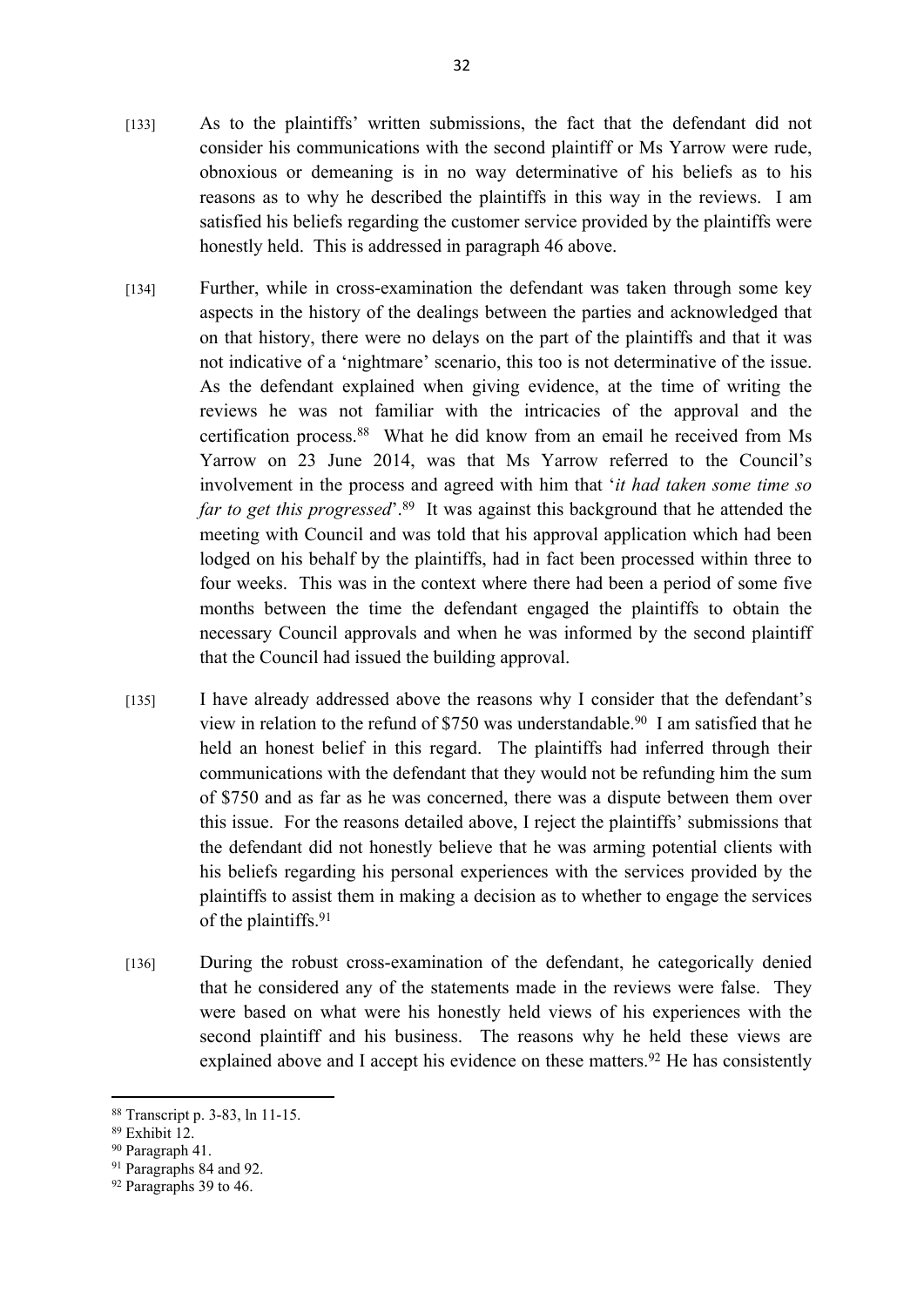- [133] As to the plaintiffs' written submissions, the fact that the defendant did not consider his communications with the second plaintiff or Ms Yarrow were rude, obnoxious or demeaning is in no way determinative of his beliefs as to his reasons as to why he described the plaintiffs in this way in the reviews. I am satisfied his beliefs regarding the customer service provided by the plaintiffs were honestly held. This is addressed in paragraph 46 above.
- [134] Further, while in cross-examination the defendant was taken through some key aspects in the history of the dealings between the parties and acknowledged that on that history, there were no delays on the part of the plaintiffs and that it was not indicative of a 'nightmare' scenario, this too is not determinative of the issue. As the defendant explained when giving evidence, at the time of writing the reviews he was not familiar with the intricacies of the approval and the certification process.<sup>88</sup> What he did know from an email he received from Ms Yarrow on 23 June 2014, was that Ms Yarrow referred to the Council's involvement in the process and agreed with him that '*it had taken some time so far to get this progressed*<sup>'.89</sup> It was against this background that he attended the meeting with Council and was told that his approval application which had been lodged on his behalf by the plaintiffs, had in fact been processed within three to four weeks. This was in the context where there had been a period of some five months between the time the defendant engaged the plaintiffs to obtain the necessary Council approvals and when he was informed by the second plaintiff that the Council had issued the building approval.
- [135] I have already addressed above the reasons why I consider that the defendant's view in relation to the refund of \$750 was understandable.<sup>90</sup> I am satisfied that he held an honest belief in this regard. The plaintiffs had inferred through their communications with the defendant that they would not be refunding him the sum of \$750 and as far as he was concerned, there was a dispute between them over this issue. For the reasons detailed above, I reject the plaintiffs' submissions that the defendant did not honestly believe that he was arming potential clients with his beliefs regarding his personal experiences with the services provided by the plaintiffs to assist them in making a decision as to whether to engage the services of the plaintiffs.<sup>91</sup>
- [136] During the robust cross-examination of the defendant, he categorically denied that he considered any of the statements made in the reviews were false. They were based on what were his honestly held views of his experiences with the second plaintiff and his business. The reasons why he held these views are explained above and I accept his evidence on these matters.<sup>92</sup> He has consistently

<sup>88</sup> Transcript p. 3-83, ln 11-15.

<sup>89</sup> Exhibit 12.

<sup>90</sup> Paragraph 41.

<sup>&</sup>lt;sup>91</sup> Paragraphs 84 and 92.

<sup>&</sup>lt;sup>92</sup> Paragraphs 39 to 46.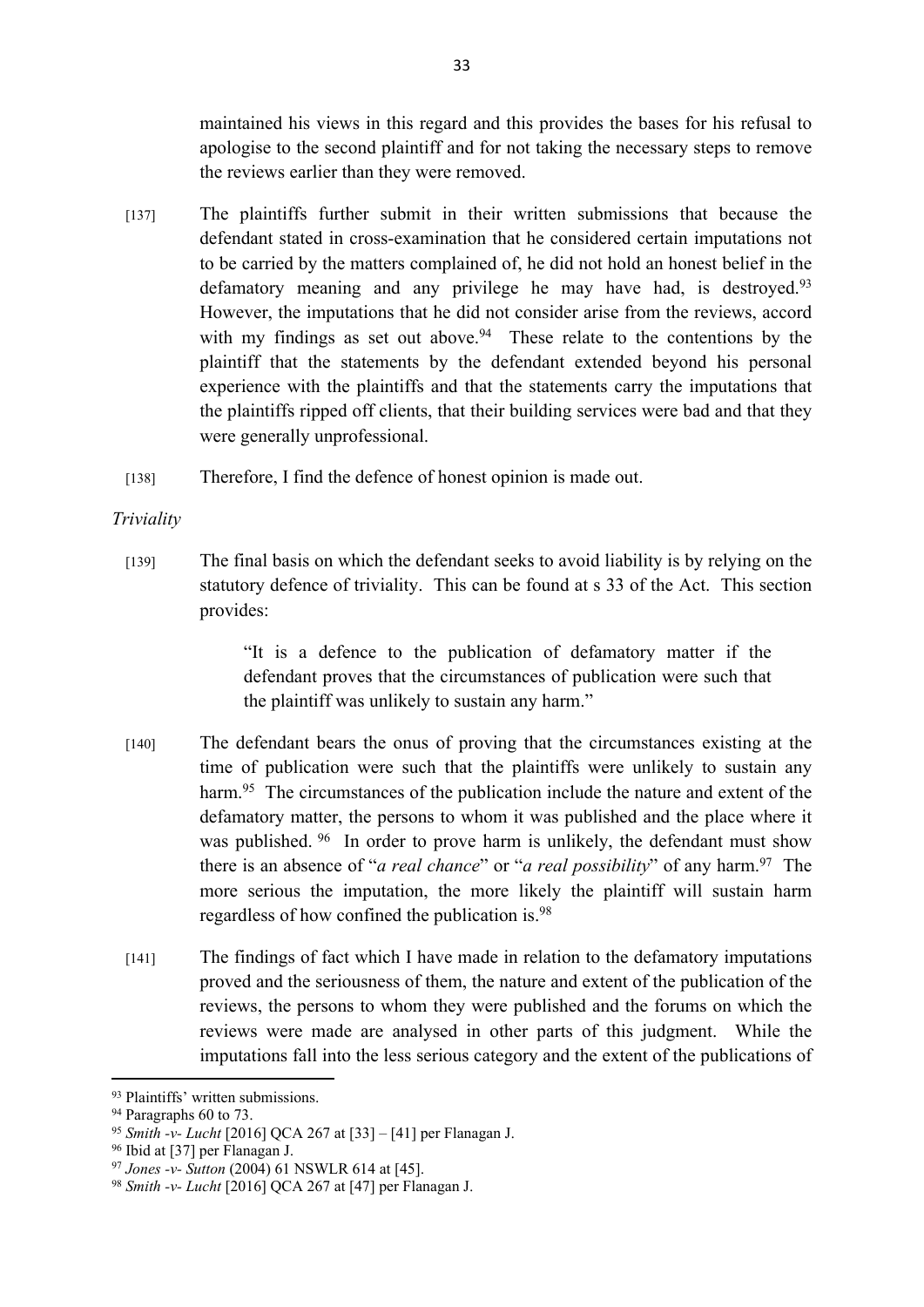maintained his views in this regard and this provides the bases for his refusal to apologise to the second plaintiff and for not taking the necessary steps to remove the reviews earlier than they were removed.

- [137] The plaintiffs further submit in their written submissions that because the defendant stated in cross-examination that he considered certain imputations not to be carried by the matters complained of, he did not hold an honest belief in the defamatory meaning and any privilege he may have had, is destroyed.<sup>93</sup> However, the imputations that he did not consider arise from the reviews, accord with my findings as set out above.<sup>94</sup> These relate to the contentions by the plaintiff that the statements by the defendant extended beyond his personal experience with the plaintiffs and that the statements carry the imputations that the plaintiffs ripped off clients, that their building services were bad and that they were generally unprofessional.
- [138] Therefore, I find the defence of honest opinion is made out.

## *Triviality*

[139] The final basis on which the defendant seeks to avoid liability is by relying on the statutory defence of triviality. This can be found at s 33 of the Act. This section provides:

> "It is a defence to the publication of defamatory matter if the defendant proves that the circumstances of publication were such that the plaintiff was unlikely to sustain any harm."

- [140] The defendant bears the onus of proving that the circumstances existing at the time of publication were such that the plaintiffs were unlikely to sustain any harm.<sup>95</sup> The circumstances of the publication include the nature and extent of the defamatory matter, the persons to whom it was published and the place where it was published.<sup>96</sup> In order to prove harm is unlikely, the defendant must show there is an absence of "*a real chance*" or "*a real possibility*" of any harm.<sup>97</sup> The more serious the imputation, the more likely the plaintiff will sustain harm regardless of how confined the publication is.<sup>98</sup>
- [141] The findings of fact which I have made in relation to the defamatory imputations proved and the seriousness of them, the nature and extent of the publication of the reviews, the persons to whom they were published and the forums on which the reviews were made are analysed in other parts of this judgment. While the imputations fall into the less serious category and the extent of the publications of

<sup>93</sup> Plaintiffs' written submissions.

<sup>&</sup>lt;sup>94</sup> Paragraphs 60 to 73.

<sup>95</sup> *Smith -v- Lucht* [2016] QCA 267 at [33] – [41] per Flanagan J.

<sup>96</sup> Ibid at [37] per Flanagan J.

<sup>97</sup> *Jones -v- Sutton* (2004) 61 NSWLR 614 at [45].

<sup>98</sup> *Smith -v- Lucht* [2016] QCA 267 at [47] per Flanagan J.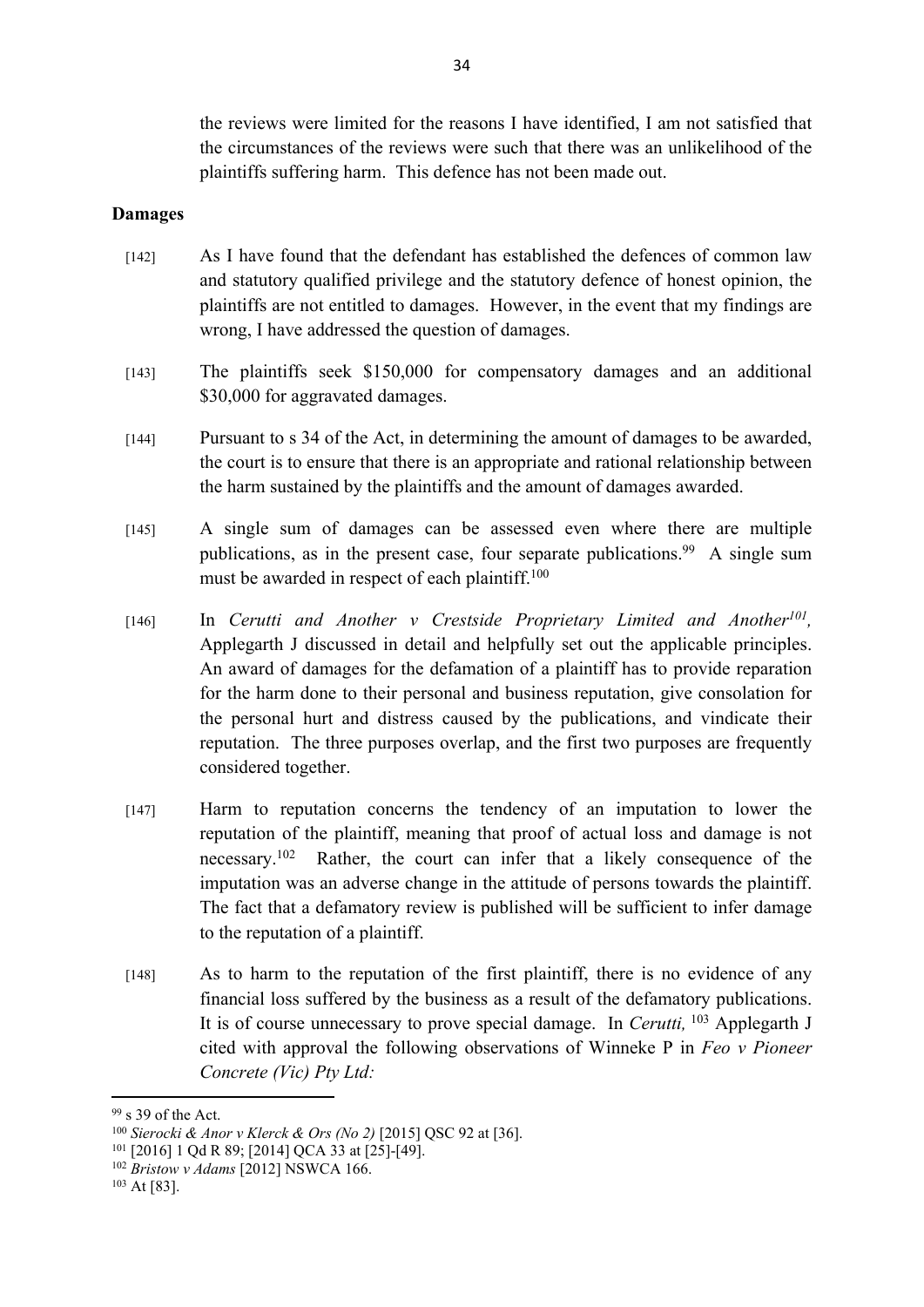the reviews were limited for the reasons I have identified, I am not satisfied that the circumstances of the reviews were such that there was an unlikelihood of the plaintiffs suffering harm. This defence has not been made out.

#### **Damages**

- [142] As I have found that the defendant has established the defences of common law and statutory qualified privilege and the statutory defence of honest opinion, the plaintiffs are not entitled to damages. However, in the event that my findings are wrong, I have addressed the question of damages.
- [143] The plaintiffs seek \$150,000 for compensatory damages and an additional \$30,000 for aggravated damages.
- [144] Pursuant to s 34 of the Act, in determining the amount of damages to be awarded, the court is to ensure that there is an appropriate and rational relationship between the harm sustained by the plaintiffs and the amount of damages awarded.
- [145] A single sum of damages can be assessed even where there are multiple publications, as in the present case, four separate publications.<sup>99</sup> A single sum must be awarded in respect of each plaintiff.<sup>100</sup>
- [146] In *Cerutti and Another v Crestside Proprietary Limited and Another<sup>101</sup>,* Applegarth J discussed in detail and helpfully set out the applicable principles. An award of damages for the defamation of a plaintiff has to provide reparation for the harm done to their personal and business reputation, give consolation for the personal hurt and distress caused by the publications, and vindicate their reputation. The three purposes overlap, and the first two purposes are frequently considered together.
- [147] Harm to reputation concerns the tendency of an imputation to lower the reputation of the plaintiff, meaning that proof of actual loss and damage is not necessary.<sup>102</sup> Rather, the court can infer that a likely consequence of the imputation was an adverse change in the attitude of persons towards the plaintiff. The fact that a defamatory review is published will be sufficient to infer damage to the reputation of a plaintiff.
- [148] As to harm to the reputation of the first plaintiff, there is no evidence of any financial loss suffered by the business as a result of the defamatory publications. It is of course unnecessary to prove special damage. In *Cerutti,* <sup>103</sup> Applegarth J cited with approval the following observations of Winneke P in *Feo v Pioneer Concrete (Vic) Pty Ltd:*

<sup>99</sup> s 39 of the Act.

<sup>100</sup> *Sierocki & Anor v Klerck & Ors (No 2)* [2015] QSC 92 at [36].

<sup>101</sup> [2016] 1 Qd R 89; [2014] QCA 33 at [25]-[49].

<sup>102</sup> *Bristow v Adams* [2012] NSWCA 166.

<sup>103</sup> At [83].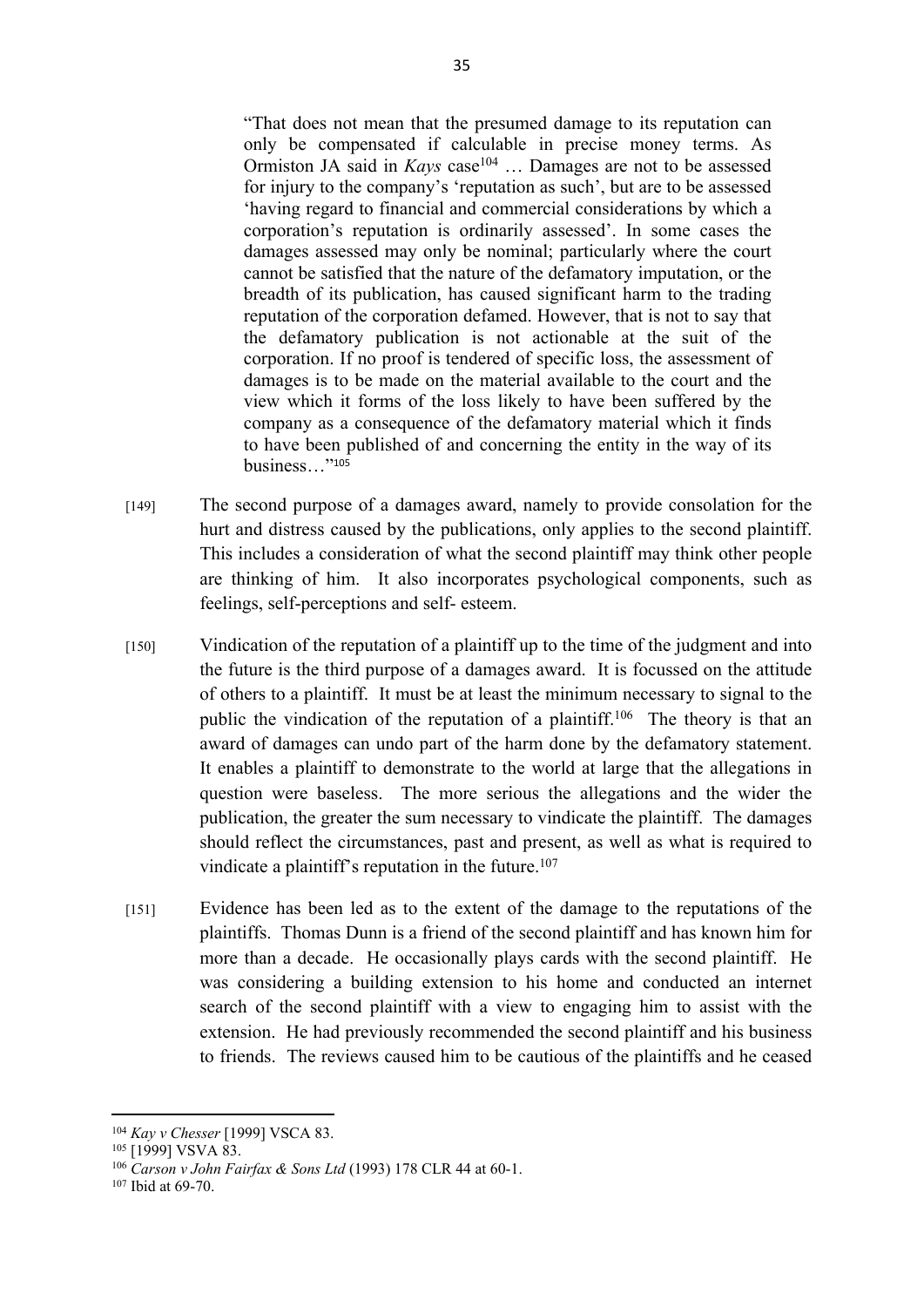"That does not mean that the presumed damage to its reputation can only be compensated if calculable in precise money terms. As Ormiston JA said in *Kays* case<sup>104</sup> ... Damages are not to be assessed for injury to the company's 'reputation as such', but are to be assessed 'having regard to financial and commercial considerations by which a corporation's reputation is ordinarily assessed'. In some cases the damages assessed may only be nominal; particularly where the court cannot be satisfied that the nature of the defamatory imputation, or the breadth of its publication, has caused significant harm to the trading reputation of the corporation defamed. However, that is not to say that the defamatory publication is not actionable at the suit of the corporation. If no proof is tendered of specific loss, the assessment of damages is to be made on the material available to the court and the view which it forms of the loss likely to have been suffered by the company as a consequence of the defamatory material which it finds to have been published of and concerning the entity in the way of its business…"<sup>105</sup>

- [149] The second purpose of a damages award, namely to provide consolation for the hurt and distress caused by the publications, only applies to the second plaintiff. This includes a consideration of what the second plaintiff may think other people are thinking of him. It also incorporates psychological components, such as feelings, self-perceptions and self- esteem.
- [150] Vindication of the reputation of a plaintiff up to the time of the judgment and into the future is the third purpose of a damages award. It is focussed on the attitude of others to a plaintiff. It must be at least the minimum necessary to signal to the public the vindication of the reputation of a plaintiff.<sup>106</sup> The theory is that an award of damages can undo part of the harm done by the defamatory statement. It enables a plaintiff to demonstrate to the world at large that the allegations in question were baseless. The more serious the allegations and the wider the publication, the greater the sum necessary to vindicate the plaintiff. The damages should reflect the circumstances, past and present, as well as what is required to vindicate a plaintiff's reputation in the future.<sup>107</sup>
- [151] Evidence has been led as to the extent of the damage to the reputations of the plaintiffs. Thomas Dunn is a friend of the second plaintiff and has known him for more than a decade. He occasionally plays cards with the second plaintiff. He was considering a building extension to his home and conducted an internet search of the second plaintiff with a view to engaging him to assist with the extension. He had previously recommended the second plaintiff and his business to friends. The reviews caused him to be cautious of the plaintiffs and he ceased

<sup>104</sup> *Kay v Chesser* [1999] VSCA 83.

<sup>105 [1999]</sup> VSVA 83.

<sup>106</sup> *Carson v John Fairfax & Sons Ltd* (1993) 178 CLR 44 at 60-1.

<sup>107</sup> Ibid at 69-70.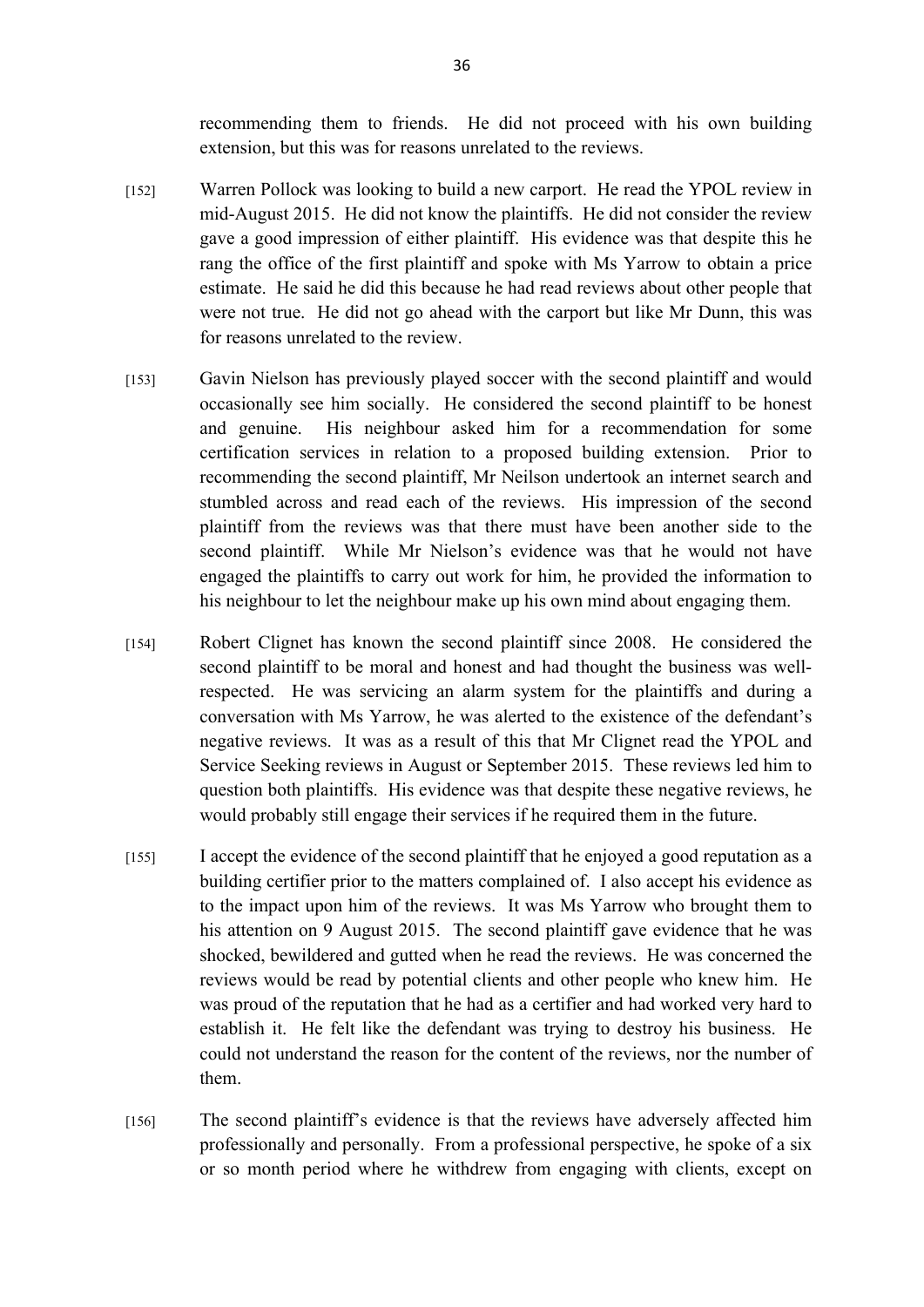recommending them to friends. He did not proceed with his own building extension, but this was for reasons unrelated to the reviews.

- [152] Warren Pollock was looking to build a new carport. He read the YPOL review in mid-August 2015. He did not know the plaintiffs. He did not consider the review gave a good impression of either plaintiff. His evidence was that despite this he rang the office of the first plaintiff and spoke with Ms Yarrow to obtain a price estimate. He said he did this because he had read reviews about other people that were not true. He did not go ahead with the carport but like Mr Dunn, this was for reasons unrelated to the review.
- [153] Gavin Nielson has previously played soccer with the second plaintiff and would occasionally see him socially. He considered the second plaintiff to be honest and genuine. His neighbour asked him for a recommendation for some certification services in relation to a proposed building extension. Prior to recommending the second plaintiff, Mr Neilson undertook an internet search and stumbled across and read each of the reviews. His impression of the second plaintiff from the reviews was that there must have been another side to the second plaintiff. While Mr Nielson's evidence was that he would not have engaged the plaintiffs to carry out work for him, he provided the information to his neighbour to let the neighbour make up his own mind about engaging them.
- [154] Robert Clignet has known the second plaintiff since 2008. He considered the second plaintiff to be moral and honest and had thought the business was wellrespected. He was servicing an alarm system for the plaintiffs and during a conversation with Ms Yarrow, he was alerted to the existence of the defendant's negative reviews. It was as a result of this that Mr Clignet read the YPOL and Service Seeking reviews in August or September 2015. These reviews led him to question both plaintiffs. His evidence was that despite these negative reviews, he would probably still engage their services if he required them in the future.
- [155] I accept the evidence of the second plaintiff that he enjoyed a good reputation as a building certifier prior to the matters complained of. I also accept his evidence as to the impact upon him of the reviews. It was Ms Yarrow who brought them to his attention on 9 August 2015. The second plaintiff gave evidence that he was shocked, bewildered and gutted when he read the reviews. He was concerned the reviews would be read by potential clients and other people who knew him. He was proud of the reputation that he had as a certifier and had worked very hard to establish it. He felt like the defendant was trying to destroy his business. He could not understand the reason for the content of the reviews, nor the number of them.
- [156] The second plaintiff's evidence is that the reviews have adversely affected him professionally and personally. From a professional perspective, he spoke of a six or so month period where he withdrew from engaging with clients, except on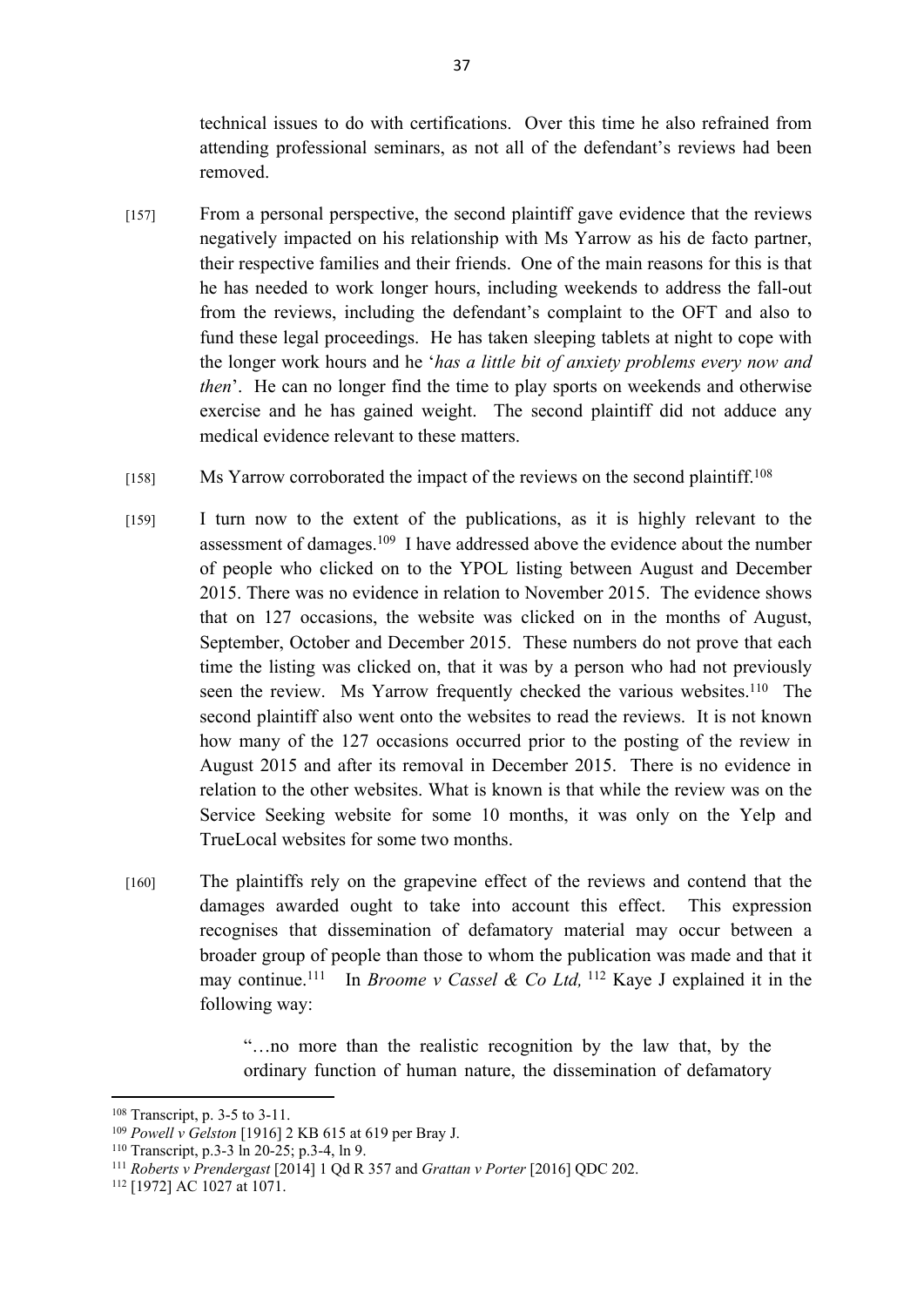technical issues to do with certifications. Over this time he also refrained from attending professional seminars, as not all of the defendant's reviews had been removed.

- [157] From a personal perspective, the second plaintiff gave evidence that the reviews negatively impacted on his relationship with Ms Yarrow as his de facto partner, their respective families and their friends. One of the main reasons for this is that he has needed to work longer hours, including weekends to address the fall-out from the reviews, including the defendant's complaint to the OFT and also to fund these legal proceedings. He has taken sleeping tablets at night to cope with the longer work hours and he '*has a little bit of anxiety problems every now and then*'. He can no longer find the time to play sports on weekends and otherwise exercise and he has gained weight. The second plaintiff did not adduce any medical evidence relevant to these matters.
- [158] Ms Yarrow corroborated the impact of the reviews on the second plaintiff.<sup>108</sup>
- [159] I turn now to the extent of the publications, as it is highly relevant to the assessment of damages.<sup>109</sup> I have addressed above the evidence about the number of people who clicked on to the YPOL listing between August and December 2015. There was no evidence in relation to November 2015. The evidence shows that on 127 occasions, the website was clicked on in the months of August, September, October and December 2015. These numbers do not prove that each time the listing was clicked on, that it was by a person who had not previously seen the review. Ms Yarrow frequently checked the various websites.<sup>110</sup> The second plaintiff also went onto the websites to read the reviews. It is not known how many of the 127 occasions occurred prior to the posting of the review in August 2015 and after its removal in December 2015. There is no evidence in relation to the other websites. What is known is that while the review was on the Service Seeking website for some 10 months, it was only on the Yelp and TrueLocal websites for some two months.
- [160] The plaintiffs rely on the grapevine effect of the reviews and contend that the damages awarded ought to take into account this effect. This expression recognises that dissemination of defamatory material may occur between a broader group of people than those to whom the publication was made and that it may continue.<sup>111</sup> In *Broome v Cassel & Co Ltd,* <sup>112</sup> Kaye J explained it in the following way:

"…no more than the realistic recognition by the law that, by the ordinary function of human nature, the dissemination of defamatory

<sup>108</sup> Transcript, p. 3-5 to 3-11.

<sup>109</sup> *Powell v Gelston* [1916] 2 KB 615 at 619 per Bray J.

<sup>110</sup> Transcript, p.3-3 ln 20-25; p.3-4, ln 9.

<sup>111</sup> *Roberts v Prendergast* [2014] 1 Qd R 357 and *Grattan v Porter* [2016] QDC 202.

<sup>112</sup> [1972] AC 1027 at 1071.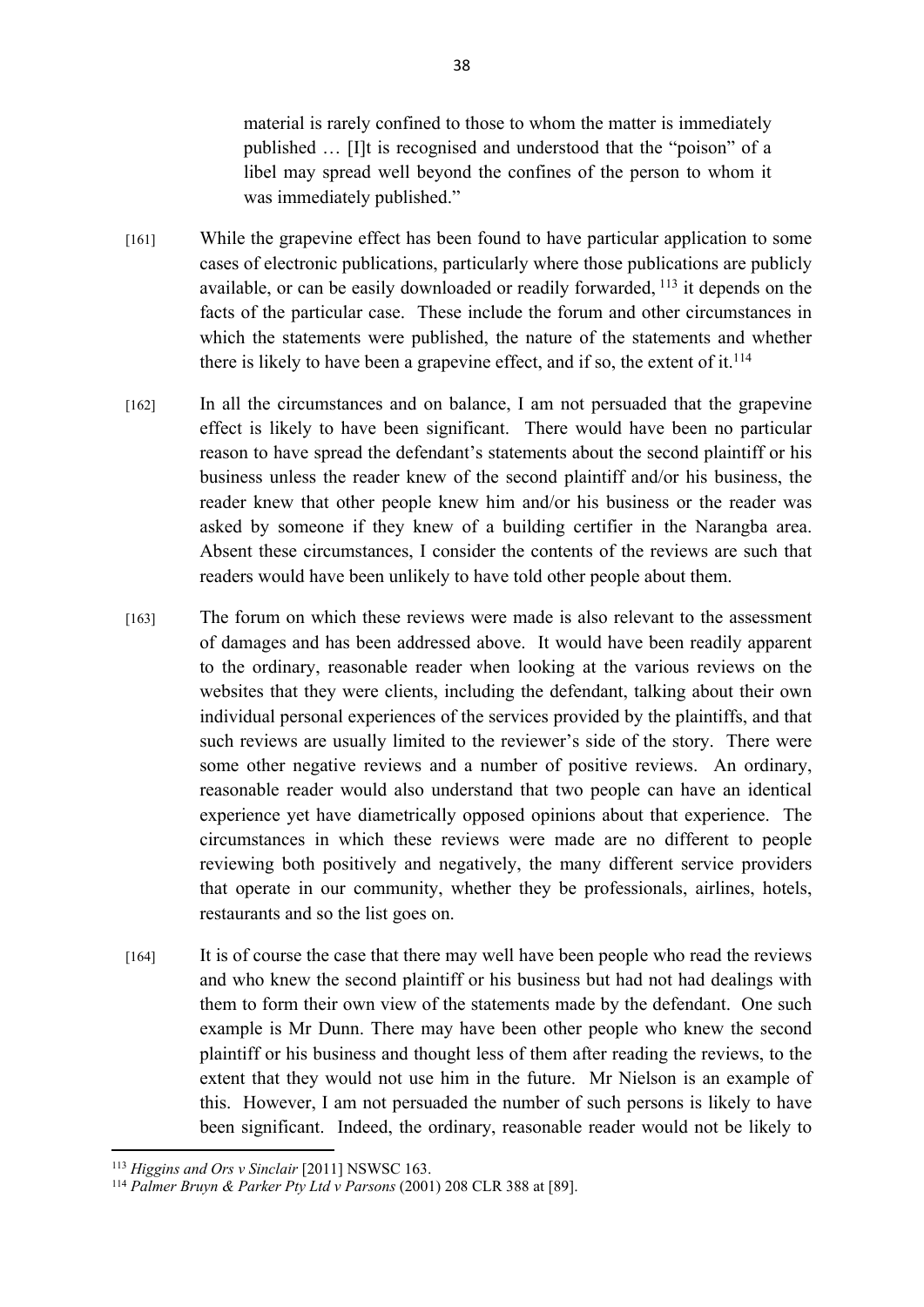material is rarely confined to those to whom the matter is immediately published … [I]t is recognised and understood that the "poison" of a libel may spread well beyond the confines of the person to whom it was immediately published."

- [161] While the grapevine effect has been found to have particular application to some cases of electronic publications, particularly where those publications are publicly available, or can be easily downloaded or readily forwarded, <sup>113</sup> it depends on the facts of the particular case. These include the forum and other circumstances in which the statements were published, the nature of the statements and whether there is likely to have been a grapevine effect, and if so, the extent of it.<sup>114</sup>
- [162] In all the circumstances and on balance, I am not persuaded that the grapevine effect is likely to have been significant. There would have been no particular reason to have spread the defendant's statements about the second plaintiff or his business unless the reader knew of the second plaintiff and/or his business, the reader knew that other people knew him and/or his business or the reader was asked by someone if they knew of a building certifier in the Narangba area. Absent these circumstances, I consider the contents of the reviews are such that readers would have been unlikely to have told other people about them.
- [163] The forum on which these reviews were made is also relevant to the assessment of damages and has been addressed above. It would have been readily apparent to the ordinary, reasonable reader when looking at the various reviews on the websites that they were clients, including the defendant, talking about their own individual personal experiences of the services provided by the plaintiffs, and that such reviews are usually limited to the reviewer's side of the story. There were some other negative reviews and a number of positive reviews. An ordinary, reasonable reader would also understand that two people can have an identical experience yet have diametrically opposed opinions about that experience. The circumstances in which these reviews were made are no different to people reviewing both positively and negatively, the many different service providers that operate in our community, whether they be professionals, airlines, hotels, restaurants and so the list goes on.
- [164] It is of course the case that there may well have been people who read the reviews and who knew the second plaintiff or his business but had not had dealings with them to form their own view of the statements made by the defendant. One such example is Mr Dunn. There may have been other people who knew the second plaintiff or his business and thought less of them after reading the reviews, to the extent that they would not use him in the future. Mr Nielson is an example of this. However, I am not persuaded the number of such persons is likely to have been significant. Indeed, the ordinary, reasonable reader would not be likely to

<sup>113</sup> *Higgins and Ors v Sinclair* [2011] NSWSC 163.

<sup>114</sup> *Palmer Bruyn & Parker Pty Ltd v Parsons* (2001) 208 CLR 388 at [89].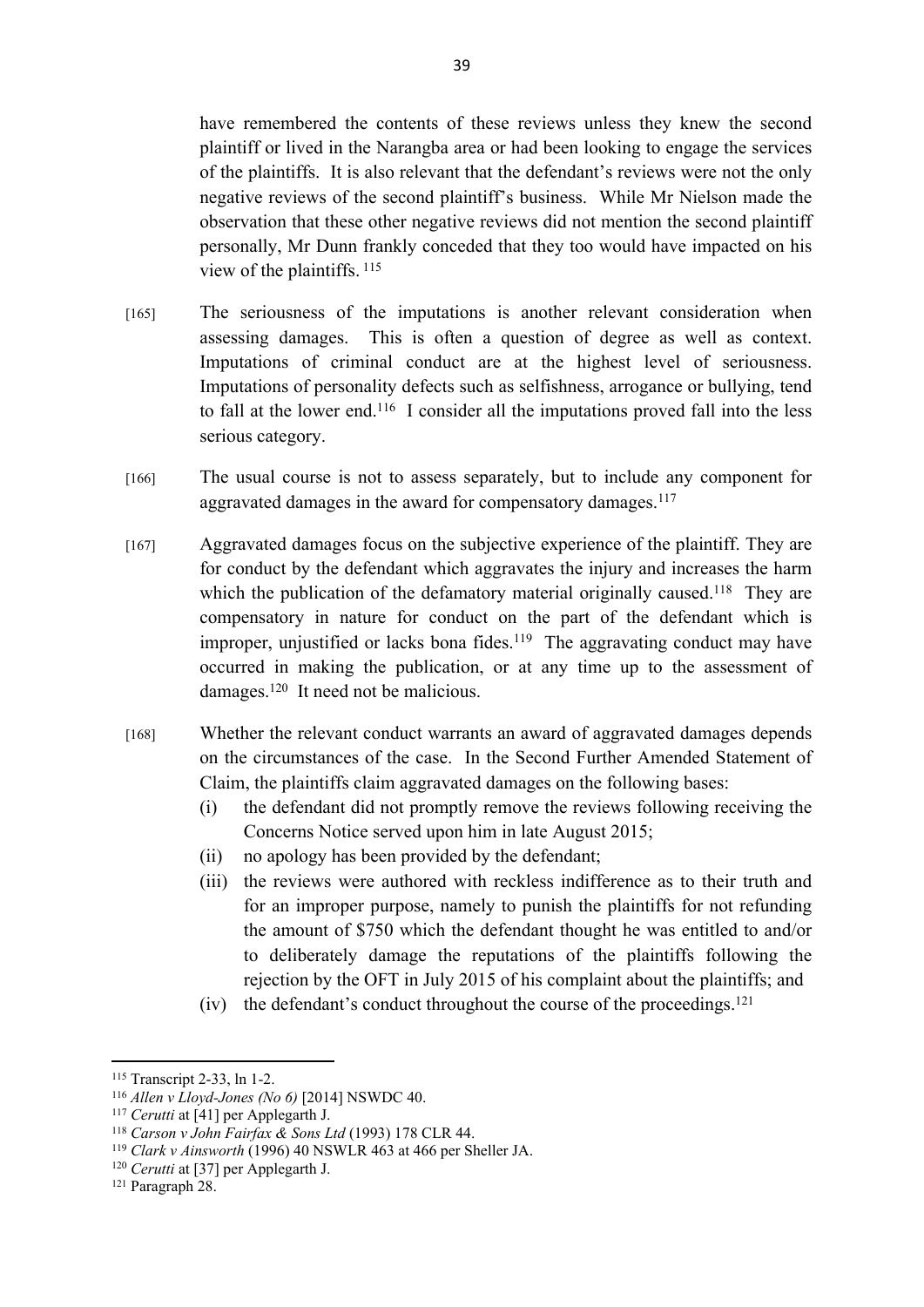have remembered the contents of these reviews unless they knew the second plaintiff or lived in the Narangba area or had been looking to engage the services of the plaintiffs. It is also relevant that the defendant's reviews were not the only negative reviews of the second plaintiff's business. While Mr Nielson made the observation that these other negative reviews did not mention the second plaintiff personally, Mr Dunn frankly conceded that they too would have impacted on his view of the plaintiffs.<sup>115</sup>

- [165] The seriousness of the imputations is another relevant consideration when assessing damages. This is often a question of degree as well as context. Imputations of criminal conduct are at the highest level of seriousness. Imputations of personality defects such as selfishness, arrogance or bullying, tend to fall at the lower end.<sup>116</sup> I consider all the imputations proved fall into the less serious category.
- [166] The usual course is not to assess separately, but to include any component for aggravated damages in the award for compensatory damages.<sup>117</sup>
- [167] Aggravated damages focus on the subjective experience of the plaintiff. They are for conduct by the defendant which aggravates the injury and increases the harm which the publication of the defamatory material originally caused.<sup>118</sup> They are compensatory in nature for conduct on the part of the defendant which is improper, unjustified or lacks bona fides.<sup>119</sup> The aggravating conduct may have occurred in making the publication, or at any time up to the assessment of damages.<sup>120</sup> It need not be malicious.
- [168] Whether the relevant conduct warrants an award of aggravated damages depends on the circumstances of the case. In the Second Further Amended Statement of Claim, the plaintiffs claim aggravated damages on the following bases:
	- (i) the defendant did not promptly remove the reviews following receiving the Concerns Notice served upon him in late August 2015;
	- (ii) no apology has been provided by the defendant;
	- (iii) the reviews were authored with reckless indifference as to their truth and for an improper purpose, namely to punish the plaintiffs for not refunding the amount of \$750 which the defendant thought he was entitled to and/or to deliberately damage the reputations of the plaintiffs following the rejection by the OFT in July 2015 of his complaint about the plaintiffs; and
	- (iv) the defendant's conduct throughout the course of the proceedings.<sup>121</sup>

<sup>115</sup> Transcript 2-33, ln 1-2.

<sup>116</sup> *Allen v Lloyd-Jones (No 6)* [2014] NSWDC 40.

<sup>117</sup> *Cerutti* at [41] per Applegarth J.

<sup>118</sup> *Carson v John Fairfax & Sons Ltd* (1993) 178 CLR 44.

<sup>119</sup> *Clark v Ainsworth* (1996) 40 NSWLR 463 at 466 per Sheller JA.

<sup>120</sup> *Cerutti* at [37] per Applegarth J.

<sup>&</sup>lt;sup>121</sup> Paragraph 28.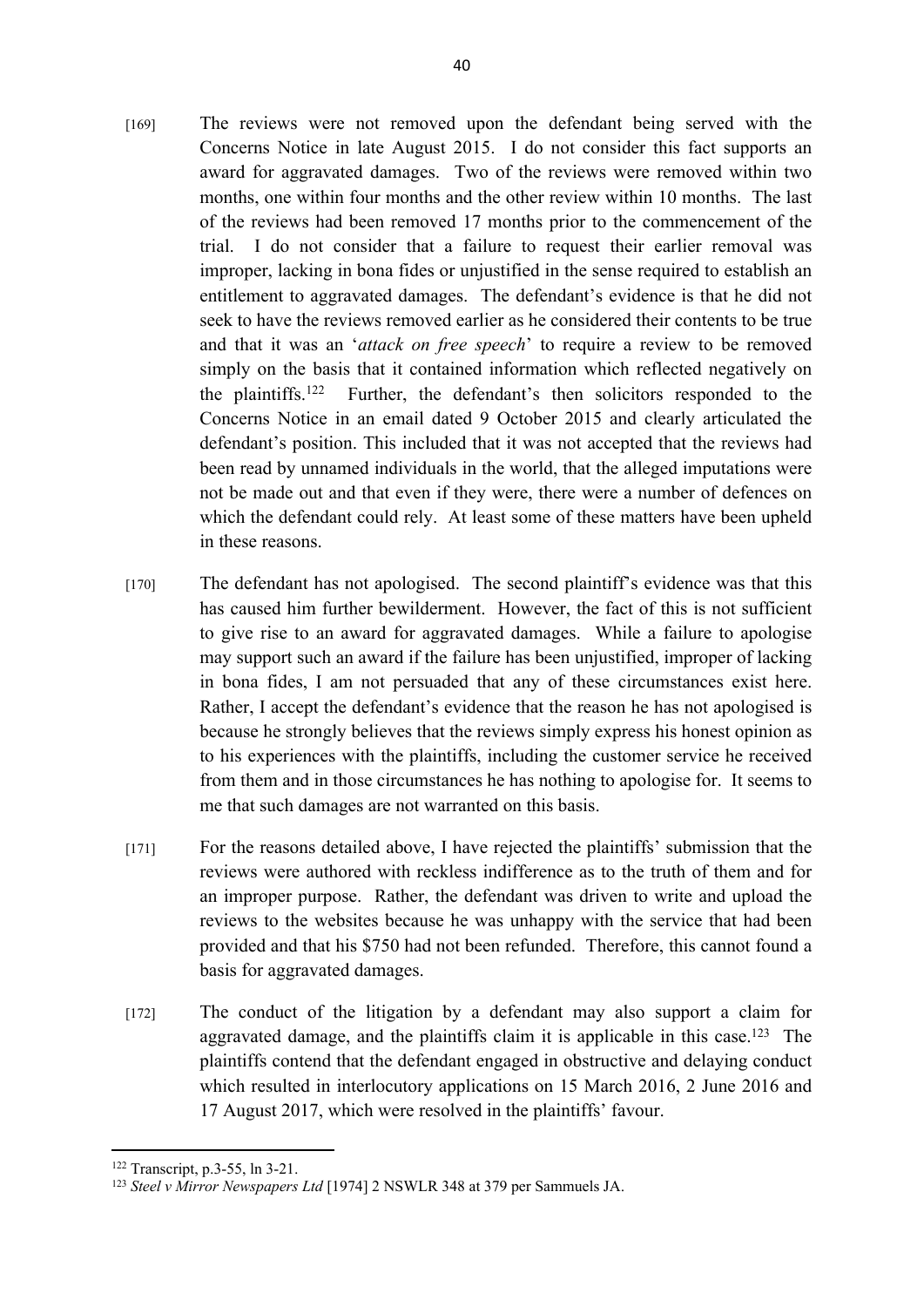- [169] The reviews were not removed upon the defendant being served with the Concerns Notice in late August 2015. I do not consider this fact supports an award for aggravated damages. Two of the reviews were removed within two months, one within four months and the other review within 10 months. The last of the reviews had been removed 17 months prior to the commencement of the trial. I do not consider that a failure to request their earlier removal was improper, lacking in bona fides or unjustified in the sense required to establish an entitlement to aggravated damages. The defendant's evidence is that he did not seek to have the reviews removed earlier as he considered their contents to be true and that it was an '*attack on free speech*' to require a review to be removed simply on the basis that it contained information which reflected negatively on the plaintiffs.<sup>122</sup> Further, the defendant's then solicitors responded to the Concerns Notice in an email dated 9 October 2015 and clearly articulated the defendant's position. This included that it was not accepted that the reviews had been read by unnamed individuals in the world, that the alleged imputations were not be made out and that even if they were, there were a number of defences on which the defendant could rely. At least some of these matters have been upheld in these reasons.
- [170] The defendant has not apologised. The second plaintiff's evidence was that this has caused him further bewilderment. However, the fact of this is not sufficient to give rise to an award for aggravated damages. While a failure to apologise may support such an award if the failure has been unjustified, improper of lacking in bona fides, I am not persuaded that any of these circumstances exist here. Rather, I accept the defendant's evidence that the reason he has not apologised is because he strongly believes that the reviews simply express his honest opinion as to his experiences with the plaintiffs, including the customer service he received from them and in those circumstances he has nothing to apologise for. It seems to me that such damages are not warranted on this basis.
- [171] For the reasons detailed above, I have rejected the plaintiffs' submission that the reviews were authored with reckless indifference as to the truth of them and for an improper purpose. Rather, the defendant was driven to write and upload the reviews to the websites because he was unhappy with the service that had been provided and that his \$750 had not been refunded. Therefore, this cannot found a basis for aggravated damages.
- [172] The conduct of the litigation by a defendant may also support a claim for aggravated damage, and the plaintiffs claim it is applicable in this case.<sup>123</sup> The plaintiffs contend that the defendant engaged in obstructive and delaying conduct which resulted in interlocutory applications on 15 March 2016, 2 June 2016 and 17 August 2017, which were resolved in the plaintiffs' favour.

<sup>122</sup> Transcript, p.3-55, ln 3-21.

<sup>123</sup> *Steel v Mirror Newspapers Ltd* [1974] 2 NSWLR 348 at 379 per Sammuels JA.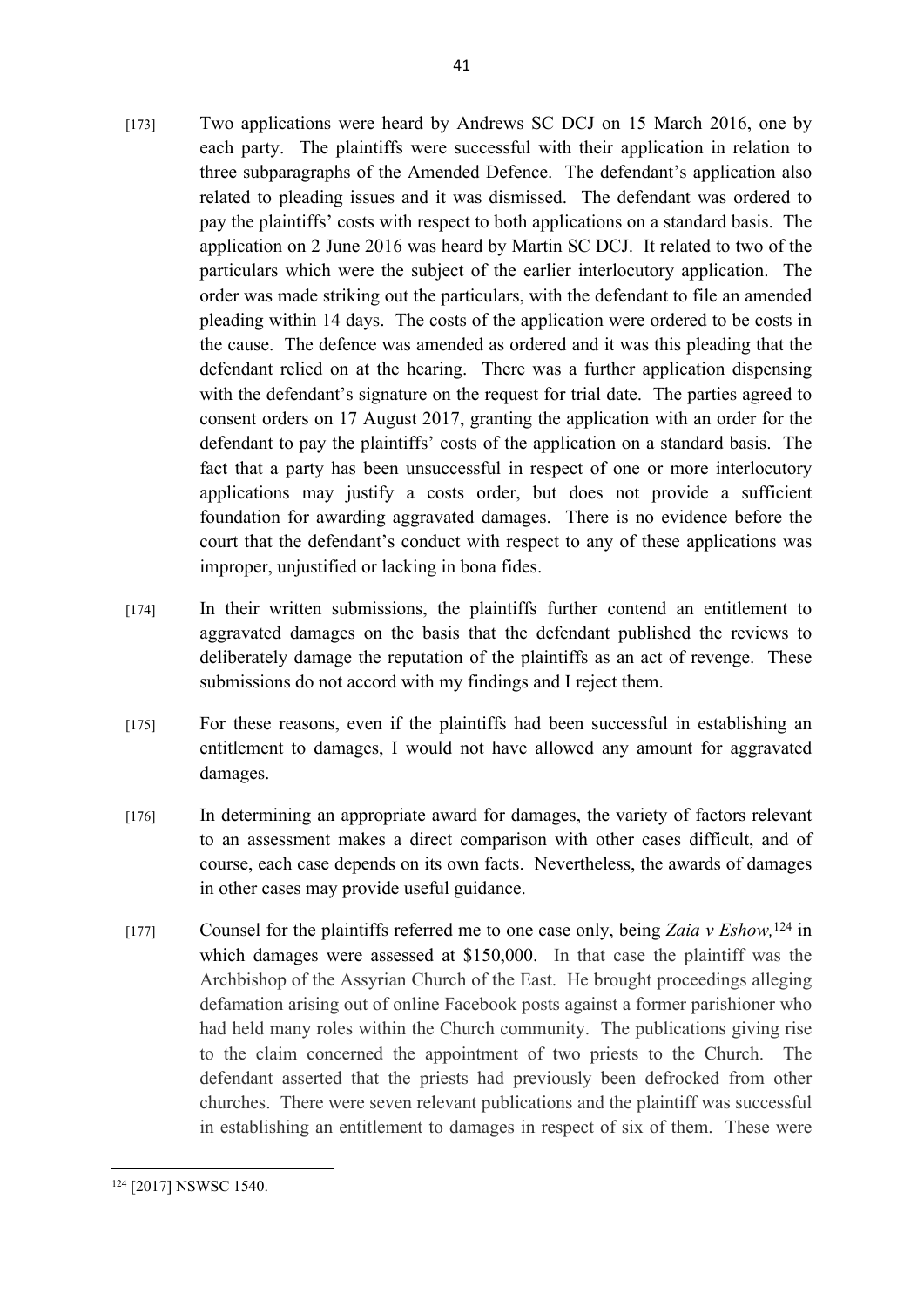- [173] Two applications were heard by Andrews SC DCJ on 15 March 2016, one by each party. The plaintiffs were successful with their application in relation to three subparagraphs of the Amended Defence. The defendant's application also related to pleading issues and it was dismissed. The defendant was ordered to pay the plaintiffs' costs with respect to both applications on a standard basis. The application on 2 June 2016 was heard by Martin SC DCJ. It related to two of the particulars which were the subject of the earlier interlocutory application. The order was made striking out the particulars, with the defendant to file an amended pleading within 14 days. The costs of the application were ordered to be costs in the cause. The defence was amended as ordered and it was this pleading that the defendant relied on at the hearing. There was a further application dispensing with the defendant's signature on the request for trial date. The parties agreed to consent orders on 17 August 2017, granting the application with an order for the defendant to pay the plaintiffs' costs of the application on a standard basis. The fact that a party has been unsuccessful in respect of one or more interlocutory applications may justify a costs order, but does not provide a sufficient foundation for awarding aggravated damages. There is no evidence before the court that the defendant's conduct with respect to any of these applications was improper, unjustified or lacking in bona fides.
- [174] In their written submissions, the plaintiffs further contend an entitlement to aggravated damages on the basis that the defendant published the reviews to deliberately damage the reputation of the plaintiffs as an act of revenge. These submissions do not accord with my findings and I reject them.
- [175] For these reasons, even if the plaintiffs had been successful in establishing an entitlement to damages, I would not have allowed any amount for aggravated damages.
- [176] In determining an appropriate award for damages, the variety of factors relevant to an assessment makes a direct comparison with other cases difficult, and of course, each case depends on its own facts. Nevertheless, the awards of damages in other cases may provide useful guidance.
- [177] Counsel for the plaintiffs referred me to one case only, being *Zaia v Eshow,*<sup>124</sup> in which damages were assessed at \$150,000. In that case the plaintiff was the Archbishop of the Assyrian Church of the East. He brought proceedings alleging defamation arising out of online Facebook posts against a former parishioner who had held many roles within the Church community. The publications giving rise to the claim concerned the appointment of two priests to the Church. The defendant asserted that the priests had previously been defrocked from other churches. There were seven relevant publications and the plaintiff was successful in establishing an entitlement to damages in respect of six of them. These were

<sup>124</sup> [2017] NSWSC 1540.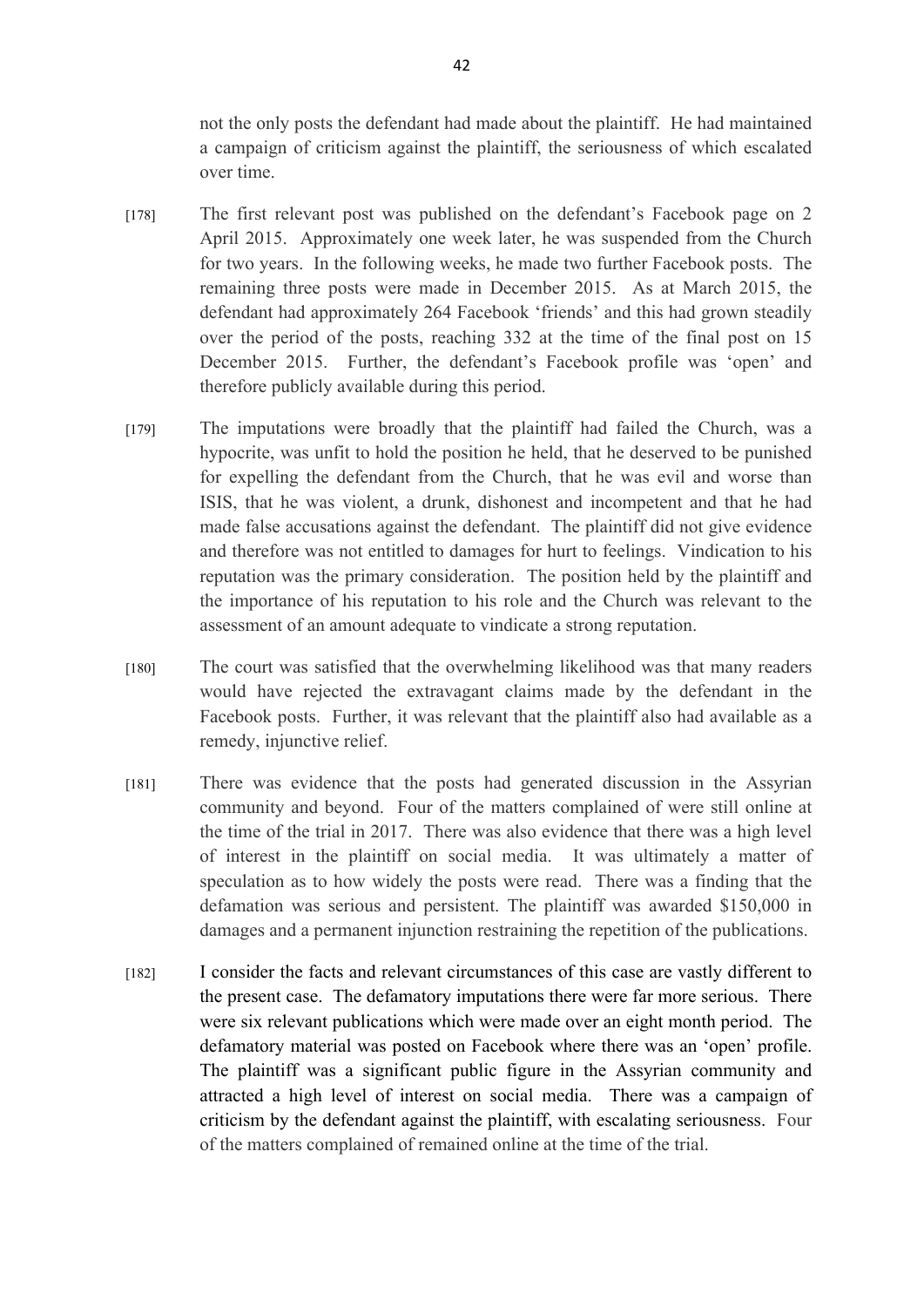not the only posts the defendant had made about the plaintiff. He had maintained a campaign of criticism against the plaintiff, the seriousness of which escalated over time.

- [178] The first relevant post was published on the defendant's Facebook page on 2 April 2015. Approximately one week later, he was suspended from the Church for two years. In the following weeks, he made two further Facebook posts. The remaining three posts were made in December 2015. As at March 2015, the defendant had approximately 264 Facebook 'friends' and this had grown steadily over the period of the posts, reaching 332 at the time of the final post on 15 December 2015. Further, the defendant's Facebook profile was 'open' and therefore publicly available during this period.
- [179] The imputations were broadly that the plaintiff had failed the Church, was a hypocrite, was unfit to hold the position he held, that he deserved to be punished for expelling the defendant from the Church, that he was evil and worse than ISIS, that he was violent, a drunk, dishonest and incompetent and that he had made false accusations against the defendant. The plaintiff did not give evidence and therefore was not entitled to damages for hurt to feelings. Vindication to his reputation was the primary consideration. The position held by the plaintiff and the importance of his reputation to his role and the Church was relevant to the assessment of an amount adequate to vindicate a strong reputation.
- [180] The court was satisfied that the overwhelming likelihood was that many readers would have rejected the extravagant claims made by the defendant in the Facebook posts. Further, it was relevant that the plaintiff also had available as a remedy, injunctive relief.
- [181] There was evidence that the posts had generated discussion in the Assyrian community and beyond. Four of the matters complained of were still online at the time of the trial in 2017. There was also evidence that there was a high level of interest in the plaintiff on social media. It was ultimately a matter of speculation as to how widely the posts were read. There was a finding that the defamation was serious and persistent. The plaintiff was awarded \$150,000 in damages and a permanent injunction restraining the repetition of the publications.
- [182] I consider the facts and relevant circumstances of this case are vastly different to the present case. The defamatory imputations there were far more serious. There were six relevant publications which were made over an eight month period. The defamatory material was posted on Facebook where there was an 'open' profile. The plaintiff was a significant public figure in the Assyrian community and attracted a high level of interest on social media. There was a campaign of criticism by the defendant against the plaintiff, with escalating seriousness. Four of the matters complained of remained online at the time of the trial.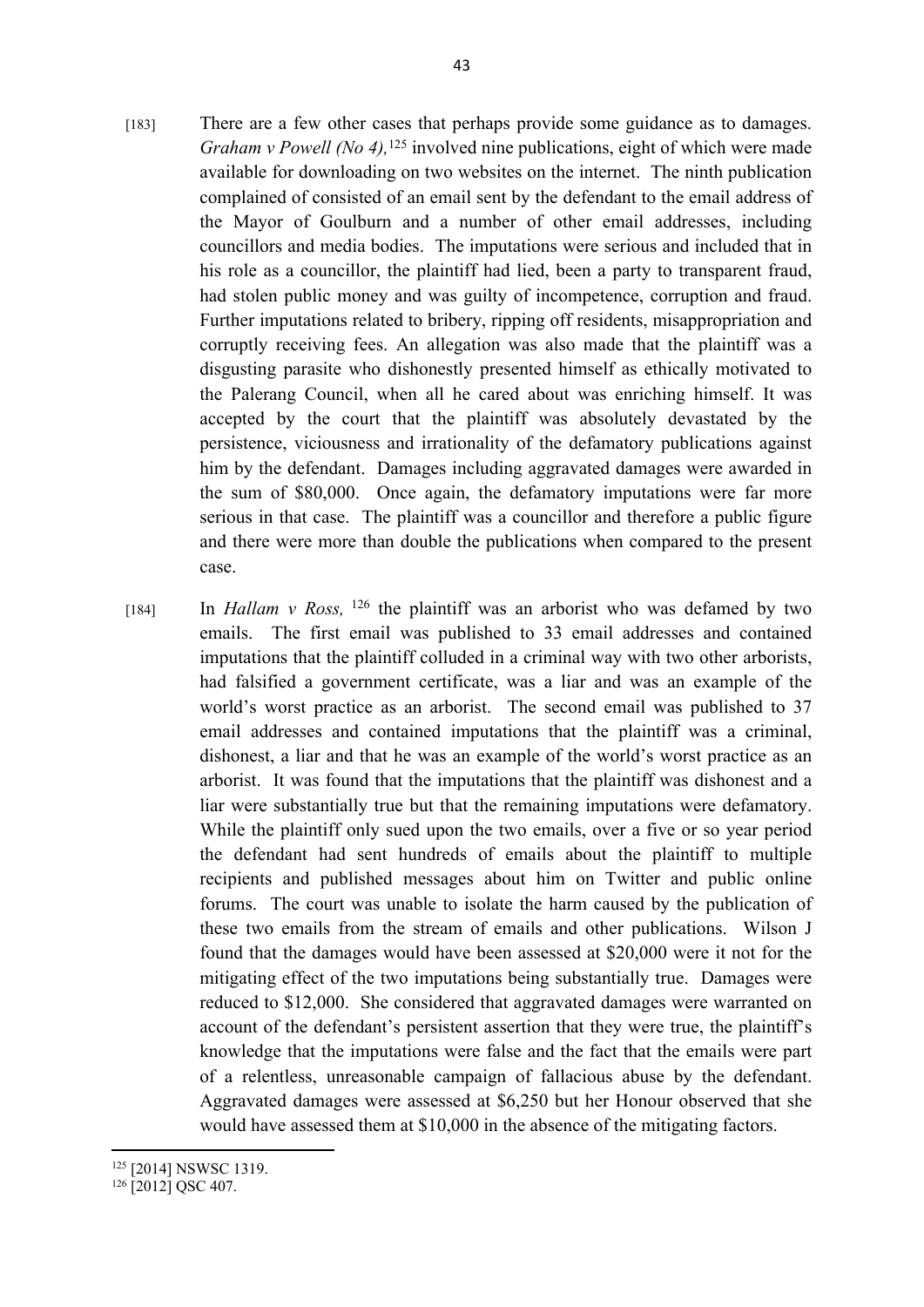- [183] There are a few other cases that perhaps provide some guidance as to damages. *Graham v Powell (No 4),*<sup>125</sup> involved nine publications, eight of which were made available for downloading on two websites on the internet. The ninth publication complained of consisted of an email sent by the defendant to the email address of the Mayor of Goulburn and a number of other email addresses, including councillors and media bodies. The imputations were serious and included that in his role as a councillor, the plaintiff had lied, been a party to transparent fraud, had stolen public money and was guilty of incompetence, corruption and fraud. Further imputations related to bribery, ripping off residents, misappropriation and corruptly receiving fees. An allegation was also made that the plaintiff was a disgusting parasite who dishonestly presented himself as ethically motivated to the Palerang Council, when all he cared about was enriching himself. It was accepted by the court that the plaintiff was absolutely devastated by the persistence, viciousness and irrationality of the defamatory publications against him by the defendant. Damages including aggravated damages were awarded in the sum of \$80,000. Once again, the defamatory imputations were far more serious in that case. The plaintiff was a councillor and therefore a public figure and there were more than double the publications when compared to the present case.
- [184] In *Hallam v Ross,* <sup>126</sup> the plaintiff was an arborist who was defamed by two emails. The first email was published to 33 email addresses and contained imputations that the plaintiff colluded in a criminal way with two other arborists, had falsified a government certificate, was a liar and was an example of the world's worst practice as an arborist. The second email was published to 37 email addresses and contained imputations that the plaintiff was a criminal, dishonest, a liar and that he was an example of the world's worst practice as an arborist. It was found that the imputations that the plaintiff was dishonest and a liar were substantially true but that the remaining imputations were defamatory. While the plaintiff only sued upon the two emails, over a five or so year period the defendant had sent hundreds of emails about the plaintiff to multiple recipients and published messages about him on Twitter and public online forums. The court was unable to isolate the harm caused by the publication of these two emails from the stream of emails and other publications. Wilson J found that the damages would have been assessed at \$20,000 were it not for the mitigating effect of the two imputations being substantially true. Damages were reduced to \$12,000. She considered that aggravated damages were warranted on account of the defendant's persistent assertion that they were true, the plaintiff's knowledge that the imputations were false and the fact that the emails were part of a relentless, unreasonable campaign of fallacious abuse by the defendant. Aggravated damages were assessed at \$6,250 but her Honour observed that she would have assessed them at \$10,000 in the absence of the mitigating factors.

<sup>125</sup> [2014] NSWSC 1319.

 $126$  [2012] OSC 407.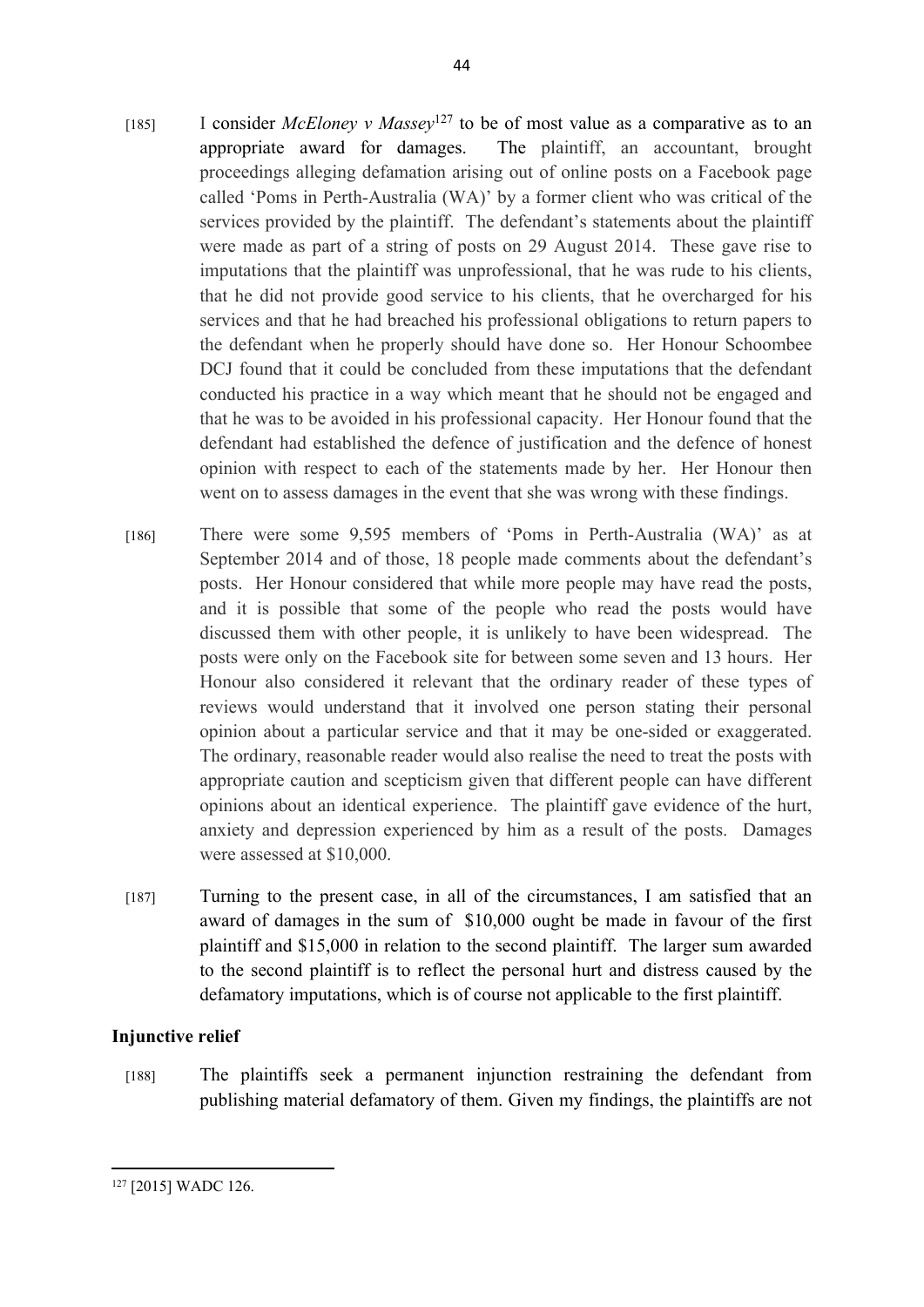- [185] I consider *McEloney v Massey*<sup>127</sup> to be of most value as a comparative as to an appropriate award for damages. The plaintiff, an accountant, brought proceedings alleging defamation arising out of online posts on a Facebook page called 'Poms in Perth-Australia (WA)' by a former client who was critical of the services provided by the plaintiff. The defendant's statements about the plaintiff were made as part of a string of posts on 29 August 2014. These gave rise to imputations that the plaintiff was unprofessional, that he was rude to his clients, that he did not provide good service to his clients, that he overcharged for his services and that he had breached his professional obligations to return papers to the defendant when he properly should have done so. Her Honour Schoombee DCJ found that it could be concluded from these imputations that the defendant conducted his practice in a way which meant that he should not be engaged and that he was to be avoided in his professional capacity. Her Honour found that the defendant had established the defence of justification and the defence of honest opinion with respect to each of the statements made by her. Her Honour then went on to assess damages in the event that she was wrong with these findings.
- [186] There were some 9,595 members of 'Poms in Perth-Australia (WA)' as at September 2014 and of those, 18 people made comments about the defendant's posts. Her Honour considered that while more people may have read the posts, and it is possible that some of the people who read the posts would have discussed them with other people, it is unlikely to have been widespread. The posts were only on the Facebook site for between some seven and 13 hours. Her Honour also considered it relevant that the ordinary reader of these types of reviews would understand that it involved one person stating their personal opinion about a particular service and that it may be one-sided or exaggerated. The ordinary, reasonable reader would also realise the need to treat the posts with appropriate caution and scepticism given that different people can have different opinions about an identical experience. The plaintiff gave evidence of the hurt, anxiety and depression experienced by him as a result of the posts. Damages were assessed at \$10,000.
- [187] Turning to the present case, in all of the circumstances, I am satisfied that an award of damages in the sum of \$10,000 ought be made in favour of the first plaintiff and \$15,000 in relation to the second plaintiff. The larger sum awarded to the second plaintiff is to reflect the personal hurt and distress caused by the defamatory imputations, which is of course not applicable to the first plaintiff.

#### **Injunctive relief**

[188] The plaintiffs seek a permanent injunction restraining the defendant from publishing material defamatory of them. Given my findings, the plaintiffs are not

<sup>127</sup> [2015] WADC 126.